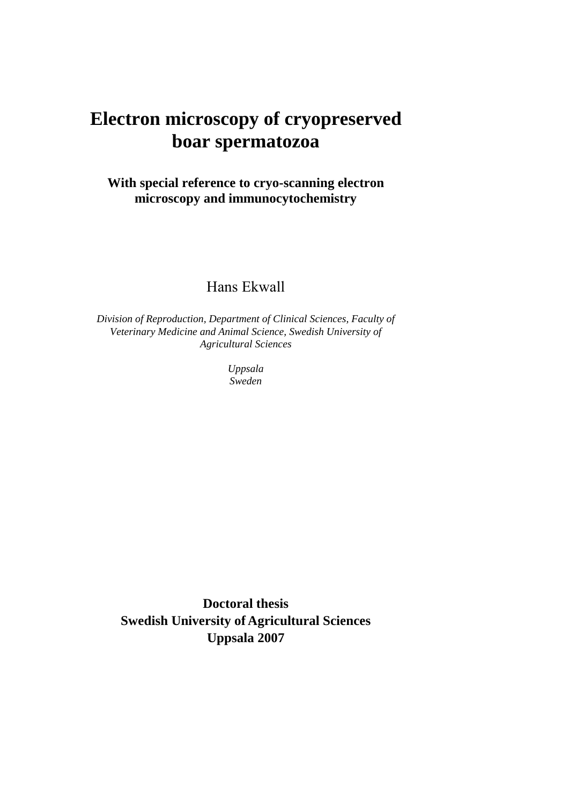# **Electron microscopy of cryopreserved boar spermatozoa**

## **With special reference to cryo-scanning electron microscopy and immunocytochemistry**

## Hans Ekwall

*Division of Reproduction, Department of Clinical Sciences, Faculty of Veterinary Medicine and Animal Science, Swedish University of Agricultural Sciences* 

> *Uppsala Sweden*

**Doctoral thesis Swedish University of Agricultural Sciences Uppsala 2007**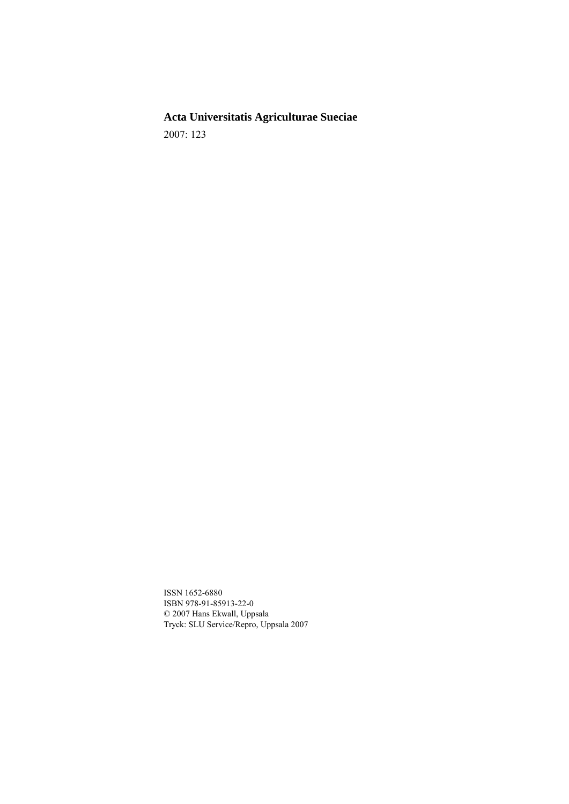**Acta Universitatis Agriculturae Sueciae**  2007: 123

ISSN 1652-6880 ISBN 978-91-85913-22-0 © 2007 Hans Ekwall, Uppsala Tryck: SLU Service/Repro, Uppsala 2007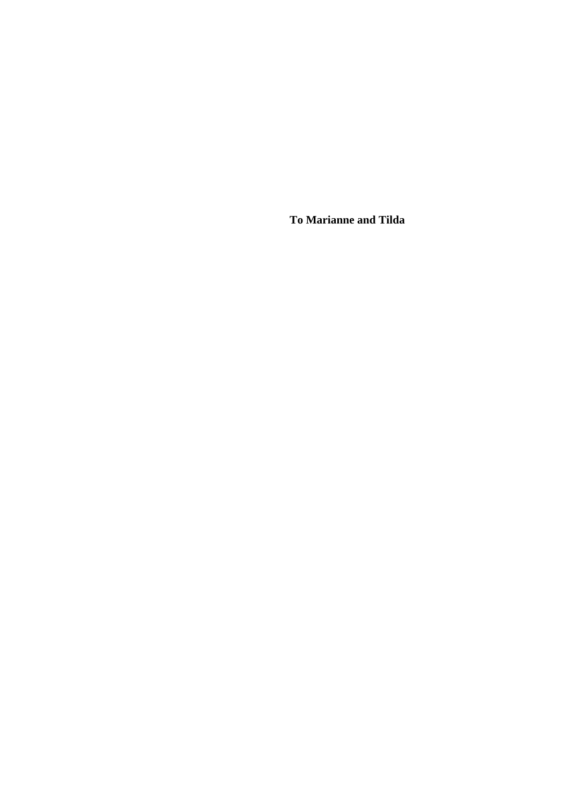**To Marianne and Tilda**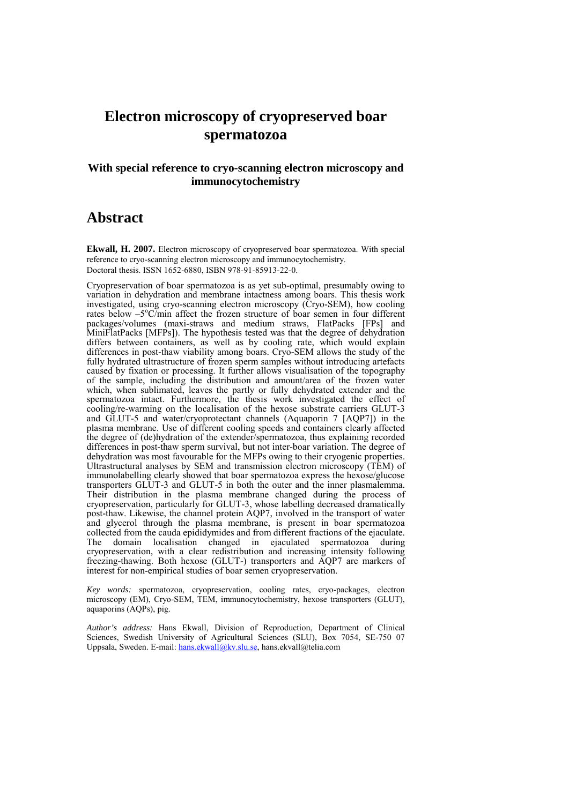## **Electron microscopy of cryopreserved boar spermatozoa**

#### **With special reference to cryo-scanning electron microscopy and immunocytochemistry**

### **Abstract**

**Ekwall, H. 2007.** Electron microscopy of cryopreserved boar spermatozoa. With special reference to cryo-scanning electron microscopy and immunocytochemistry.Doctoral thesis. ISSN 1652-6880, ISBN 978-91-85913-22-0.

Cryopreservation of boar spermatozoa is as yet sub-optimal, presumably owing to variation in dehydration and membrane intactness among boars. This thesis work investigated, using cryo-scanning electron microscopy (Cryo-SEM), how cooling rates below –5°C/min affect the frozen structure of boar semen in four different packages/volumes (maxi-straws and medium straws, FlatPacks [FPs] and MiniFlatPacks [MFPs]). The hypothesis tested was that the degree of dehydration differs between containers, as well as by cooling rate, which would explain differences in post-thaw viability among boars. Cryo-SEM allows the study of the fully hydrated ultrastructure of frozen sperm samples without introducing artefacts caused by fixation or processing. It further allows visualisation of the topography of the sample, including the distribution and amount/area of the frozen water which, when sublimated, leaves the partly or fully dehydrated extender and the spermatozoa intact. Furthermore, the thesis work investigated the effect of cooling/re-warming on the localisation of the hexose substrate carriers GLUT-3 and GLUT-5 and water/cryoprotectant channels (Aquaporin 7 [AQP7]) in the plasma membrane. Use of different cooling speeds and containers clearly affected the degree of (de)hydration of the extender/spermatozoa, thus explaining recorded differences in post-thaw sperm survival, but not inter-boar variation. The degree of dehydration was most favourable for the MFPs owing to their cryogenic properties. Ultrastructural analyses by SEM and transmission electron microscopy (TEM) of immunolabelling clearly showed that boar spermatozoa express the hexose/glucose transporters GLUT-3 and GLUT-5 in both the outer and the inner plasmalemma. Their distribution in the plasma membrane changed during the process of cryopreservation, particularly for GLUT-3, whose labelling decreased dramatically post-thaw. Likewise, the channel protein AQP7, involved in the transport of water and glycerol through the plasma membrane, is present in boar spermatozoa collected from the cauda epididymides and from different fractions of the ejaculate. The domain localisation changed in ejaculated spermatozoa during cryopreservation, with a clear redistribution and increasing intensity following freezing-thawing. Both hexose (GLUT-) transporters and AQP7 are markers of interest for non-empirical studies of boar semen cryopreservation.

*Key words:* spermatozoa, cryopreservation, cooling rates, cryo-packages, electron microscopy (EM), Cryo-SEM, TEM, immunocytochemistry, hexose transporters (GLUT), aquaporins (AQPs), pig.

*Author's address:* Hans Ekwall, Division of Reproduction, Department of Clinical Sciences, Swedish University of Agricultural Sciences (SLU), Box 7054, SE-750 07 Uppsala, Sweden. E-mail: hans.ekwall@kv.slu.se, hans.ekvall@telia.com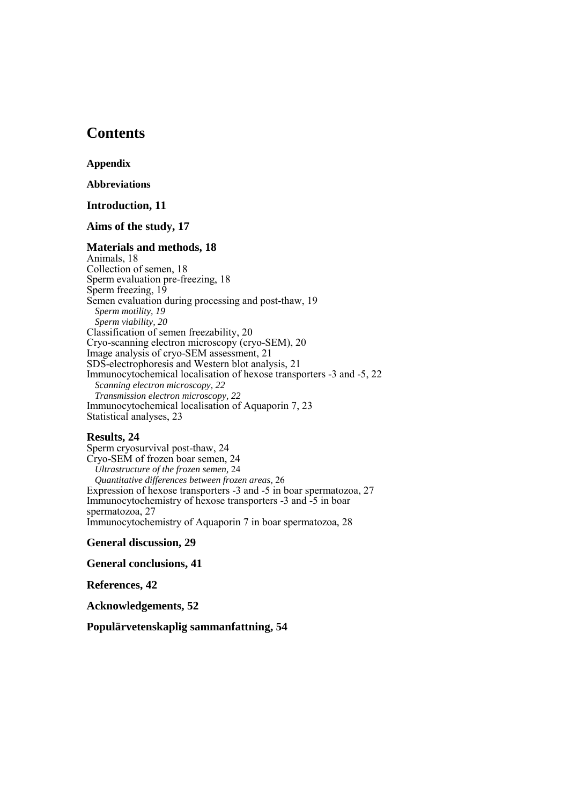## **Contents**

**Appendix** 

**Abbreviations** 

#### **Introduction, 11**

#### **Aims of the study, 17**

#### **Materials and methods, 18**

Animals, 18 Collection of semen, 18 Sperm evaluation pre-freezing, 18 Sperm freezing, 19 Semen evaluation during processing and post-thaw, 19 *Sperm motility, 19 Sperm viability, 20*  Classification of semen freezability, 20 Cryo-scanning electron microscopy (cryo-SEM), 20 Image analysis of cryo-SEM assessment, 21 SDS-electrophoresis and Western blot analysis, 21 Immunocytochemical localisation of hexose transporters -3 and -5, 22 *Scanning electron microscopy, 22 Transmission electron microscopy, 22*  Immunocytochemical localisation of Aquaporin 7, 23 Statistical analyses, 23

#### **Results, 24**

Sperm cryosurvival post-thaw, 24 Cryo-SEM of frozen boar semen, 24 *Ultrastructure of the frozen semen,* 24 *Quantitative differences between frozen areas,* 26 Expression of hexose transporters -3 and -5 in boar spermatozoa, 27 Immunocytochemistry of hexose transporters -3 and -5 in boar spermatozoa, 27 Immunocytochemistry of Aquaporin 7 in boar spermatozoa, 28

**General discussion, 29**

**General conclusions, 41**

**References, 42** 

**Acknowledgements, 52** 

**Populärvetenskaplig sammanfattning, 54**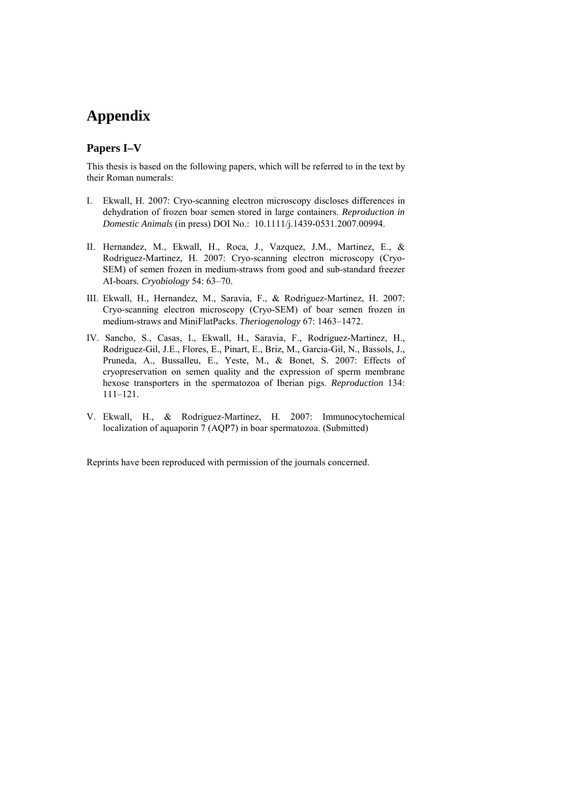## **Appendix**

#### **Papers I–V**

This thesis is based on the following papers, which will be referred to in the text by their Roman numerals:

- I. Ekwall, H. 2007: Cryo-scanning electron microscopy discloses differences in dehydration of frozen boar semen stored in large containers. *Reproduction in Domestic Animals* (in press) DOI No.: 10.1111/j.1439-0531.2007.00994.
- II. Hernandez, M., Ekwall, H., Roca, J., Vazquez, J.M., Martinez, E., & Rodriguez-Martinez, H. 2007: Cryo-scanning electron microscopy (Cryo-SEM) of semen frozen in medium-straws from good and sub-standard freezer AI-boars. *Cryobiology* 54: 63–70.
- III. Ekwall, H., Hernandez, M., Saravia, F., & Rodriguez-Martinez, H. 2007: Cryo-scanning electron microscopy (Cryo-SEM) of boar semen frozen in medium-straws and MiniFlatPacks. *Theriogenology* 67: 1463–1472.
- IV. Sancho, S., Casas, I., Ekwall, H., Saravia, F., Rodriguez-Martinez, H., Rodriguez-Gil, J.E., Flores, E., Pinart, E., Briz, M., Garcia-Gil, N., Bassols, J., Pruneda, A., Bussalleu, E., Yeste, M., & Bonet, S. 2007: Effects of cryopreservation on semen quality and the expression of sperm membrane hexose transporters in the spermatozoa of Iberian pigs. *Reproduction* 134: 111–121.
- V. Ekwall, H., & Rodriguez-Martinez, H. 2007: Immunocytochemical localization of aquaporin 7 (AQP7) in boar spermatozoa. (Submitted)

Reprints have been reproduced with permission of the journals concerned.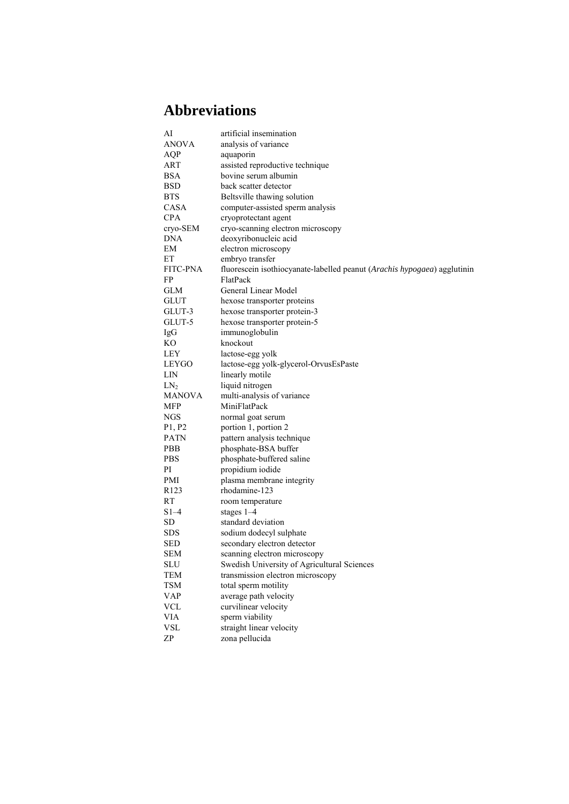## **Abbreviations**

| AI                                             | artificial insemination                                                  |
|------------------------------------------------|--------------------------------------------------------------------------|
| <b>ANOVA</b>                                   | analysis of variance                                                     |
| AQP                                            | aquaporin                                                                |
| ART                                            | assisted reproductive technique                                          |
| BSA                                            | bovine serum albumin                                                     |
| BSD                                            | back scatter detector                                                    |
| <b>BTS</b>                                     | Beltsville thawing solution                                              |
| CASA                                           | computer-assisted sperm analysis                                         |
| <b>CPA</b>                                     | cryoprotectant agent                                                     |
| cryo-SEM                                       | cryo-scanning electron microscopy                                        |
| <b>DNA</b>                                     | deoxyribonucleic acid                                                    |
| EМ<br>ЕT                                       | electron microscopy                                                      |
|                                                | embryo transfer                                                          |
| FITC-PNA                                       | fluorescein isothiocyanate-labelled peanut (Arachis hypogaea) agglutinin |
| FP                                             | FlatPack                                                                 |
| GLM                                            | General Linear Model                                                     |
| <b>GLUT</b>                                    | hexose transporter proteins                                              |
| GLUT-3                                         | hexose transporter protein-3                                             |
| GLUT-5                                         | hexose transporter protein-5                                             |
| IgG                                            | immunoglobulin                                                           |
| KО                                             | knockout                                                                 |
| LEY                                            | lactose-egg yolk                                                         |
| LEYGO                                          | lactose-egg yolk-glycerol-OrvusEsPaste                                   |
| LIN                                            | linearly motile                                                          |
| LN <sub>2</sub>                                | liquid nitrogen                                                          |
| <b>MANOVA</b>                                  | multi-analysis of variance                                               |
| MFP                                            | MiniFlatPack                                                             |
| NGS                                            | normal goat serum                                                        |
| P <sub>1</sub> , P <sub>2</sub><br><b>PATN</b> | portion 1, portion 2                                                     |
|                                                | pattern analysis technique                                               |
| PBB<br><b>PBS</b>                              | phosphate-BSA buffer                                                     |
|                                                | phosphate-buffered saline                                                |
| PI<br>PMI                                      | propidium iodide                                                         |
|                                                | plasma membrane integrity                                                |
| R <sub>123</sub>                               | rhodamine-123                                                            |
| RT                                             | room temperature                                                         |
| $S1-4$                                         | stages $1-4$                                                             |
| SD.                                            | standard deviation                                                       |
| SDS                                            | sodium dodecyl sulphate                                                  |
| SED                                            | secondary electron detector                                              |
| <b>SEM</b>                                     | scanning electron microscopy                                             |
| SLU                                            | Swedish University of Agricultural Sciences                              |
| TEM                                            | transmission electron microscopy                                         |
| TSM                                            | total sperm motility                                                     |
| VAP                                            | average path velocity                                                    |
| <b>VCL</b>                                     | curvilinear velocity                                                     |
| <b>VIA</b>                                     | sperm viability                                                          |
| <b>VSL</b>                                     | straight linear velocity                                                 |
| ZP                                             | zona pellucida                                                           |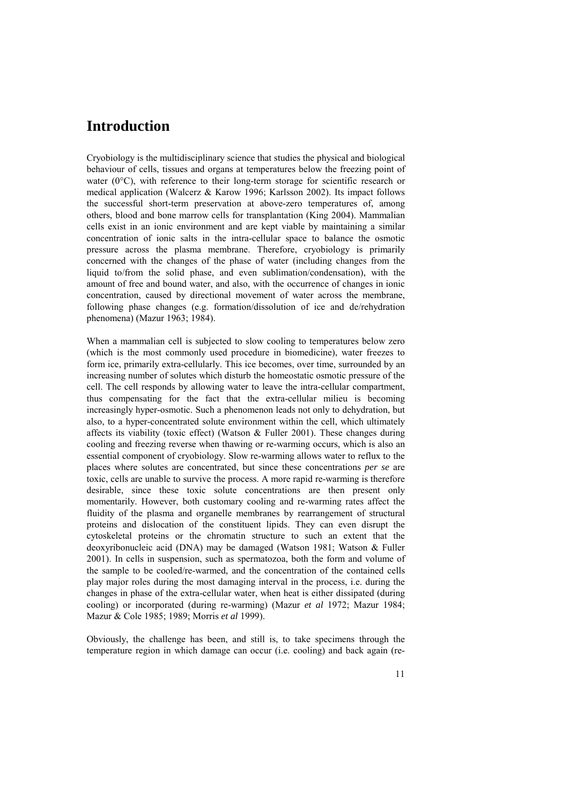### **Introduction**

Cryobiology is the multidisciplinary science that studies the physical and biological behaviour of cells, tissues and organs at temperatures below the freezing point of water (0°C), with reference to their long-term storage for scientific research or medical application (Walcerz & Karow 1996; Karlsson 2002). Its impact follows the successful short-term preservation at above-zero temperatures of, among others, blood and bone marrow cells for transplantation (King 2004). Mammalian cells exist in an ionic environment and are kept viable by maintaining a similar concentration of ionic salts in the intra-cellular space to balance the osmotic pressure across the plasma membrane. Therefore, cryobiology is primarily concerned with the changes of the phase of water (including changes from the liquid to/from the solid phase, and even sublimation/condensation), with the amount of free and bound water, and also, with the occurrence of changes in ionic concentration, caused by directional movement of water across the membrane, following phase changes (e.g. formation/dissolution of ice and de/rehydration phenomena) (Mazur 1963; 1984).

When a mammalian cell is subjected to slow cooling to temperatures below zero (which is the most commonly used procedure in biomedicine), water freezes to form ice, primarily extra-cellularly. This ice becomes, over time, surrounded by an increasing number of solutes which disturb the homeostatic osmotic pressure of the cell. The cell responds by allowing water to leave the intra-cellular compartment, thus compensating for the fact that the extra-cellular milieu is becoming increasingly hyper-osmotic. Such a phenomenon leads not only to dehydration, but also, to a hyper-concentrated solute environment within the cell, which ultimately affects its viability (toxic effect) (Watson & Fuller 2001). These changes during cooling and freezing reverse when thawing or re-warming occurs, which is also an essential component of cryobiology. Slow re-warming allows water to reflux to the places where solutes are concentrated, but since these concentrations *per se* are toxic, cells are unable to survive the process. A more rapid re-warming is therefore desirable, since these toxic solute concentrations are then present only momentarily. However, both customary cooling and re-warming rates affect the fluidity of the plasma and organelle membranes by rearrangement of structural proteins and dislocation of the constituent lipids. They can even disrupt the cytoskeletal proteins or the chromatin structure to such an extent that the deoxyribonucleic acid (DNA) may be damaged (Watson 1981; Watson & Fuller 2001). In cells in suspension, such as spermatozoa, both the form and volume of the sample to be cooled/re-warmed, and the concentration of the contained cells play major roles during the most damaging interval in the process, i.e. during the changes in phase of the extra-cellular water, when heat is either dissipated (during cooling) or incorporated (during re-warming) (Mazur *et al* 1972; Mazur 1984; Mazur & Cole 1985; 1989; Morris *et al* 1999).

Obviously, the challenge has been, and still is, to take specimens through the temperature region in which damage can occur (i.e. cooling) and back again (re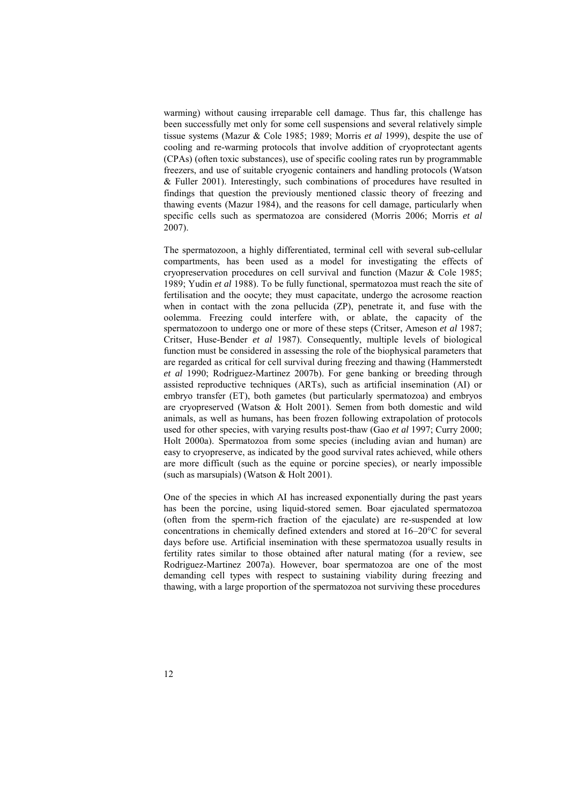warming) without causing irreparable cell damage. Thus far, this challenge has been successfully met only for some cell suspensions and several relatively simple tissue systems (Mazur & Cole 1985; 1989; Morris *et al* 1999), despite the use of cooling and re-warming protocols that involve addition of cryoprotectant agents (CPAs) (often toxic substances), use of specific cooling rates run by programmable freezers, and use of suitable cryogenic containers and handling protocols (Watson & Fuller 2001). Interestingly, such combinations of procedures have resulted in findings that question the previously mentioned classic theory of freezing and thawing events (Mazur 1984), and the reasons for cell damage, particularly when specific cells such as spermatozoa are considered (Morris 2006; Morris *et al* 2007).

The spermatozoon, a highly differentiated, terminal cell with several sub-cellular compartments, has been used as a model for investigating the effects of cryopreservation procedures on cell survival and function (Mazur & Cole 1985; 1989; Yudin *et al* 1988). To be fully functional, spermatozoa must reach the site of fertilisation and the oocyte; they must capacitate, undergo the acrosome reaction when in contact with the zona pellucida (ZP), penetrate it, and fuse with the oolemma. Freezing could interfere with, or ablate, the capacity of the spermatozoon to undergo one or more of these steps (Critser, Ameson *et al* 1987; Critser, Huse-Bender *et al* 1987). Consequently, multiple levels of biological function must be considered in assessing the role of the biophysical parameters that are regarded as critical for cell survival during freezing and thawing (Hammerstedt *et al* 1990; Rodriguez-Martinez 2007b). For gene banking or breeding through assisted reproductive techniques (ARTs), such as artificial insemination (AI) or embryo transfer (ET), both gametes (but particularly spermatozoa) and embryos are cryopreserved (Watson & Holt 2001). Semen from both domestic and wild animals, as well as humans, has been frozen following extrapolation of protocols used for other species, with varying results post-thaw (Gao *et al* 1997; Curry 2000; Holt 2000a). Spermatozoa from some species (including avian and human) are easy to cryopreserve, as indicated by the good survival rates achieved, while others are more difficult (such as the equine or porcine species), or nearly impossible (such as marsupials) (Watson & Holt 2001).

One of the species in which AI has increased exponentially during the past years has been the porcine, using liquid-stored semen. Boar ejaculated spermatozoa (often from the sperm-rich fraction of the ejaculate) are re-suspended at low concentrations in chemically defined extenders and stored at 16–20°C for several days before use. Artificial insemination with these spermatozoa usually results in fertility rates similar to those obtained after natural mating (for a review, see Rodriguez-Martinez 2007a). However, boar spermatozoa are one of the most demanding cell types with respect to sustaining viability during freezing and thawing, with a large proportion of the spermatozoa not surviving these procedures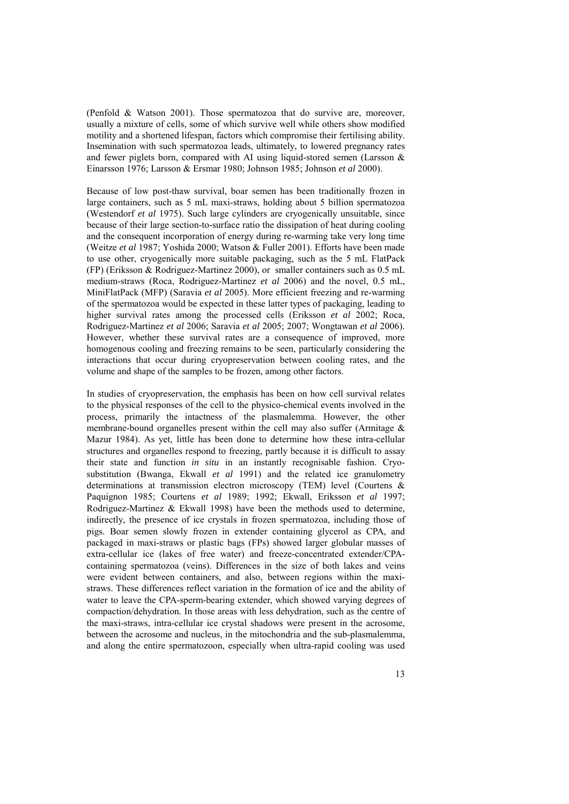(Penfold & Watson 2001). Those spermatozoa that do survive are, moreover, usually a mixture of cells, some of which survive well while others show modified motility and a shortened lifespan, factors which compromise their fertilising ability. Insemination with such spermatozoa leads, ultimately, to lowered pregnancy rates and fewer piglets born, compared with AI using liquid-stored semen (Larsson  $\&$ Einarsson 1976; Larsson & Ersmar 1980; Johnson 1985; Johnson *et al* 2000).

Because of low post-thaw survival, boar semen has been traditionally frozen in large containers, such as 5 mL maxi-straws, holding about 5 billion spermatozoa (Westendorf *et al* 1975). Such large cylinders are cryogenically unsuitable, since because of their large section-to-surface ratio the dissipation of heat during cooling and the consequent incorporation of energy during re-warming take very long time (Weitze *et al* 1987; Yoshida 2000; Watson & Fuller 2001). Efforts have been made to use other, cryogenically more suitable packaging, such as the 5 mL FlatPack (FP) (Eriksson & Rodriguez-Martinez 2000), or smaller containers such as 0.5 mL medium-straws (Roca, Rodriguez-Martinez *et al* 2006) and the novel, 0.5 mL, MiniFlatPack (MFP) (Saravia *et al* 2005). More efficient freezing and re-warming of the spermatozoa would be expected in these latter types of packaging, leading to higher survival rates among the processed cells (Eriksson *et al* 2002; Roca, Rodriguez-Martinez *et al* 2006; Saravia *et al* 2005; 2007; Wongtawan *et al* 2006). However, whether these survival rates are a consequence of improved, more homogenous cooling and freezing remains to be seen, particularly considering the interactions that occur during cryopreservation between cooling rates, and the volume and shape of the samples to be frozen, among other factors.

In studies of cryopreservation, the emphasis has been on how cell survival relates to the physical responses of the cell to the physico-chemical events involved in the process, primarily the intactness of the plasmalemma. However, the other membrane-bound organelles present within the cell may also suffer (Armitage & Mazur 1984). As yet, little has been done to determine how these intra-cellular structures and organelles respond to freezing, partly because it is difficult to assay their state and function *in situ* in an instantly recognisable fashion. Cryosubstitution (Bwanga, Ekwall *et al* 1991) and the related ice granulometry determinations at transmission electron microscopy (TEM) level (Courtens & Paquignon 1985; Courtens *et al* 1989; 1992; Ekwall, Eriksson *et al* 1997; Rodriguez-Martinez & Ekwall 1998) have been the methods used to determine, indirectly, the presence of ice crystals in frozen spermatozoa, including those of pigs. Boar semen slowly frozen in extender containing glycerol as CPA, and packaged in maxi-straws or plastic bags (FPs) showed larger globular masses of extra-cellular ice (lakes of free water) and freeze-concentrated extender/CPAcontaining spermatozoa (veins). Differences in the size of both lakes and veins were evident between containers, and also, between regions within the maxistraws. These differences reflect variation in the formation of ice and the ability of water to leave the CPA-sperm-bearing extender, which showed varying degrees of compaction/dehydration. In those areas with less dehydration, such as the centre of the maxi-straws, intra-cellular ice crystal shadows were present in the acrosome, between the acrosome and nucleus, in the mitochondria and the sub-plasmalemma, and along the entire spermatozoon, especially when ultra-rapid cooling was used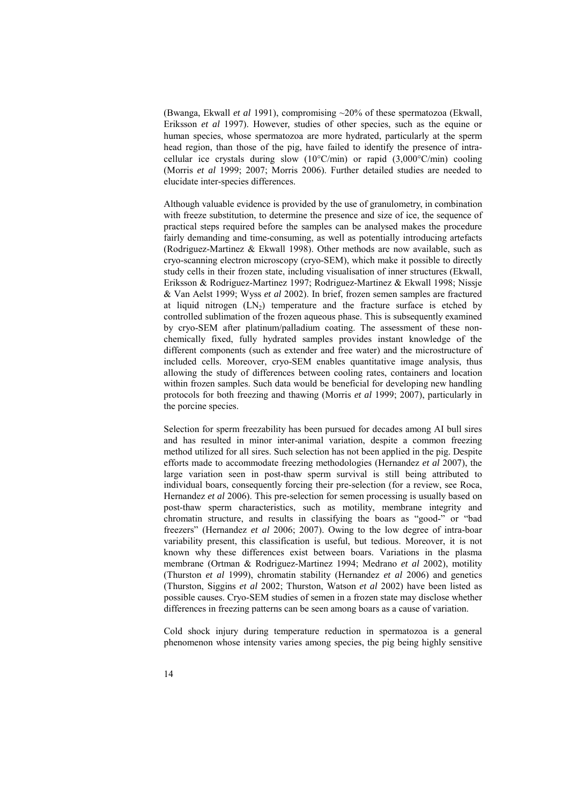(Bwanga, Ekwall *et al* 1991), compromising ~20% of these spermatozoa (Ekwall, Eriksson *et al* 1997). However, studies of other species, such as the equine or human species, whose spermatozoa are more hydrated, particularly at the sperm head region, than those of the pig, have failed to identify the presence of intracellular ice crystals during slow (10°C/min) or rapid (3,000°C/min) cooling (Morris *et al* 1999; 2007; Morris 2006). Further detailed studies are needed to elucidate inter-species differences.

Although valuable evidence is provided by the use of granulometry, in combination with freeze substitution, to determine the presence and size of ice, the sequence of practical steps required before the samples can be analysed makes the procedure fairly demanding and time-consuming, as well as potentially introducing artefacts (Rodriguez-Martinez & Ekwall 1998). Other methods are now available, such as cryo-scanning electron microscopy (cryo-SEM), which make it possible to directly study cells in their frozen state, including visualisation of inner structures (Ekwall, Eriksson & Rodriguez-Martinez 1997; Rodriguez-Martinez & Ekwall 1998; Nissje & Van Aelst 1999; Wyss *et al* 2002). In brief, frozen semen samples are fractured at liquid nitrogen  $(LN_2)$  temperature and the fracture surface is etched by controlled sublimation of the frozen aqueous phase. This is subsequently examined by cryo-SEM after platinum/palladium coating. The assessment of these nonchemically fixed, fully hydrated samples provides instant knowledge of the different components (such as extender and free water) and the microstructure of included cells. Moreover, cryo-SEM enables quantitative image analysis, thus allowing the study of differences between cooling rates, containers and location within frozen samples. Such data would be beneficial for developing new handling protocols for both freezing and thawing (Morris *et al* 1999; 2007), particularly in the porcine species.

Selection for sperm freezability has been pursued for decades among AI bull sires and has resulted in minor inter-animal variation, despite a common freezing method utilized for all sires. Such selection has not been applied in the pig. Despite efforts made to accommodate freezing methodologies (Hernandez *et al* 2007), the large variation seen in post-thaw sperm survival is still being attributed to individual boars, consequently forcing their pre-selection (for a review, see Roca, Hernandez *et al* 2006). This pre-selection for semen processing is usually based on post-thaw sperm characteristics, such as motility, membrane integrity and chromatin structure, and results in classifying the boars as "good-" or "bad freezers" (Hernandez *et al* 2006; 2007). Owing to the low degree of intra-boar variability present, this classification is useful, but tedious. Moreover, it is not known why these differences exist between boars. Variations in the plasma membrane (Ortman & Rodriguez-Martinez 1994; Medrano *et al* 2002), motility (Thurston *et al* 1999), chromatin stability (Hernandez *et al* 2006) and genetics (Thurston, Siggins *et al* 2002; Thurston, Watson *et al* 2002) have been listed as possible causes. Cryo-SEM studies of semen in a frozen state may disclose whether differences in freezing patterns can be seen among boars as a cause of variation.

Cold shock injury during temperature reduction in spermatozoa is a general phenomenon whose intensity varies among species, the pig being highly sensitive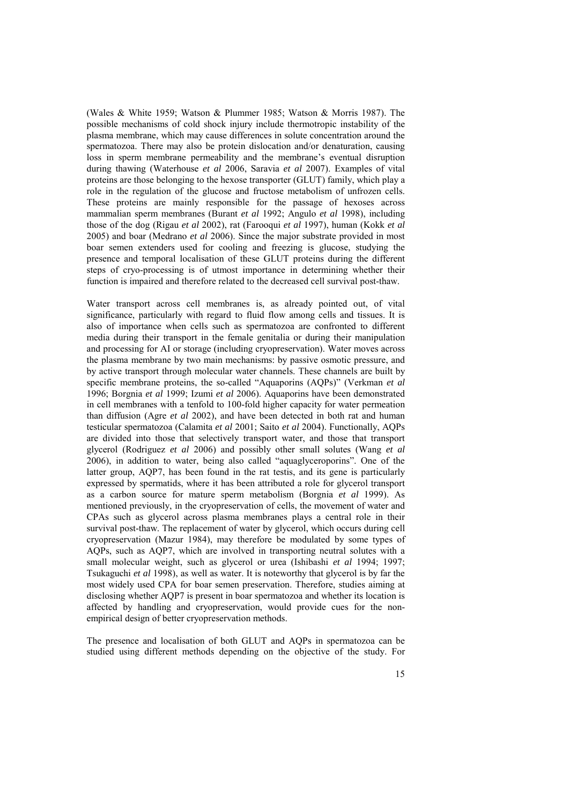(Wales & White 1959; Watson & Plummer 1985; Watson & Morris 1987). The possible mechanisms of cold shock injury include thermotropic instability of the plasma membrane, which may cause differences in solute concentration around the spermatozoa. There may also be protein dislocation and/or denaturation, causing loss in sperm membrane permeability and the membrane's eventual disruption during thawing (Waterhouse *et al* 2006, Saravia *et al* 2007). Examples of vital proteins are those belonging to the hexose transporter (GLUT) family, which play a role in the regulation of the glucose and fructose metabolism of unfrozen cells. These proteins are mainly responsible for the passage of hexoses across mammalian sperm membranes (Burant *et al* 1992; Angulo *et al* 1998), including those of the dog (Rigau *et al* 2002), rat (Farooqui *et al* 1997), human (Kokk *et al* 2005) and boar (Medrano *et al* 2006). Since the major substrate provided in most boar semen extenders used for cooling and freezing is glucose, studying the presence and temporal localisation of these GLUT proteins during the different steps of cryo-processing is of utmost importance in determining whether their function is impaired and therefore related to the decreased cell survival post-thaw.

Water transport across cell membranes is, as already pointed out, of vital significance, particularly with regard to fluid flow among cells and tissues. It is also of importance when cells such as spermatozoa are confronted to different media during their transport in the female genitalia or during their manipulation and processing for AI or storage (including cryopreservation). Water moves across the plasma membrane by two main mechanisms: by passive osmotic pressure, and by active transport through molecular water channels. These channels are built by specific membrane proteins, the so-called "Aquaporins (AQPs)" (Verkman *et al* 1996; Borgnia *et al* 1999; Izumi *et al* 2006). Aquaporins have been demonstrated in cell membranes with a tenfold to 100-fold higher capacity for water permeation than diffusion (Agre *et al* 2002), and have been detected in both rat and human testicular spermatozoa (Calamita *et al* 2001; Saito *et al* 2004). Functionally, AQPs are divided into those that selectively transport water, and those that transport glycerol (Rodriguez *et al* 2006) and possibly other small solutes (Wang *et al* 2006), in addition to water, being also called "aquaglyceroporins". One of the latter group, AQP7, has been found in the rat testis, and its gene is particularly expressed by spermatids, where it has been attributed a role for glycerol transport as a carbon source for mature sperm metabolism (Borgnia *et al* 1999). As mentioned previously, in the cryopreservation of cells, the movement of water and CPAs such as glycerol across plasma membranes plays a central role in their survival post-thaw. The replacement of water by glycerol, which occurs during cell cryopreservation (Mazur 1984), may therefore be modulated by some types of AQPs, such as AQP7, which are involved in transporting neutral solutes with a small molecular weight, such as glycerol or urea (Ishibashi *et al* 1994; 1997; Tsukaguchi *et al* 1998), as well as water. It is noteworthy that glycerol is by far the most widely used CPA for boar semen preservation. Therefore, studies aiming at disclosing whether AQP7 is present in boar spermatozoa and whether its location is affected by handling and cryopreservation, would provide cues for the nonempirical design of better cryopreservation methods.

The presence and localisation of both GLUT and AQPs in spermatozoa can be studied using different methods depending on the objective of the study. For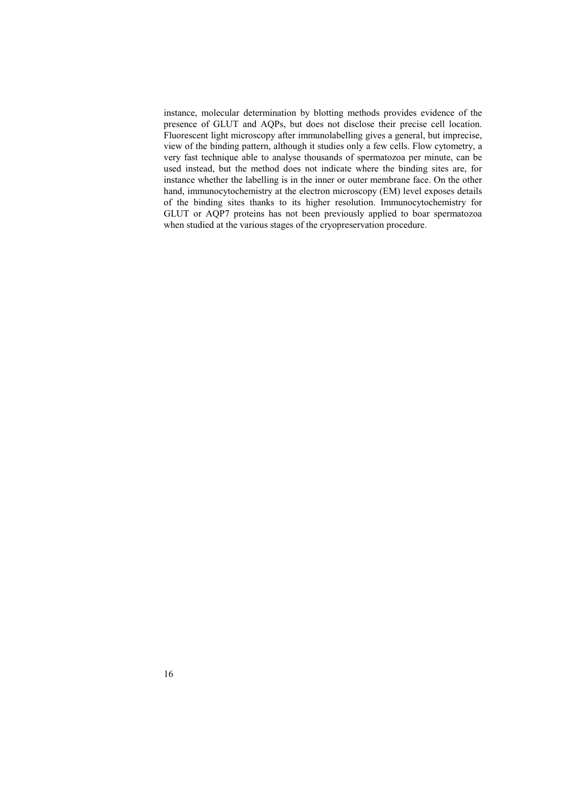instance, molecular determination by blotting methods provides evidence of the presence of GLUT and AQPs, but does not disclose their precise cell location. Fluorescent light microscopy after immunolabelling gives a general, but imprecise, view of the binding pattern, although it studies only a few cells. Flow cytometry, a very fast technique able to analyse thousands of spermatozoa per minute, can be used instead, but the method does not indicate where the binding sites are, for instance whether the labelling is in the inner or outer membrane face. On the other hand, immunocytochemistry at the electron microscopy (EM) level exposes details of the binding sites thanks to its higher resolution. Immunocytochemistry for GLUT or AQP7 proteins has not been previously applied to boar spermatozoa when studied at the various stages of the cryopreservation procedure.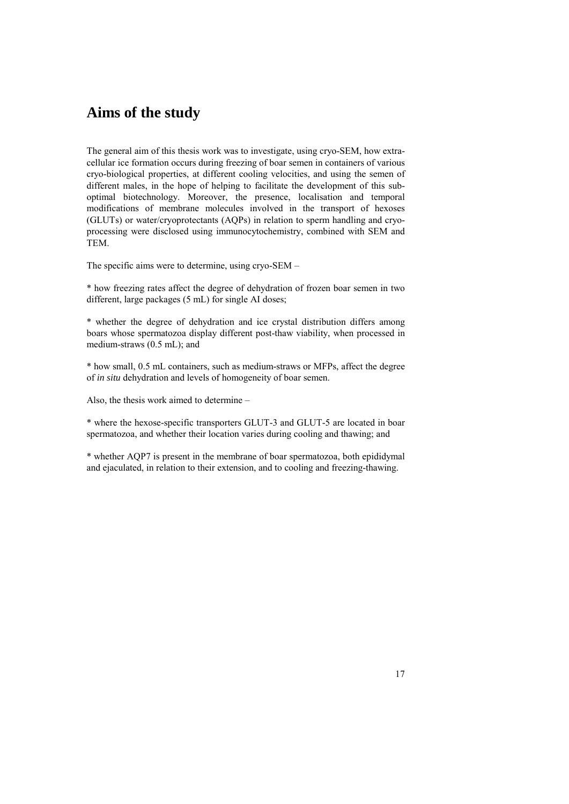## **Aims of the study**

The general aim of this thesis work was to investigate, using cryo-SEM, how extracellular ice formation occurs during freezing of boar semen in containers of various cryo-biological properties, at different cooling velocities, and using the semen of different males, in the hope of helping to facilitate the development of this suboptimal biotechnology. Moreover, the presence, localisation and temporal modifications of membrane molecules involved in the transport of hexoses (GLUTs) or water/cryoprotectants (AQPs) in relation to sperm handling and cryoprocessing were disclosed using immunocytochemistry, combined with SEM and TEM.

The specific aims were to determine, using cryo-SEM –

\* how freezing rates affect the degree of dehydration of frozen boar semen in two different, large packages (5 mL) for single AI doses;

\* whether the degree of dehydration and ice crystal distribution differs among boars whose spermatozoa display different post-thaw viability, when processed in medium-straws (0.5 mL); and

\* how small, 0.5 mL containers, such as medium-straws or MFPs, affect the degree of *in situ* dehydration and levels of homogeneity of boar semen.

Also, the thesis work aimed to determine –

\* where the hexose-specific transporters GLUT-3 and GLUT-5 are located in boar spermatozoa, and whether their location varies during cooling and thawing; and

\* whether AQP7 is present in the membrane of boar spermatozoa, both epididymal and ejaculated, in relation to their extension, and to cooling and freezing-thawing.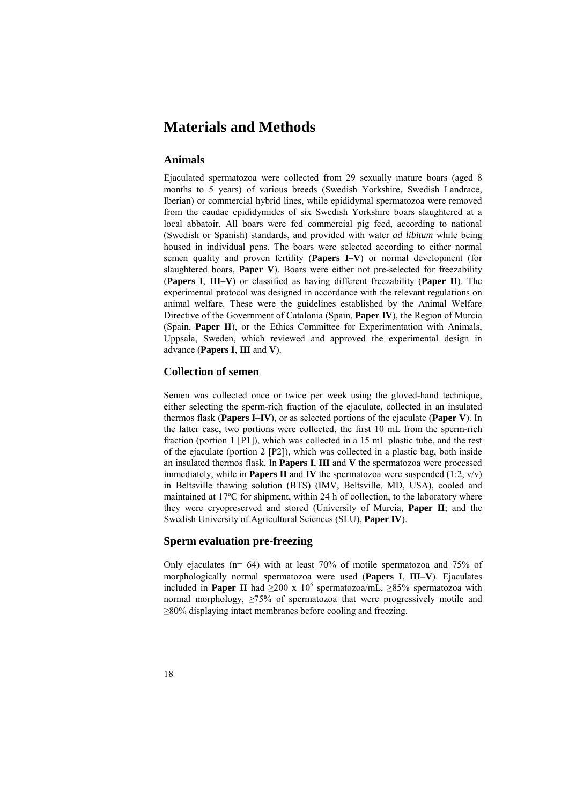## **Materials and Methods**

#### **Animals**

Ejaculated spermatozoa were collected from 29 sexually mature boars (aged 8 months to 5 years) of various breeds (Swedish Yorkshire, Swedish Landrace, Iberian) or commercial hybrid lines, while epididymal spermatozoa were removed from the caudae epididymides of six Swedish Yorkshire boars slaughtered at a local abbatoir. All boars were fed commercial pig feed, according to national (Swedish or Spanish) standards, and provided with water *ad libitum* while being housed in individual pens. The boars were selected according to either normal semen quality and proven fertility (**Papers I–V**) or normal development (for slaughtered boars, **Paper V**). Boars were either not pre-selected for freezability (**Papers I**, **III–V**) or classified as having different freezability (**Paper II**). The experimental protocol was designed in accordance with the relevant regulations on animal welfare. These were the guidelines established by the Animal Welfare Directive of the Government of Catalonia (Spain, **Paper IV**), the Region of Murcia (Spain, **Paper II**), or the Ethics Committee for Experimentation with Animals, Uppsala, Sweden, which reviewed and approved the experimental design in advance (**Papers I**, **III** and **V**).

#### **Collection of semen**

Semen was collected once or twice per week using the gloved-hand technique, either selecting the sperm-rich fraction of the ejaculate, collected in an insulated thermos flask (**Papers I–IV**), or as selected portions of the ejaculate (**Paper V**). In the latter case, two portions were collected, the first 10 mL from the sperm-rich fraction (portion 1 [P1]), which was collected in a 15 mL plastic tube, and the rest of the ejaculate (portion 2 [P2]), which was collected in a plastic bag, both inside an insulated thermos flask. In **Papers I**, **III** and **V** the spermatozoa were processed immediately, while in **Papers II** and **IV** the spermatozoa were suspended (1:2,  $v/v$ ) in Beltsville thawing solution (BTS) (IMV, Beltsville, MD, USA), cooled and maintained at 17ºC for shipment, within 24 h of collection, to the laboratory where they were cryopreserved and stored (University of Murcia, **Paper II**; and the Swedish University of Agricultural Sciences (SLU), **Paper IV**).

#### **Sperm evaluation pre-freezing**

Only ejaculates ( $n= 64$ ) with at least 70% of motile spermatozoa and 75% of morphologically normal spermatozoa were used (**Papers I**, **III–V**). Ejaculates included in **Paper II** had  $\geq 200 \times 10^6$  spermatozoa/mL,  $\geq 85\%$  spermatozoa with normal morphology,  $\geq 75\%$  of spermatozoa that were progressively motile and ≥80% displaying intact membranes before cooling and freezing.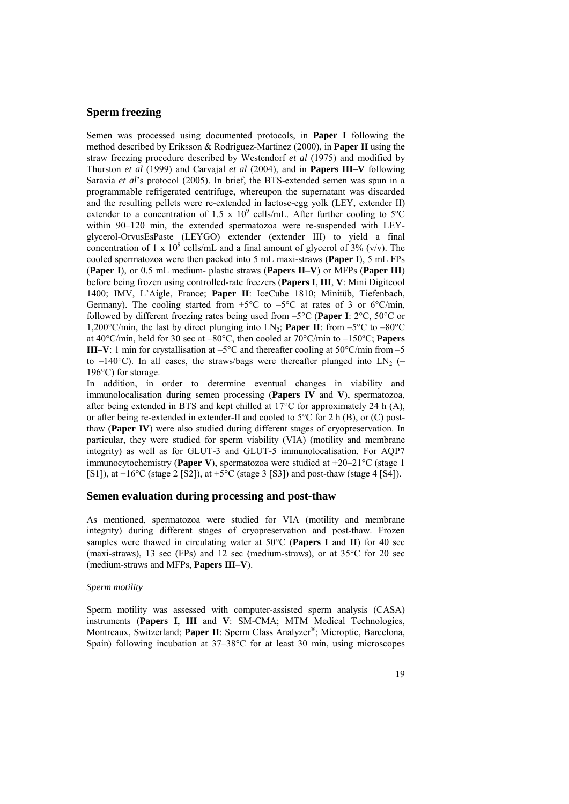#### **Sperm freezing**

Semen was processed using documented protocols, in **Paper I** following the method described by Eriksson & Rodriguez-Martinez (2000), in **Paper II** using the straw freezing procedure described by Westendorf *et al* (1975) and modified by Thurston *et al* (1999) and Carvajal *et al* (2004), and in **Papers III–V** following Saravia *et al*'s protocol (2005). In brief, the BTS-extended semen was spun in a programmable refrigerated centrifuge, whereupon the supernatant was discarded and the resulting pellets were re-extended in lactose-egg yolk (LEY, extender II) extender to a concentration of 1.5 x  $10^9$  cells/mL. After further cooling to 5°C within 90–120 min, the extended spermatozoa were re-suspended with LEYglycerol-OrvusEsPaste (LEYGO) extender (extender III) to yield a final concentration of 1 x  $10^9$  cells/mL and a final amount of glycerol of 3% (v/v). The cooled spermatozoa were then packed into 5 mL maxi-straws (**Paper I**), 5 mL FPs (**Paper I**), or 0.5 mL medium- plastic straws (**Papers II–V**) or MFPs (**Paper III**) before being frozen using controlled-rate freezers (**Papers I**, **III**, **V**: Mini Digitcool 1400; IMV, L'Aigle, France; **Paper II**: IceCube 1810; Minitüb, Tiefenbach, Germany). The cooling started from  $+5^{\circ}$ C to  $-5^{\circ}$ C at rates of 3 or 6°C/min, followed by different freezing rates being used from –5°C (**Paper I**: 2°C, 50°C or 1,200°C/min, the last by direct plunging into  $LN_2$ ; **Paper II**: from  $-5^{\circ}$ C to  $-80^{\circ}$ C at 40°C/min, held for 30 sec at –80°C, then cooled at 70°C/min to –150ºC; **Papers III–V**: 1 min for crystallisation at  $-5^{\circ}$ C and thereafter cooling at  $50^{\circ}$ C/min from  $-5$ to  $-140^{\circ}$ C). In all cases, the straws/bags were thereafter plunged into LN<sub>2</sub> (– 196°C) for storage.

In addition, in order to determine eventual changes in viability and immunolocalisation during semen processing (**Papers IV** and **V**), spermatozoa, after being extended in BTS and kept chilled at 17°C for approximately 24 h (A), or after being re-extended in extender-II and cooled to  $5^{\circ}$ C for 2 h (B), or (C) postthaw (**Paper IV**) were also studied during different stages of cryopreservation. In particular, they were studied for sperm viability (VIA) (motility and membrane integrity) as well as for GLUT-3 and GLUT-5 immunolocalisation. For AQP7 immunocytochemistry (**Paper V**), spermatozoa were studied at +20–21°C (stage 1 [S1]), at  $+16\degree$ C (stage 2 [S2]), at  $+5\degree$ C (stage 3 [S3]) and post-thaw (stage 4 [S4]).

#### **Semen evaluation during processing and post-thaw**

As mentioned, spermatozoa were studied for VIA (motility and membrane integrity) during different stages of cryopreservation and post-thaw. Frozen samples were thawed in circulating water at 50°C (**Papers I** and **II**) for 40 sec (maxi-straws), 13 sec (FPs) and 12 sec (medium-straws), or at 35°C for 20 sec (medium-straws and MFPs, **Papers III–V**).

#### *Sperm motility*

Sperm motility was assessed with computer-assisted sperm analysis (CASA) instruments (**Papers I**, **III** and **V**: SM-CMA; MTM Medical Technologies, Montreaux, Switzerland; **Paper II**: Sperm Class Analyzer®; Microptic, Barcelona, Spain) following incubation at 37–38°C for at least 30 min, using microscopes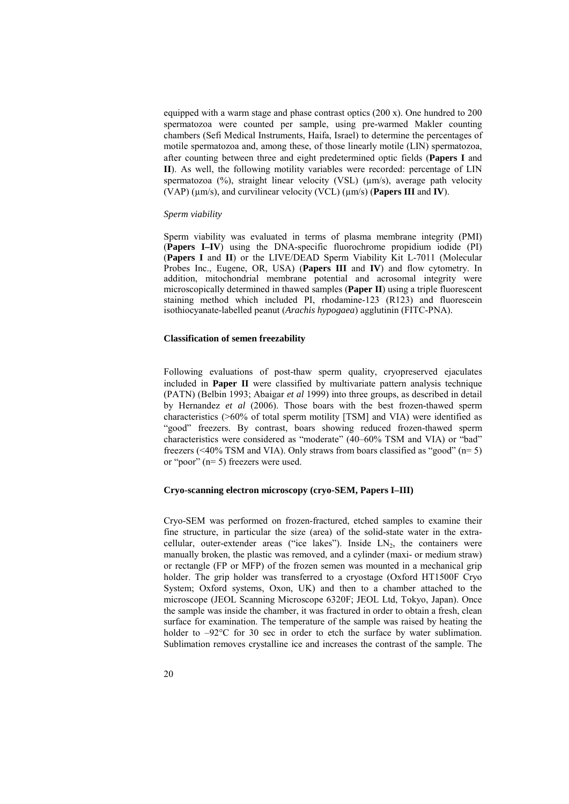equipped with a warm stage and phase contrast optics (200 x). One hundred to 200 spermatozoa were counted per sample, using pre-warmed Makler counting chambers (Sefi Medical Instruments, Haifa, Israel) to determine the percentages of motile spermatozoa and, among these, of those linearly motile (LIN) spermatozoa, after counting between three and eight predetermined optic fields (**Papers I** and **II**). As well, the following motility variables were recorded: percentage of LIN spermatozoa (%), straight linear velocity (VSL) ( $\mu$ m/s), average path velocity (VAP) (µm/s), and curvilinear velocity (VCL) (µm/s) (**Papers III** and **IV**).

#### *Sperm viability*

Sperm viability was evaluated in terms of plasma membrane integrity (PMI) (**Papers I–IV**) using the DNA-specific fluorochrome propidium iodide (PI) (**Papers I** and **II**) or the LIVE/DEAD Sperm Viability Kit L-7011 (Molecular Probes Inc., Eugene, OR, USA) (**Papers III** and **IV**) and flow cytometry. In addition, mitochondrial membrane potential and acrosomal integrity were microscopically determined in thawed samples (**Paper II**) using a triple fluorescent staining method which included PI, rhodamine-123 (R123) and fluorescein isothiocyanate-labelled peanut (*Arachis hypogaea*) agglutinin (FITC-PNA).

#### **Classification of semen freezability**

Following evaluations of post-thaw sperm quality, cryopreserved ejaculates included in **Paper II** were classified by multivariate pattern analysis technique (PATN) (Belbin 1993; Abaigar *et al* 1999) into three groups, as described in detail by Hernandez *et al* (2006). Those boars with the best frozen-thawed sperm characteristics (>60% of total sperm motility [TSM] and VIA) were identified as "good" freezers. By contrast, boars showing reduced frozen-thawed sperm characteristics were considered as "moderate" (40–60% TSM and VIA) or "bad" freezers ( $\leq$ 40% TSM and VIA). Only straws from boars classified as "good" (n= 5) or "poor" (n= 5) freezers were used.

#### **Cryo-scanning electron microscopy (cryo-SEM, Papers I–III)**

Cryo-SEM was performed on frozen-fractured, etched samples to examine their fine structure, in particular the size (area) of the solid-state water in the extracellular, outer-extender areas ("ice lakes"). Inside  $LN_2$ , the containers were manually broken, the plastic was removed, and a cylinder (maxi- or medium straw) or rectangle (FP or MFP) of the frozen semen was mounted in a mechanical grip holder. The grip holder was transferred to a cryostage (Oxford HT1500F Cryo System; Oxford systems, Oxon, UK) and then to a chamber attached to the microscope (JEOL Scanning Microscope 6320F; JEOL Ltd, Tokyo, Japan). Once the sample was inside the chamber, it was fractured in order to obtain a fresh, clean surface for examination. The temperature of the sample was raised by heating the holder to  $-92^{\circ}$ C for 30 sec in order to etch the surface by water sublimation. Sublimation removes crystalline ice and increases the contrast of the sample. The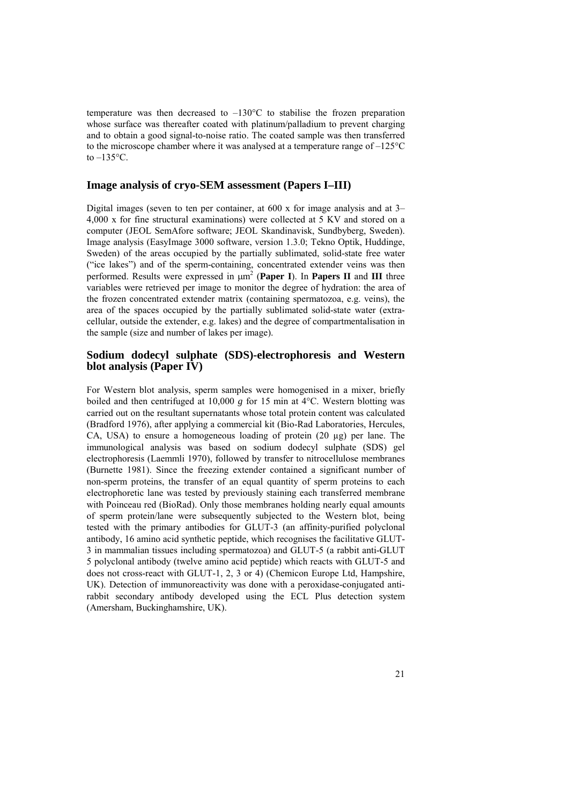temperature was then decreased to  $-130^{\circ}$ C to stabilise the frozen preparation whose surface was thereafter coated with platinum/palladium to prevent charging and to obtain a good signal-to-noise ratio. The coated sample was then transferred to the microscope chamber where it was analysed at a temperature range of –125°C to  $-135$ °C.

#### **Image analysis of cryo-SEM assessment (Papers I–III)**

Digital images (seven to ten per container, at 600 x for image analysis and at 3– 4,000 x for fine structural examinations) were collected at 5 KV and stored on a computer (JEOL SemAfore software; JEOL Skandinavisk, Sundbyberg, Sweden). Image analysis (EasyImage 3000 software, version 1.3.0; Tekno Optik, Huddinge, Sweden) of the areas occupied by the partially sublimated, solid-state free water ("ice lakes") and of the sperm-containing, concentrated extender veins was then performed. Results were expressed in μm2 (**Paper I**). In **Papers II** and **III** three variables were retrieved per image to monitor the degree of hydration: the area of the frozen concentrated extender matrix (containing spermatozoa, e.g. veins), the area of the spaces occupied by the partially sublimated solid-state water (extracellular, outside the extender, e.g. lakes) and the degree of compartmentalisation in the sample (size and number of lakes per image).

#### **Sodium dodecyl sulphate (SDS)-electrophoresis and Western blot analysis (Paper IV)**

For Western blot analysis, sperm samples were homogenised in a mixer, briefly boiled and then centrifuged at 10,000 *g* for 15 min at 4°C. Western blotting was carried out on the resultant supernatants whose total protein content was calculated (Bradford 1976), after applying a commercial kit (Bio-Rad Laboratories, Hercules, CA, USA) to ensure a homogeneous loading of protein (20 µg) per lane. The immunological analysis was based on sodium dodecyl sulphate (SDS) gel electrophoresis (Laemmli 1970), followed by transfer to nitrocellulose membranes (Burnette 1981). Since the freezing extender contained a significant number of non-sperm proteins, the transfer of an equal quantity of sperm proteins to each electrophoretic lane was tested by previously staining each transferred membrane with Poinceau red (BioRad). Only those membranes holding nearly equal amounts of sperm protein/lane were subsequently subjected to the Western blot, being tested with the primary antibodies for GLUT-3 (an affinity-purified polyclonal antibody, 16 amino acid synthetic peptide, which recognises the facilitative GLUT-3 in mammalian tissues including spermatozoa) and GLUT-5 (a rabbit anti-GLUT 5 polyclonal antibody (twelve amino acid peptide) which reacts with GLUT-5 and does not cross-react with GLUT-1, 2, 3 or 4) (Chemicon Europe Ltd, Hampshire, UK). Detection of immunoreactivity was done with a peroxidase-conjugated antirabbit secondary antibody developed using the ECL Plus detection system (Amersham, Buckinghamshire, UK).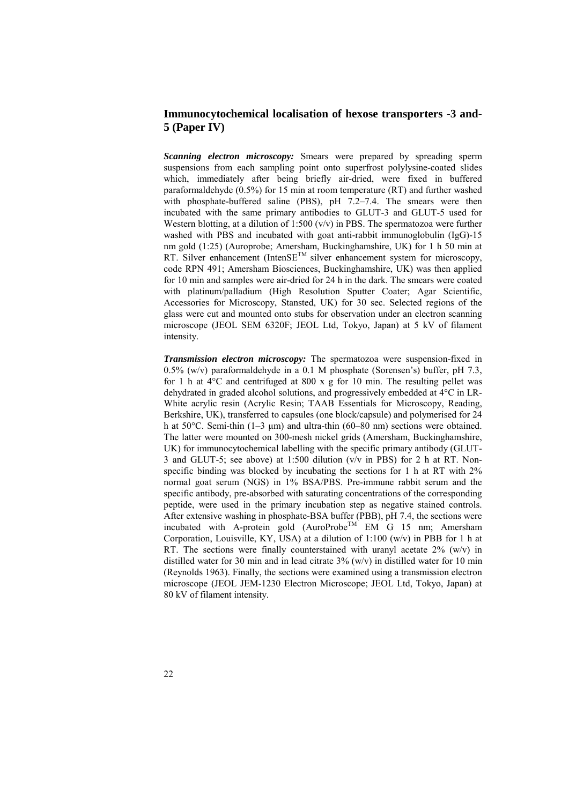#### **Immunocytochemical localisation of hexose transporters -3 and-5 (Paper IV)**

*Scanning electron microscopy:* Smears were prepared by spreading sperm suspensions from each sampling point onto superfrost polylysine-coated slides which, immediately after being briefly air-dried, were fixed in buffered paraformaldehyde (0.5%) for 15 min at room temperature (RT) and further washed with phosphate-buffered saline (PBS), pH 7.2-7.4. The smears were then incubated with the same primary antibodies to GLUT-3 and GLUT-5 used for Western blotting, at a dilution of 1:500  $(v/v)$  in PBS. The spermatozoa were further washed with PBS and incubated with goat anti-rabbit immunoglobulin (IgG)-15 nm gold (1:25) (Auroprobe; Amersham, Buckinghamshire, UK) for 1 h 50 min at RT. Silver enhancement (IntenSE<sup>TM</sup> silver enhancement system for microscopy, code RPN 491; Amersham Biosciences, Buckinghamshire, UK) was then applied for 10 min and samples were air-dried for 24 h in the dark. The smears were coated with platinum/palladium (High Resolution Sputter Coater; Agar Scientific, Accessories for Microscopy, Stansted, UK) for 30 sec. Selected regions of the glass were cut and mounted onto stubs for observation under an electron scanning microscope (JEOL SEM 6320F; JEOL Ltd, Tokyo, Japan) at 5 kV of filament intensity.

*Transmission electron microscopy:* The spermatozoa were suspension-fixed in 0.5% (w/v) paraformaldehyde in a 0.1 M phosphate (Sorensen's) buffer, pH 7.3, for 1 h at  $4^{\circ}$ C and centrifuged at 800 x g for 10 min. The resulting pellet was dehydrated in graded alcohol solutions, and progressively embedded at 4°C in LR-White acrylic resin (Acrylic Resin; TAAB Essentials for Microscopy, Reading, Berkshire, UK), transferred to capsules (one block/capsule) and polymerised for 24 h at 50°C. Semi-thin (1–3 μm) and ultra-thin (60–80 nm) sections were obtained. The latter were mounted on 300-mesh nickel grids (Amersham, Buckinghamshire, UK) for immunocytochemical labelling with the specific primary antibody (GLUT-3 and GLUT-5; see above) at 1:500 dilution (v/v in PBS) for 2 h at RT. Nonspecific binding was blocked by incubating the sections for 1 h at RT with 2% normal goat serum (NGS) in 1% BSA/PBS. Pre-immune rabbit serum and the specific antibody, pre-absorbed with saturating concentrations of the corresponding peptide, were used in the primary incubation step as negative stained controls. After extensive washing in phosphate-BSA buffer (PBB), pH 7.4, the sections were incubated with A-protein gold  $(AuroProbe^{TM}EM G 15 nm;$  Amersham Corporation, Louisville, KY, USA) at a dilution of 1:100 (w/v) in PBB for 1 h at RT. The sections were finally counterstained with uranyl acetate  $2\%$  (w/v) in distilled water for 30 min and in lead citrate  $3\%$  (w/v) in distilled water for 10 min (Reynolds 1963). Finally, the sections were examined using a transmission electron microscope (JEOL JEM-1230 Electron Microscope; JEOL Ltd, Tokyo, Japan) at 80 kV of filament intensity.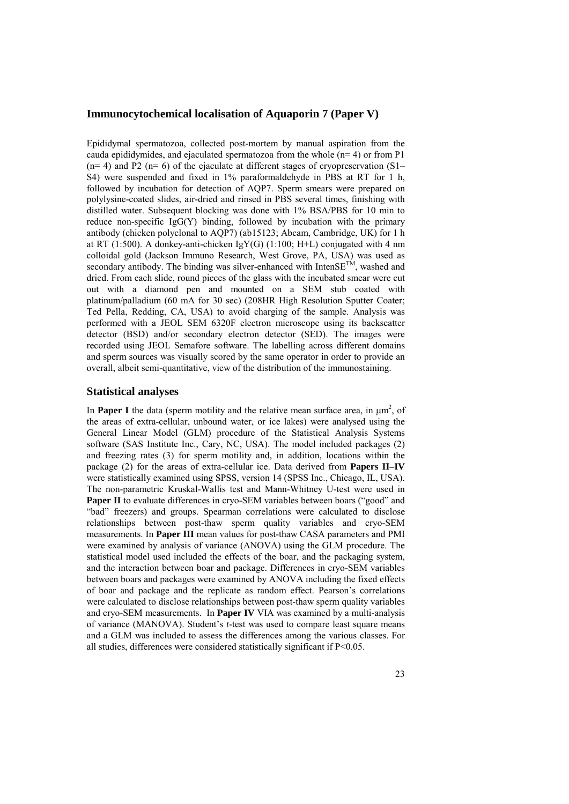#### **Immunocytochemical localisation of Aquaporin 7 (Paper V)**

Epididymal spermatozoa, collected post-mortem by manual aspiration from the cauda epididymides, and ejaculated spermatozoa from the whole  $(n=4)$  or from P1  $(n= 4)$  and P2 ( $n= 6$ ) of the ejaculate at different stages of cryopreservation (S1– S4) were suspended and fixed in 1% paraformaldehyde in PBS at RT for 1 h, followed by incubation for detection of AQP7. Sperm smears were prepared on polylysine-coated slides, air-dried and rinsed in PBS several times, finishing with distilled water. Subsequent blocking was done with 1% BSA/PBS for 10 min to reduce non-specific  $I\{gG(Y)\}$  binding, followed by incubation with the primary antibody (chicken polyclonal to AQP7) (ab15123; Abcam, Cambridge, UK) for 1 h at RT (1:500). A donkey-anti-chicken IgY(G) (1:100; H+L) conjugated with 4 nm colloidal gold (Jackson Immuno Research, West Grove, PA, USA) was used as secondary antibody. The binding was silver-enhanced with IntenSE<sup>TM</sup>, washed and dried. From each slide, round pieces of the glass with the incubated smear were cut out with a diamond pen and mounted on a SEM stub coated with platinum/palladium (60 mA for 30 sec) (208HR High Resolution Sputter Coater; Ted Pella, Redding, CA, USA) to avoid charging of the sample. Analysis was performed with a JEOL SEM 6320F electron microscope using its backscatter detector (BSD) and/or secondary electron detector (SED). The images were recorded using JEOL Semafore software. The labelling across different domains and sperm sources was visually scored by the same operator in order to provide an overall, albeit semi-quantitative, view of the distribution of the immunostaining.

#### **Statistical analyses**

In **Paper I** the data (sperm motility and the relative mean surface area, in  $\mu$ m<sup>2</sup>, of the areas of extra-cellular, unbound water, or ice lakes) were analysed using the General Linear Model (GLM) procedure of the Statistical Analysis Systems software (SAS Institute Inc., Cary, NC, USA). The model included packages (2) and freezing rates (3) for sperm motility and, in addition, locations within the package (2) for the areas of extra-cellular ice. Data derived from **Papers II–IV** were statistically examined using SPSS, version 14 (SPSS Inc., Chicago, IL, USA). The non-parametric Kruskal-Wallis test and Mann-Whitney U-test were used in Paper II to evaluate differences in cryo-SEM variables between boars ("good" and "bad" freezers) and groups. Spearman correlations were calculated to disclose relationships between post-thaw sperm quality variables and cryo-SEM measurements. In **Paper III** mean values for post-thaw CASA parameters and PMI were examined by analysis of variance (ANOVA) using the GLM procedure. The statistical model used included the effects of the boar, and the packaging system, and the interaction between boar and package. Differences in cryo-SEM variables between boars and packages were examined by ANOVA including the fixed effects of boar and package and the replicate as random effect. Pearson's correlations were calculated to disclose relationships between post-thaw sperm quality variables and cryo-SEM measurements. In **Paper IV** VIA was examined by a multi-analysis of variance (MANOVA). Student's *t*-test was used to compare least square means and a GLM was included to assess the differences among the various classes. For all studies, differences were considered statistically significant if P<0.05.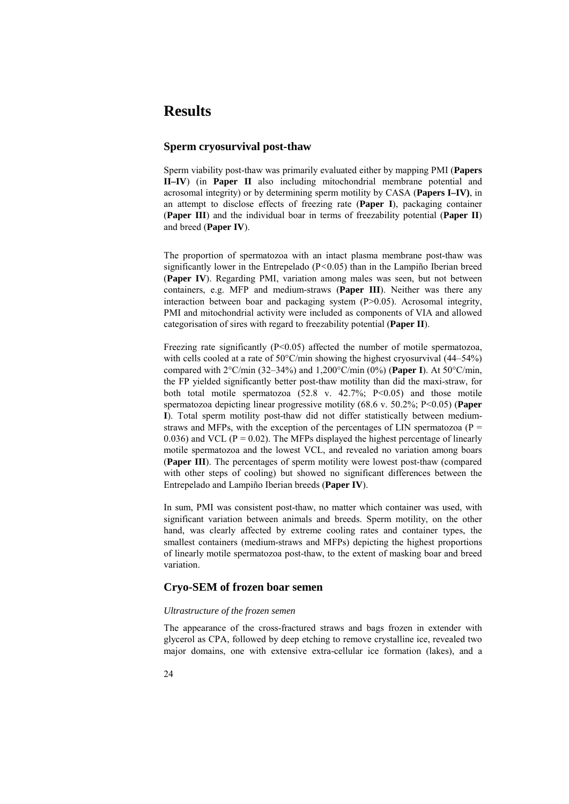## **Results**

#### **Sperm cryosurvival post-thaw**

Sperm viability post-thaw was primarily evaluated either by mapping PMI (**Papers II–IV**) (in **Paper II** also including mitochondrial membrane potential and acrosomal integrity) or by determining sperm motility by CASA (**Papers I–IV)**, in an attempt to disclose effects of freezing rate (**Paper I**), packaging container (**Paper III**) and the individual boar in terms of freezability potential (**Paper II**) and breed (**Paper IV**).

The proportion of spermatozoa with an intact plasma membrane post-thaw was significantly lower in the Entrepelado (P*<*0.05) than in the Lampiño Iberian breed (**Paper IV**). Regarding PMI, variation among males was seen, but not between containers, e.g. MFP and medium-straws (**Paper III**). Neither was there any interaction between boar and packaging system  $(P>0.05)$ . Acrosomal integrity, PMI and mitochondrial activity were included as components of VIA and allowed categorisation of sires with regard to freezability potential (**Paper II**).

Freezing rate significantly  $(P<0.05)$  affected the number of motile spermatozoa, with cells cooled at a rate of 50°C/min showing the highest cryosurvival (44–54%) compared with 2°C/min (32–34%) and 1,200°C/min (0%) (**Paper I**). At 50°C/min, the FP yielded significantly better post-thaw motility than did the maxi-straw, for both total motile spermatozoa  $(52.8 \text{ v. } 42.7\%; \text{ P} < 0.05)$  and those motile spermatozoa depicting linear progressive motility (68.6 v. 50.2%; P<0.05) (**Paper I**). Total sperm motility post-thaw did not differ statistically between mediumstraws and MFPs, with the exception of the percentages of LIN spermatozoa ( $P =$ 0.036) and VCL ( $P = 0.02$ ). The MFPs displayed the highest percentage of linearly motile spermatozoa and the lowest VCL, and revealed no variation among boars (**Paper III**). The percentages of sperm motility were lowest post-thaw (compared with other steps of cooling) but showed no significant differences between the Entrepelado and Lampiño Iberian breeds (**Paper IV**).

In sum, PMI was consistent post-thaw, no matter which container was used, with significant variation between animals and breeds. Sperm motility, on the other hand, was clearly affected by extreme cooling rates and container types, the smallest containers (medium-straws and MFPs) depicting the highest proportions of linearly motile spermatozoa post-thaw, to the extent of masking boar and breed variation.

#### **Cryo-SEM of frozen boar semen**

#### *Ultrastructure of the frozen semen*

The appearance of the cross-fractured straws and bags frozen in extender with glycerol as CPA, followed by deep etching to remove crystalline ice, revealed two major domains, one with extensive extra-cellular ice formation (lakes), and a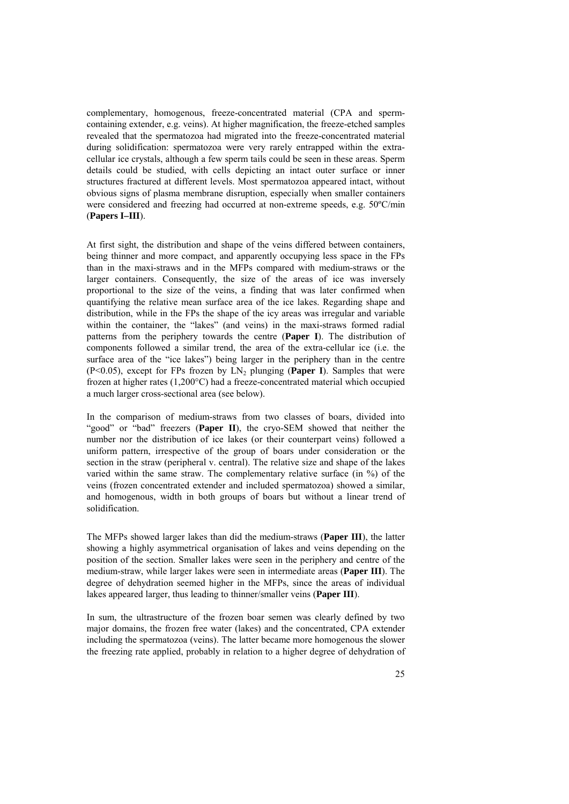complementary, homogenous, freeze-concentrated material (CPA and spermcontaining extender, e.g. veins). At higher magnification, the freeze-etched samples revealed that the spermatozoa had migrated into the freeze-concentrated material during solidification: spermatozoa were very rarely entrapped within the extracellular ice crystals, although a few sperm tails could be seen in these areas. Sperm details could be studied, with cells depicting an intact outer surface or inner structures fractured at different levels. Most spermatozoa appeared intact, without obvious signs of plasma membrane disruption, especially when smaller containers were considered and freezing had occurred at non-extreme speeds, e.g. 50ºC/min (**Papers I–III**).

At first sight, the distribution and shape of the veins differed between containers, being thinner and more compact, and apparently occupying less space in the FPs than in the maxi-straws and in the MFPs compared with medium-straws or the larger containers. Consequently, the size of the areas of ice was inversely proportional to the size of the veins, a finding that was later confirmed when quantifying the relative mean surface area of the ice lakes. Regarding shape and distribution, while in the FPs the shape of the icy areas was irregular and variable within the container, the "lakes" (and veins) in the maxi-straws formed radial patterns from the periphery towards the centre (**Paper I**). The distribution of components followed a similar trend, the area of the extra-cellular ice (i.e. the surface area of the "ice lakes") being larger in the periphery than in the centre (P<0.05), except for FPs frozen by  $LN_2$  plunging (**Paper I**). Samples that were frozen at higher rates (1,200°C) had a freeze-concentrated material which occupied a much larger cross-sectional area (see below).

In the comparison of medium-straws from two classes of boars, divided into "good" or "bad" freezers (Paper II), the cryo-SEM showed that neither the number nor the distribution of ice lakes (or their counterpart veins) followed a uniform pattern, irrespective of the group of boars under consideration or the section in the straw (peripheral v. central). The relative size and shape of the lakes varied within the same straw. The complementary relative surface (in %) of the veins (frozen concentrated extender and included spermatozoa) showed a similar, and homogenous, width in both groups of boars but without a linear trend of solidification.

The MFPs showed larger lakes than did the medium-straws (**Paper III**), the latter showing a highly asymmetrical organisation of lakes and veins depending on the position of the section. Smaller lakes were seen in the periphery and centre of the medium-straw, while larger lakes were seen in intermediate areas (**Paper III**). The degree of dehydration seemed higher in the MFPs, since the areas of individual lakes appeared larger, thus leading to thinner/smaller veins (**Paper III**).

In sum, the ultrastructure of the frozen boar semen was clearly defined by two major domains, the frozen free water (lakes) and the concentrated, CPA extender including the spermatozoa (veins). The latter became more homogenous the slower the freezing rate applied, probably in relation to a higher degree of dehydration of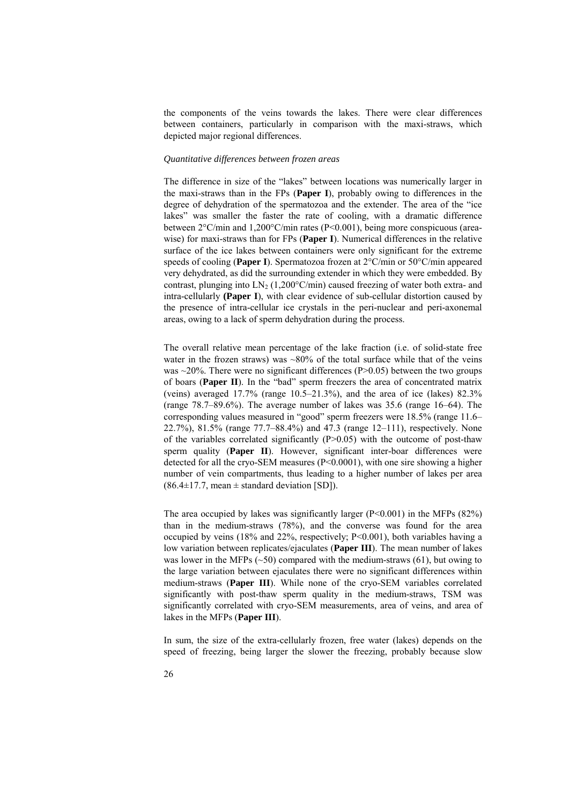the components of the veins towards the lakes. There were clear differences between containers, particularly in comparison with the maxi-straws, which depicted major regional differences.

#### *Quantitative differences between frozen areas*

The difference in size of the "lakes" between locations was numerically larger in the maxi-straws than in the FPs (**Paper I**), probably owing to differences in the degree of dehydration of the spermatozoa and the extender. The area of the "ice lakes" was smaller the faster the rate of cooling, with a dramatic difference between 2°C/min and 1,200°C/min rates (P<0.001), being more conspicuous (areawise) for maxi-straws than for FPs (**Paper I**). Numerical differences in the relative surface of the ice lakes between containers were only significant for the extreme speeds of cooling (**Paper I**). Spermatozoa frozen at 2°C/min or 50°C/min appeared very dehydrated, as did the surrounding extender in which they were embedded. By contrast, plunging into  $LN_2$  (1,200°C/min) caused freezing of water both extra- and intra-cellularly **(Paper I**), with clear evidence of sub-cellular distortion caused by the presence of intra-cellular ice crystals in the peri-nuclear and peri-axonemal areas, owing to a lack of sperm dehydration during the process.

The overall relative mean percentage of the lake fraction (i.e. of solid-state free water in the frozen straws) was  $\sim 80\%$  of the total surface while that of the veins was  $\sim$ 20%. There were no significant differences (P>0.05) between the two groups of boars (**Paper II**). In the "bad" sperm freezers the area of concentrated matrix (veins) averaged  $17.7\%$  (range  $10.5-21.3\%$ ), and the area of ice (lakes)  $82.3\%$ (range 78.7–89.6%). The average number of lakes was 35.6 (range 16–64). The corresponding values measured in "good" sperm freezers were 18.5% (range 11.6– 22.7%), 81.5% (range 77.7–88.4%) and 47.3 (range 12–111), respectively. None of the variables correlated significantly  $(P>0.05)$  with the outcome of post-thaw sperm quality (**Paper II**). However, significant inter-boar differences were detected for all the cryo-SEM measures (P<0.0001), with one sire showing a higher number of vein compartments, thus leading to a higher number of lakes per area  $(86.4\pm17.7, \text{mean} \pm \text{standard deviation} [\text{SD}]).$ 

The area occupied by lakes was significantly larger  $(P<0.001)$  in the MFPs (82%) than in the medium-straws (78%), and the converse was found for the area occupied by veins (18% and 22%, respectively; P<0.001), both variables having a low variation between replicates/ejaculates (**Paper III**). The mean number of lakes was lower in the MFPs  $(\sim 50)$  compared with the medium-straws (61), but owing to the large variation between ejaculates there were no significant differences within medium-straws (**Paper III**). While none of the cryo-SEM variables correlated significantly with post-thaw sperm quality in the medium-straws, TSM was significantly correlated with cryo-SEM measurements, area of veins, and area of lakes in the MFPs (**Paper III**).

In sum, the size of the extra-cellularly frozen, free water (lakes) depends on the speed of freezing, being larger the slower the freezing, probably because slow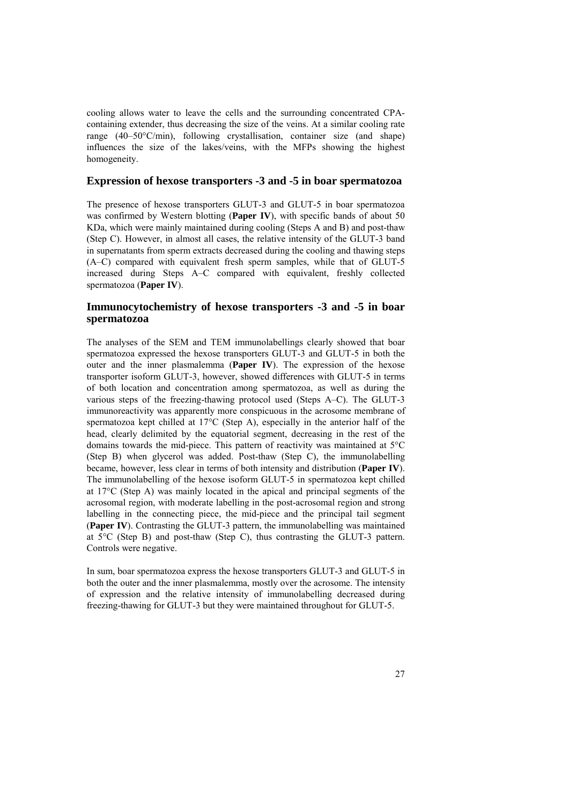cooling allows water to leave the cells and the surrounding concentrated CPAcontaining extender, thus decreasing the size of the veins. At a similar cooling rate range (40–50°C/min), following crystallisation, container size (and shape) influences the size of the lakes/veins, with the MFPs showing the highest homogeneity.

#### **Expression of hexose transporters -3 and -5 in boar spermatozoa**

The presence of hexose transporters GLUT-3 and GLUT-5 in boar spermatozoa was confirmed by Western blotting (**Paper IV**), with specific bands of about 50 KDa, which were mainly maintained during cooling (Steps A and B) and post-thaw (Step C). However, in almost all cases, the relative intensity of the GLUT-3 band in supernatants from sperm extracts decreased during the cooling and thawing steps (A–C) compared with equivalent fresh sperm samples, while that of GLUT-5 increased during Steps A–C compared with equivalent, freshly collected spermatozoa (**Paper IV**).

#### **Immunocytochemistry of hexose transporters -3 and -5 in boar spermatozoa**

The analyses of the SEM and TEM immunolabellings clearly showed that boar spermatozoa expressed the hexose transporters GLUT-3 and GLUT-5 in both the outer and the inner plasmalemma (**Paper IV**). The expression of the hexose transporter isoform GLUT-3, however, showed differences with GLUT-5 in terms of both location and concentration among spermatozoa, as well as during the various steps of the freezing-thawing protocol used (Steps A–C). The GLUT-3 immunoreactivity was apparently more conspicuous in the acrosome membrane of spermatozoa kept chilled at 17°C (Step A), especially in the anterior half of the head, clearly delimited by the equatorial segment, decreasing in the rest of the domains towards the mid-piece. This pattern of reactivity was maintained at 5°C (Step B) when glycerol was added. Post-thaw (Step C), the immunolabelling became, however, less clear in terms of both intensity and distribution (**Paper IV**). The immunolabelling of the hexose isoform GLUT-5 in spermatozoa kept chilled at 17°C (Step A) was mainly located in the apical and principal segments of the acrosomal region, with moderate labelling in the post-acrosomal region and strong labelling in the connecting piece, the mid-piece and the principal tail segment (**Paper IV**). Contrasting the GLUT-3 pattern, the immunolabelling was maintained at 5°C (Step B) and post-thaw (Step C), thus contrasting the GLUT-3 pattern. Controls were negative.

In sum, boar spermatozoa express the hexose transporters GLUT-3 and GLUT-5 in both the outer and the inner plasmalemma, mostly over the acrosome. The intensity of expression and the relative intensity of immunolabelling decreased during freezing-thawing for GLUT-3 but they were maintained throughout for GLUT-5.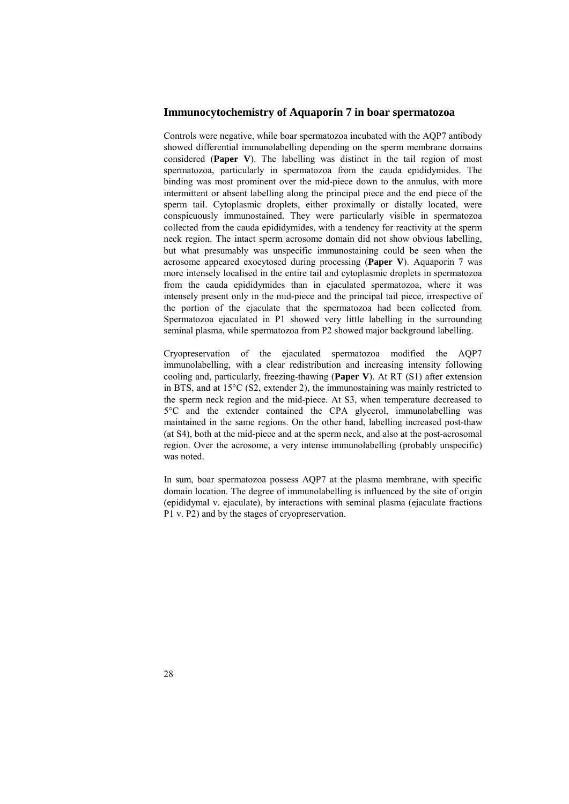#### **Immunocytochemistry of Aquaporin 7 in boar spermatozoa**

Controls were negative, while boar spermatozoa incubated with the AQP7 antibody showed differential immunolabelling depending on the sperm membrane domains considered (**Paper V**). The labelling was distinct in the tail region of most spermatozoa, particularly in spermatozoa from the cauda epididymides. The binding was most prominent over the mid-piece down to the annulus, with more intermittent or absent labelling along the principal piece and the end piece of the sperm tail. Cytoplasmic droplets, either proximally or distally located, were conspicuously immunostained. They were particularly visible in spermatozoa collected from the cauda epididymides, with a tendency for reactivity at the sperm neck region. The intact sperm acrosome domain did not show obvious labelling, but what presumably was unspecific immunostaining could be seen when the acrosome appeared exocytosed during processing (**Paper V**). Aquaporin 7 was more intensely localised in the entire tail and cytoplasmic droplets in spermatozoa from the cauda epididymides than in ejaculated spermatozoa, where it was intensely present only in the mid-piece and the principal tail piece, irrespective of the portion of the ejaculate that the spermatozoa had been collected from. Spermatozoa ejaculated in P1 showed very little labelling in the surrounding seminal plasma, while spermatozoa from P2 showed major background labelling.

Cryopreservation of the ejaculated spermatozoa modified the AQP7 immunolabelling, with a clear redistribution and increasing intensity following cooling and, particularly, freezing-thawing (**Paper V**). At RT (S1) after extension in BTS, and at 15°C (S2, extender 2), the immunostaining was mainly restricted to the sperm neck region and the mid-piece. At S3, when temperature decreased to 5°C and the extender contained the CPA glycerol, immunolabelling was maintained in the same regions. On the other hand, labelling increased post-thaw (at S4), both at the mid-piece and at the sperm neck, and also at the post-acrosomal region. Over the acrosome, a very intense immunolabelling (probably unspecific) was noted.

In sum, boar spermatozoa possess AQP7 at the plasma membrane, with specific domain location. The degree of immunolabelling is influenced by the site of origin (epididymal v. ejaculate), by interactions with seminal plasma (ejaculate fractions P1 v. P2) and by the stages of cryopreservation.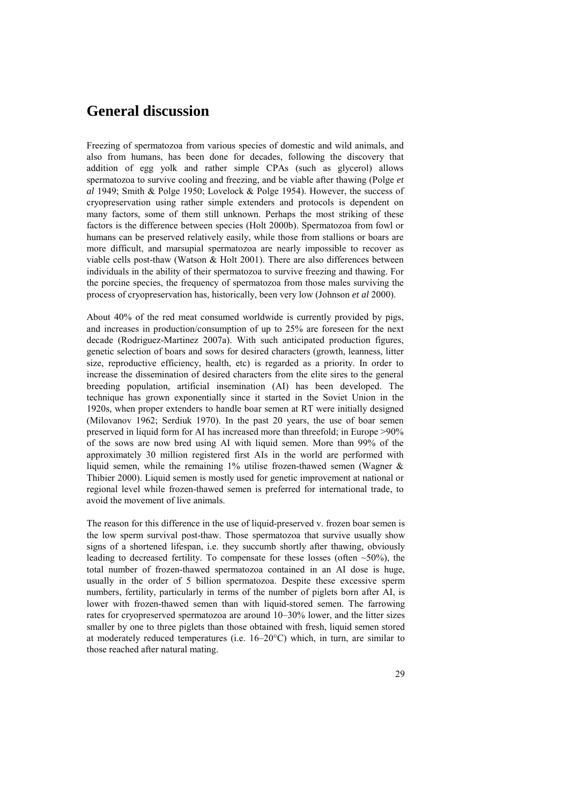### **General discussion**

Freezing of spermatozoa from various species of domestic and wild animals, and also from humans, has been done for decades, following the discovery that addition of egg yolk and rather simple CPAs (such as glycerol) allows spermatozoa to survive cooling and freezing, and be viable after thawing (Polge *et al* 1949; Smith & Polge 1950; Lovelock & Polge 1954). However, the success of cryopreservation using rather simple extenders and protocols is dependent on many factors, some of them still unknown. Perhaps the most striking of these factors is the difference between species (Holt 2000b). Spermatozoa from fowl or humans can be preserved relatively easily, while those from stallions or boars are more difficult, and marsupial spermatozoa are nearly impossible to recover as viable cells post-thaw (Watson & Holt 2001). There are also differences between individuals in the ability of their spermatozoa to survive freezing and thawing. For the porcine species, the frequency of spermatozoa from those males surviving the process of cryopreservation has, historically, been very low (Johnson *et al* 2000).

About 40% of the red meat consumed worldwide is currently provided by pigs, and increases in production/consumption of up to 25% are foreseen for the next decade (Rodriguez-Martinez 2007a). With such anticipated production figures, genetic selection of boars and sows for desired characters (growth, leanness, litter size, reproductive efficiency, health, etc) is regarded as a priority. In order to increase the dissemination of desired characters from the elite sires to the general breeding population, artificial insemination (AI) has been developed. The technique has grown exponentially since it started in the Soviet Union in the 1920s, when proper extenders to handle boar semen at RT were initially designed (Milovanov 1962; Serdiuk 1970). In the past 20 years, the use of boar semen preserved in liquid form for AI has increased more than threefold; in Europe >90% of the sows are now bred using AI with liquid semen. More than 99% of the approximately 30 million registered first AIs in the world are performed with liquid semen, while the remaining 1% utilise frozen-thawed semen (Wagner & Thibier 2000). Liquid semen is mostly used for genetic improvement at national or regional level while frozen-thawed semen is preferred for international trade, to avoid the movement of live animals.

The reason for this difference in the use of liquid-preserved v. frozen boar semen is the low sperm survival post-thaw. Those spermatozoa that survive usually show signs of a shortened lifespan, i.e. they succumb shortly after thawing, obviously leading to decreased fertility. To compensate for these losses (often  $~50\%$ ), the total number of frozen-thawed spermatozoa contained in an AI dose is huge, usually in the order of 5 billion spermatozoa. Despite these excessive sperm numbers, fertility, particularly in terms of the number of piglets born after AI, is lower with frozen-thawed semen than with liquid-stored semen. The farrowing rates for cryopreserved spermatozoa are around 10–30% lower, and the litter sizes smaller by one to three piglets than those obtained with fresh, liquid semen stored at moderately reduced temperatures (i.e. 16–20°C) which, in turn, are similar to those reached after natural mating.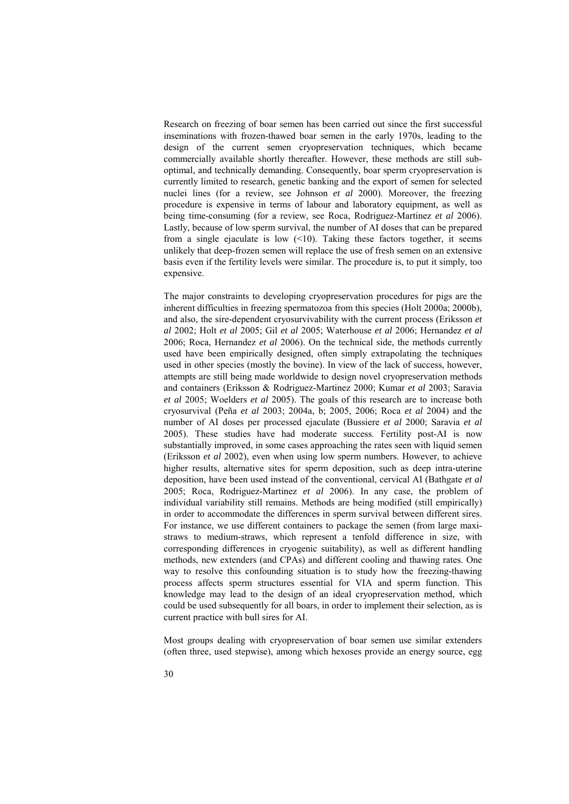Research on freezing of boar semen has been carried out since the first successful inseminations with frozen-thawed boar semen in the early 1970s, leading to the design of the current semen cryopreservation techniques, which became commercially available shortly thereafter. However, these methods are still suboptimal, and technically demanding. Consequently, boar sperm cryopreservation is currently limited to research, genetic banking and the export of semen for selected nuclei lines (for a review, see Johnson *et al* 2000). Moreover, the freezing procedure is expensive in terms of labour and laboratory equipment, as well as being time-consuming (for a review, see Roca, Rodriguez-Martinez *et al* 2006). Lastly, because of low sperm survival, the number of AI doses that can be prepared from a single ejaculate is low  $\left($ <10). Taking these factors together, it seems unlikely that deep-frozen semen will replace the use of fresh semen on an extensive basis even if the fertility levels were similar. The procedure is, to put it simply, too expensive.

The major constraints to developing cryopreservation procedures for pigs are the inherent difficulties in freezing spermatozoa from this species (Holt 2000a; 2000b), and also, the sire-dependent cryosurvivability with the current process (Eriksson *et al* 2002; Holt *et al* 2005; Gil *et al* 2005; Waterhouse *et al* 2006; Hernandez *et al* 2006; Roca, Hernandez *et al* 2006). On the technical side, the methods currently used have been empirically designed, often simply extrapolating the techniques used in other species (mostly the bovine). In view of the lack of success, however, attempts are still being made worldwide to design novel cryopreservation methods and containers (Eriksson & Rodriguez-Martinez 2000; Kumar *et al* 2003; Saravia *et al* 2005; Woelders *et al* 2005). The goals of this research are to increase both cryosurvival (Peña *et al* 2003; 2004a, b; 2005, 2006; Roca *et al* 2004) and the number of AI doses per processed ejaculate (Bussiere *et al* 2000; Saravia *et al*  2005). These studies have had moderate success. Fertility post-AI is now substantially improved, in some cases approaching the rates seen with liquid semen (Eriksson *et al* 2002), even when using low sperm numbers. However, to achieve higher results, alternative sites for sperm deposition, such as deep intra-uterine deposition, have been used instead of the conventional, cervical AI (Bathgate *et al* 2005; Roca, Rodriguez-Martinez *et al* 2006). In any case, the problem of individual variability still remains. Methods are being modified (still empirically) in order to accommodate the differences in sperm survival between different sires. For instance, we use different containers to package the semen (from large maxistraws to medium-straws, which represent a tenfold difference in size, with corresponding differences in cryogenic suitability), as well as different handling methods, new extenders (and CPAs) and different cooling and thawing rates. One way to resolve this confounding situation is to study how the freezing-thawing process affects sperm structures essential for VIA and sperm function. This knowledge may lead to the design of an ideal cryopreservation method, which could be used subsequently for all boars, in order to implement their selection, as is current practice with bull sires for AI.

Most groups dealing with cryopreservation of boar semen use similar extenders (often three, used stepwise), among which hexoses provide an energy source, egg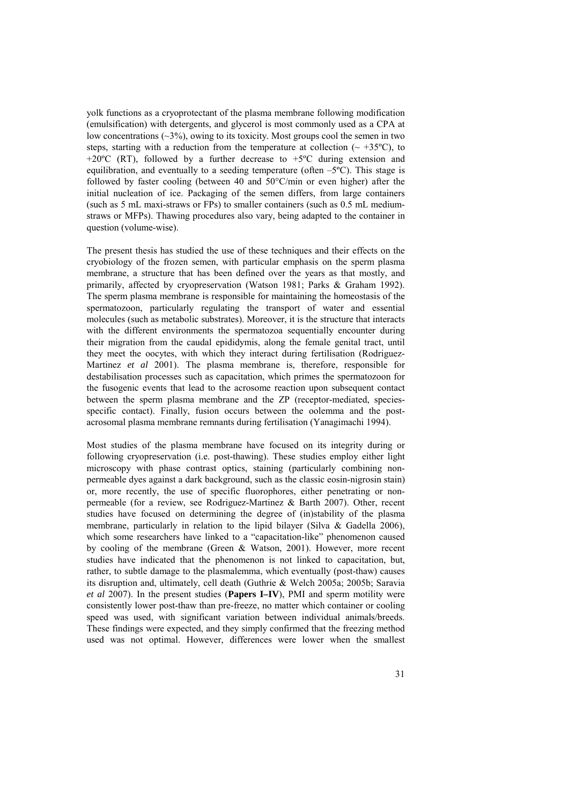yolk functions as a cryoprotectant of the plasma membrane following modification (emulsification) with detergents, and glycerol is most commonly used as a CPA at low concentrations  $(\sim 3\%)$ , owing to its toxicity. Most groups cool the semen in two steps, starting with a reduction from the temperature at collection ( $\sim$  +35 $^{\circ}$ C), to +20 $^{\circ}$ C (RT), followed by a further decrease to +5 $^{\circ}$ C during extension and equilibration, and eventually to a seeding temperature (often  $-5^{\circ}$ C). This stage is followed by faster cooling (between 40 and 50°C/min or even higher) after the initial nucleation of ice. Packaging of the semen differs, from large containers (such as 5 mL maxi-straws or FPs) to smaller containers (such as 0.5 mL mediumstraws or MFPs). Thawing procedures also vary, being adapted to the container in question (volume-wise).

The present thesis has studied the use of these techniques and their effects on the cryobiology of the frozen semen, with particular emphasis on the sperm plasma membrane, a structure that has been defined over the years as that mostly, and primarily, affected by cryopreservation (Watson 1981; Parks & Graham 1992). The sperm plasma membrane is responsible for maintaining the homeostasis of the spermatozoon, particularly regulating the transport of water and essential molecules (such as metabolic substrates). Moreover, it is the structure that interacts with the different environments the spermatozoa sequentially encounter during their migration from the caudal epididymis, along the female genital tract, until they meet the oocytes, with which they interact during fertilisation (Rodriguez-Martinez *et al* 2001). The plasma membrane is, therefore, responsible for destabilisation processes such as capacitation, which primes the spermatozoon for the fusogenic events that lead to the acrosome reaction upon subsequent contact between the sperm plasma membrane and the ZP (receptor-mediated, speciesspecific contact). Finally, fusion occurs between the oolemma and the postacrosomal plasma membrane remnants during fertilisation (Yanagimachi 1994).

Most studies of the plasma membrane have focused on its integrity during or following cryopreservation (i.e. post-thawing). These studies employ either light microscopy with phase contrast optics, staining (particularly combining nonpermeable dyes against a dark background, such as the classic eosin-nigrosin stain) or, more recently, the use of specific fluorophores, either penetrating or nonpermeable (for a review, see Rodriguez-Martinez & Barth 2007). Other, recent studies have focused on determining the degree of (in)stability of the plasma membrane, particularly in relation to the lipid bilayer (Silva & Gadella 2006), which some researchers have linked to a "capacitation-like" phenomenon caused by cooling of the membrane (Green & Watson, 2001). However, more recent studies have indicated that the phenomenon is not linked to capacitation, but, rather, to subtle damage to the plasmalemma, which eventually (post-thaw) causes its disruption and, ultimately, cell death (Guthrie & Welch 2005a; 2005b; Saravia *et al* 2007). In the present studies (**Papers I–IV**), PMI and sperm motility were consistently lower post-thaw than pre-freeze, no matter which container or cooling speed was used, with significant variation between individual animals/breeds. These findings were expected, and they simply confirmed that the freezing method used was not optimal. However, differences were lower when the smallest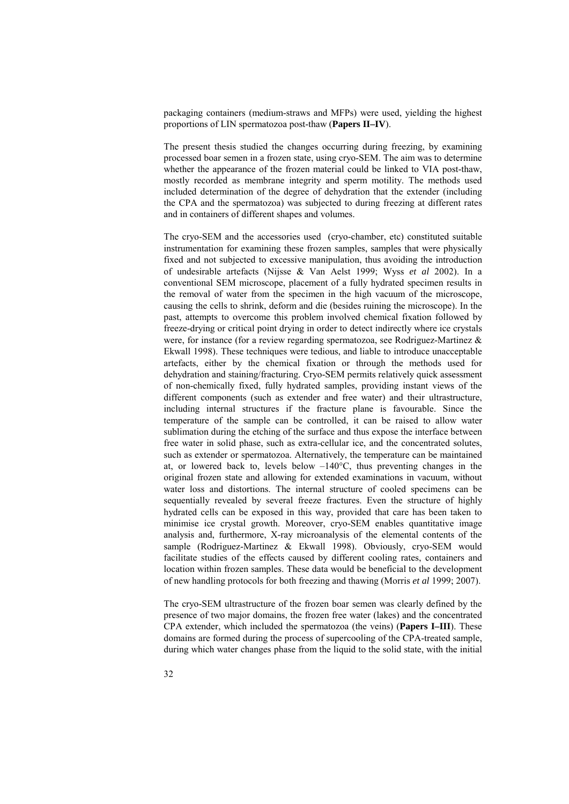packaging containers (medium-straws and MFPs) were used, yielding the highest proportions of LIN spermatozoa post-thaw (**Papers II–IV**).

The present thesis studied the changes occurring during freezing, by examining processed boar semen in a frozen state, using cryo-SEM. The aim was to determine whether the appearance of the frozen material could be linked to VIA post-thaw, mostly recorded as membrane integrity and sperm motility. The methods used included determination of the degree of dehydration that the extender (including the CPA and the spermatozoa) was subjected to during freezing at different rates and in containers of different shapes and volumes.

The cryo-SEM and the accessories used (cryo-chamber, etc) constituted suitable instrumentation for examining these frozen samples, samples that were physically fixed and not subjected to excessive manipulation, thus avoiding the introduction of undesirable artefacts (Nijsse & Van Aelst 1999; Wyss *et al* 2002). In a conventional SEM microscope, placement of a fully hydrated specimen results in the removal of water from the specimen in the high vacuum of the microscope, causing the cells to shrink, deform and die (besides ruining the microscope). In the past, attempts to overcome this problem involved chemical fixation followed by freeze-drying or critical point drying in order to detect indirectly where ice crystals were, for instance (for a review regarding spermatozoa, see Rodriguez-Martinez & Ekwall 1998). These techniques were tedious, and liable to introduce unacceptable artefacts, either by the chemical fixation or through the methods used for dehydration and staining/fracturing. Cryo-SEM permits relatively quick assessment of non-chemically fixed, fully hydrated samples, providing instant views of the different components (such as extender and free water) and their ultrastructure, including internal structures if the fracture plane is favourable. Since the temperature of the sample can be controlled, it can be raised to allow water sublimation during the etching of the surface and thus expose the interface between free water in solid phase, such as extra-cellular ice, and the concentrated solutes, such as extender or spermatozoa. Alternatively, the temperature can be maintained at, or lowered back to, levels below –140°C, thus preventing changes in the original frozen state and allowing for extended examinations in vacuum, without water loss and distortions. The internal structure of cooled specimens can be sequentially revealed by several freeze fractures. Even the structure of highly hydrated cells can be exposed in this way, provided that care has been taken to minimise ice crystal growth. Moreover, cryo-SEM enables quantitative image analysis and, furthermore, X-ray microanalysis of the elemental contents of the sample (Rodriguez-Martinez & Ekwall 1998). Obviously, cryo-SEM would facilitate studies of the effects caused by different cooling rates, containers and location within frozen samples. These data would be beneficial to the development of new handling protocols for both freezing and thawing (Morris *et al* 1999; 2007).

The cryo-SEM ultrastructure of the frozen boar semen was clearly defined by the presence of two major domains, the frozen free water (lakes) and the concentrated CPA extender, which included the spermatozoa (the veins) (**Papers I–III**). These domains are formed during the process of supercooling of the CPA-treated sample, during which water changes phase from the liquid to the solid state, with the initial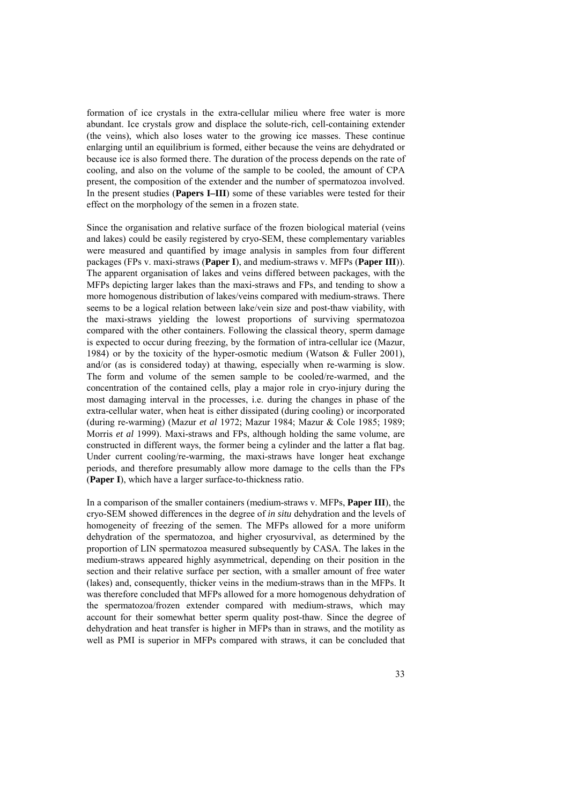formation of ice crystals in the extra-cellular milieu where free water is more abundant. Ice crystals grow and displace the solute-rich, cell-containing extender (the veins), which also loses water to the growing ice masses. These continue enlarging until an equilibrium is formed, either because the veins are dehydrated or because ice is also formed there. The duration of the process depends on the rate of cooling, and also on the volume of the sample to be cooled, the amount of CPA present, the composition of the extender and the number of spermatozoa involved. In the present studies (**Papers I–III**) some of these variables were tested for their effect on the morphology of the semen in a frozen state.

Since the organisation and relative surface of the frozen biological material (veins and lakes) could be easily registered by cryo-SEM, these complementary variables were measured and quantified by image analysis in samples from four different packages (FPs v. maxi-straws (**Paper I**), and medium-straws v. MFPs (**Paper III**)). The apparent organisation of lakes and veins differed between packages, with the MFPs depicting larger lakes than the maxi-straws and FPs, and tending to show a more homogenous distribution of lakes/veins compared with medium-straws. There seems to be a logical relation between lake/vein size and post-thaw viability, with the maxi-straws yielding the lowest proportions of surviving spermatozoa compared with the other containers. Following the classical theory, sperm damage is expected to occur during freezing, by the formation of intra-cellular ice (Mazur, 1984) or by the toxicity of the hyper-osmotic medium (Watson & Fuller 2001), and/or (as is considered today) at thawing, especially when re-warming is slow. The form and volume of the semen sample to be cooled/re-warmed, and the concentration of the contained cells, play a major role in cryo-injury during the most damaging interval in the processes, i.e. during the changes in phase of the extra-cellular water, when heat is either dissipated (during cooling) or incorporated (during re-warming) (Mazur *et al* 1972; Mazur 1984; Mazur & Cole 1985; 1989; Morris *et al* 1999). Maxi-straws and FPs, although holding the same volume, are constructed in different ways, the former being a cylinder and the latter a flat bag. Under current cooling/re-warming, the maxi-straws have longer heat exchange periods, and therefore presumably allow more damage to the cells than the FPs (**Paper I**), which have a larger surface-to-thickness ratio.

In a comparison of the smaller containers (medium-straws v. MFPs, **Paper III**), the cryo-SEM showed differences in the degree of *in situ* dehydration and the levels of homogeneity of freezing of the semen. The MFPs allowed for a more uniform dehydration of the spermatozoa, and higher cryosurvival, as determined by the proportion of LIN spermatozoa measured subsequently by CASA. The lakes in the medium-straws appeared highly asymmetrical, depending on their position in the section and their relative surface per section, with a smaller amount of free water (lakes) and, consequently, thicker veins in the medium-straws than in the MFPs. It was therefore concluded that MFPs allowed for a more homogenous dehydration of the spermatozoa/frozen extender compared with medium-straws, which may account for their somewhat better sperm quality post-thaw. Since the degree of dehydration and heat transfer is higher in MFPs than in straws, and the motility as well as PMI is superior in MFPs compared with straws, it can be concluded that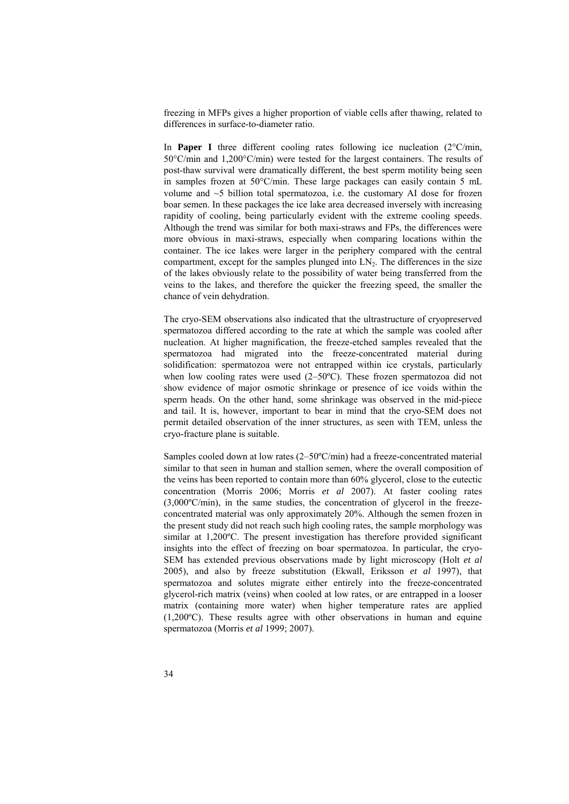freezing in MFPs gives a higher proportion of viable cells after thawing, related to differences in surface-to-diameter ratio.

In **Paper I** three different cooling rates following ice nucleation  $(2^{\circ}C/\text{min})$ , 50°C/min and 1,200°C/min) were tested for the largest containers. The results of post-thaw survival were dramatically different, the best sperm motility being seen in samples frozen at 50°C/min. These large packages can easily contain 5 mL volume and ~5 billion total spermatozoa, i.e. the customary AI dose for frozen boar semen. In these packages the ice lake area decreased inversely with increasing rapidity of cooling, being particularly evident with the extreme cooling speeds. Although the trend was similar for both maxi-straws and FPs, the differences were more obvious in maxi-straws, especially when comparing locations within the container. The ice lakes were larger in the periphery compared with the central compartment, except for the samples plunged into  $LN<sub>2</sub>$ . The differences in the size of the lakes obviously relate to the possibility of water being transferred from the veins to the lakes, and therefore the quicker the freezing speed, the smaller the chance of vein dehydration.

The cryo-SEM observations also indicated that the ultrastructure of cryopreserved spermatozoa differed according to the rate at which the sample was cooled after nucleation. At higher magnification, the freeze-etched samples revealed that the spermatozoa had migrated into the freeze-concentrated material during solidification: spermatozoa were not entrapped within ice crystals, particularly when low cooling rates were used (2–50ºC). These frozen spermatozoa did not show evidence of major osmotic shrinkage or presence of ice voids within the sperm heads. On the other hand, some shrinkage was observed in the mid-piece and tail. It is, however, important to bear in mind that the cryo-SEM does not permit detailed observation of the inner structures, as seen with TEM, unless the cryo-fracture plane is suitable.

Samples cooled down at low rates (2–50ºC/min) had a freeze-concentrated material similar to that seen in human and stallion semen, where the overall composition of the veins has been reported to contain more than 60% glycerol, close to the eutectic concentration (Morris 2006; Morris *et al* 2007). At faster cooling rates (3,000ºC/min), in the same studies, the concentration of glycerol in the freezeconcentrated material was only approximately 20%. Although the semen frozen in the present study did not reach such high cooling rates, the sample morphology was similar at 1,200ºC. The present investigation has therefore provided significant insights into the effect of freezing on boar spermatozoa. In particular, the cryo-SEM has extended previous observations made by light microscopy (Holt *et al* 2005), and also by freeze substitution (Ekwall, Eriksson *et al* 1997), that spermatozoa and solutes migrate either entirely into the freeze-concentrated glycerol-rich matrix (veins) when cooled at low rates, or are entrapped in a looser matrix (containing more water) when higher temperature rates are applied  $(1.200\textdegree C)$ . These results agree with other observations in human and equine spermatozoa (Morris *et al* 1999; 2007).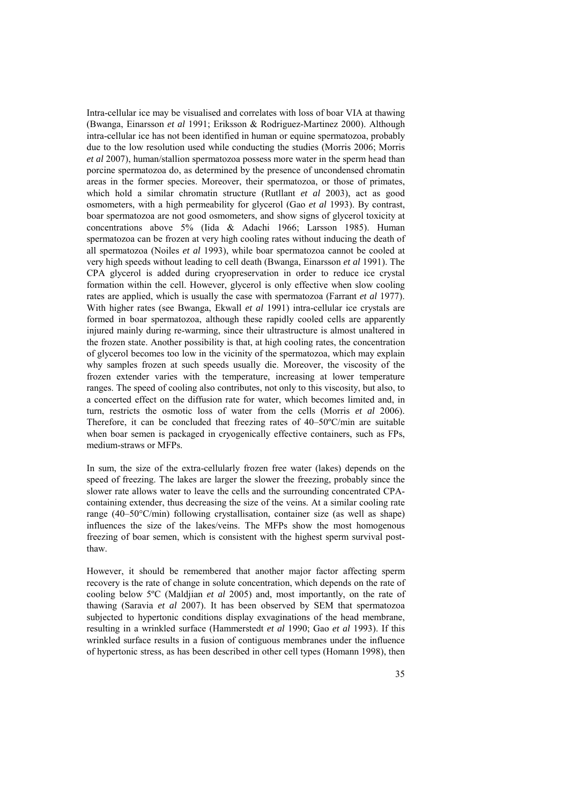Intra-cellular ice may be visualised and correlates with loss of boar VIA at thawing (Bwanga, Einarsson *et al* 1991; Eriksson & Rodriguez-Martinez 2000). Although intra-cellular ice has not been identified in human or equine spermatozoa, probably due to the low resolution used while conducting the studies (Morris 2006; Morris *et al* 2007), human/stallion spermatozoa possess more water in the sperm head than porcine spermatozoa do, as determined by the presence of uncondensed chromatin areas in the former species. Moreover, their spermatozoa, or those of primates, which hold a similar chromatin structure (Rutllant *et al* 2003), act as good osmometers, with a high permeability for glycerol (Gao *et al* 1993). By contrast, boar spermatozoa are not good osmometers, and show signs of glycerol toxicity at concentrations above 5% (Iida & Adachi 1966; Larsson 1985). Human spermatozoa can be frozen at very high cooling rates without inducing the death of all spermatozoa (Noiles *et al* 1993), while boar spermatozoa cannot be cooled at very high speeds without leading to cell death (Bwanga, Einarsson *et al* 1991). The CPA glycerol is added during cryopreservation in order to reduce ice crystal formation within the cell. However, glycerol is only effective when slow cooling rates are applied, which is usually the case with spermatozoa (Farrant *et al* 1977). With higher rates (see Bwanga, Ekwall *et al* 1991) intra-cellular ice crystals are formed in boar spermatozoa, although these rapidly cooled cells are apparently injured mainly during re-warming, since their ultrastructure is almost unaltered in the frozen state. Another possibility is that, at high cooling rates, the concentration of glycerol becomes too low in the vicinity of the spermatozoa, which may explain why samples frozen at such speeds usually die. Moreover, the viscosity of the frozen extender varies with the temperature, increasing at lower temperature ranges. The speed of cooling also contributes, not only to this viscosity, but also, to a concerted effect on the diffusion rate for water, which becomes limited and, in turn, restricts the osmotic loss of water from the cells (Morris *et al* 2006). Therefore, it can be concluded that freezing rates of 40–50ºC/min are suitable when boar semen is packaged in cryogenically effective containers, such as FPs, medium-straws or MFPs.

In sum, the size of the extra-cellularly frozen free water (lakes) depends on the speed of freezing. The lakes are larger the slower the freezing, probably since the slower rate allows water to leave the cells and the surrounding concentrated CPAcontaining extender, thus decreasing the size of the veins. At a similar cooling rate range (40–50°C/min) following crystallisation, container size (as well as shape) influences the size of the lakes/veins. The MFPs show the most homogenous freezing of boar semen, which is consistent with the highest sperm survival postthaw.

However, it should be remembered that another major factor affecting sperm recovery is the rate of change in solute concentration, which depends on the rate of cooling below 5ºC (Maldjian *et al* 2005) and, most importantly, on the rate of thawing (Saravia *et al* 2007). It has been observed by SEM that spermatozoa subjected to hypertonic conditions display exvaginations of the head membrane, resulting in a wrinkled surface (Hammerstedt *et al* 1990; Gao *et al* 1993). If this wrinkled surface results in a fusion of contiguous membranes under the influence of hypertonic stress, as has been described in other cell types (Homann 1998), then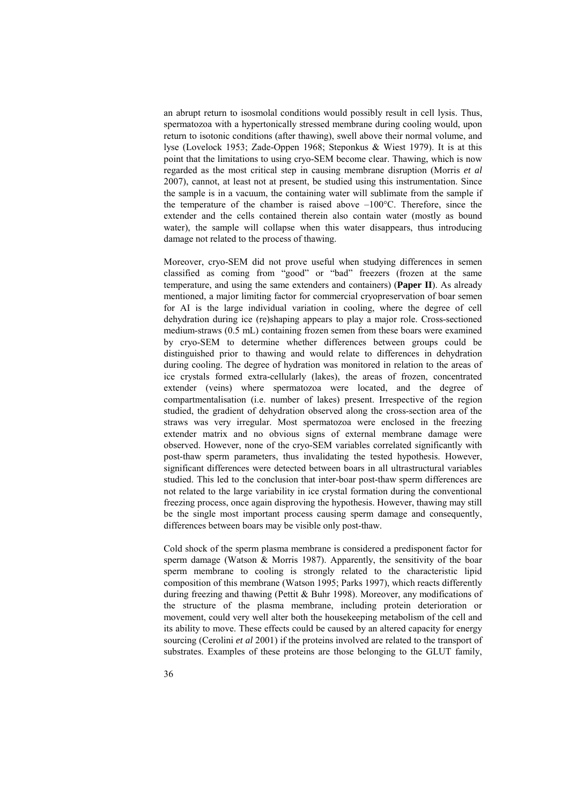an abrupt return to isosmolal conditions would possibly result in cell lysis. Thus, spermatozoa with a hypertonically stressed membrane during cooling would, upon return to isotonic conditions (after thawing), swell above their normal volume, and lyse (Lovelock 1953; Zade-Oppen 1968; Steponkus & Wiest 1979). It is at this point that the limitations to using cryo-SEM become clear. Thawing, which is now regarded as the most critical step in causing membrane disruption (Morris *et al* 2007), cannot, at least not at present, be studied using this instrumentation. Since the sample is in a vacuum, the containing water will sublimate from the sample if the temperature of the chamber is raised above  $-100^{\circ}$ C. Therefore, since the extender and the cells contained therein also contain water (mostly as bound water), the sample will collapse when this water disappears, thus introducing damage not related to the process of thawing.

Moreover, cryo-SEM did not prove useful when studying differences in semen classified as coming from "good" or "bad" freezers (frozen at the same temperature, and using the same extenders and containers) (**Paper II**). As already mentioned, a major limiting factor for commercial cryopreservation of boar semen for AI is the large individual variation in cooling, where the degree of cell dehydration during ice (re)shaping appears to play a major role. Cross-sectioned medium-straws (0.5 mL) containing frozen semen from these boars were examined by cryo-SEM to determine whether differences between groups could be distinguished prior to thawing and would relate to differences in dehydration during cooling. The degree of hydration was monitored in relation to the areas of ice crystals formed extra-cellularly (lakes), the areas of frozen, concentrated extender (veins) where spermatozoa were located, and the degree of compartmentalisation (i.e. number of lakes) present. Irrespective of the region studied, the gradient of dehydration observed along the cross-section area of the straws was very irregular. Most spermatozoa were enclosed in the freezing extender matrix and no obvious signs of external membrane damage were observed. However, none of the cryo-SEM variables correlated significantly with post-thaw sperm parameters, thus invalidating the tested hypothesis. However, significant differences were detected between boars in all ultrastructural variables studied. This led to the conclusion that inter-boar post-thaw sperm differences are not related to the large variability in ice crystal formation during the conventional freezing process, once again disproving the hypothesis. However, thawing may still be the single most important process causing sperm damage and consequently, differences between boars may be visible only post-thaw.

Cold shock of the sperm plasma membrane is considered a predisponent factor for sperm damage (Watson & Morris 1987). Apparently, the sensitivity of the boar sperm membrane to cooling is strongly related to the characteristic lipid composition of this membrane (Watson 1995; Parks 1997), which reacts differently during freezing and thawing (Pettit & Buhr 1998). Moreover, any modifications of the structure of the plasma membrane, including protein deterioration or movement, could very well alter both the housekeeping metabolism of the cell and its ability to move. These effects could be caused by an altered capacity for energy sourcing (Cerolini *et al* 2001) if the proteins involved are related to the transport of substrates. Examples of these proteins are those belonging to the GLUT family,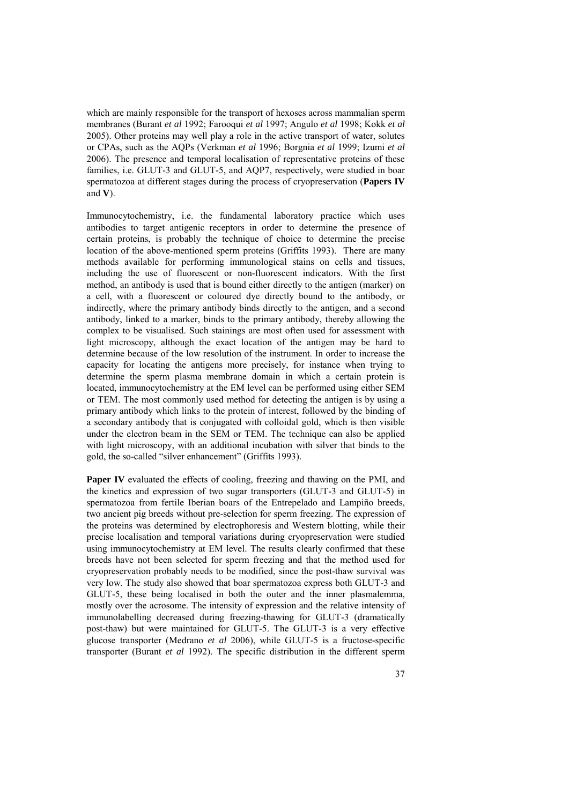which are mainly responsible for the transport of hexoses across mammalian sperm membranes (Burant *et al* 1992; Farooqui *et al* 1997; Angulo *et al* 1998; Kokk *et al* 2005). Other proteins may well play a role in the active transport of water, solutes or CPAs, such as the AQPs (Verkman *et al* 1996; Borgnia *et al* 1999; Izumi *et al* 2006). The presence and temporal localisation of representative proteins of these families, i.e. GLUT-3 and GLUT-5, and AQP7, respectively, were studied in boar spermatozoa at different stages during the process of cryopreservation (**Papers IV** and **V**).

Immunocytochemistry, i.e. the fundamental laboratory practice which uses antibodies to target antigenic receptors in order to determine the presence of certain proteins, is probably the technique of choice to determine the precise location of the above-mentioned sperm proteins (Griffits 1993). There are many methods available for performing immunological stains on cells and tissues, including the use of fluorescent or non-fluorescent indicators. With the first method, an antibody is used that is bound either directly to the antigen (marker) on a cell, with a fluorescent or coloured dye directly bound to the antibody, or indirectly, where the primary antibody binds directly to the antigen, and a second antibody, linked to a marker, binds to the primary antibody, thereby allowing the complex to be visualised. Such stainings are most often used for assessment with light microscopy, although the exact location of the antigen may be hard to determine because of the low resolution of the instrument. In order to increase the capacity for locating the antigens more precisely, for instance when trying to determine the sperm plasma membrane domain in which a certain protein is located, immunocytochemistry at the EM level can be performed using either SEM or TEM. The most commonly used method for detecting the antigen is by using a primary antibody which links to the protein of interest, followed by the binding of a secondary antibody that is conjugated with colloidal gold, which is then visible under the electron beam in the SEM or TEM. The technique can also be applied with light microscopy, with an additional incubation with silver that binds to the gold, the so-called "silver enhancement" (Griffits 1993).

**Paper IV** evaluated the effects of cooling, freezing and thawing on the PMI, and the kinetics and expression of two sugar transporters (GLUT-3 and GLUT-5) in spermatozoa from fertile Iberian boars of the Entrepelado and Lampiño breeds, two ancient pig breeds without pre-selection for sperm freezing. The expression of the proteins was determined by electrophoresis and Western blotting, while their precise localisation and temporal variations during cryopreservation were studied using immunocytochemistry at EM level. The results clearly confirmed that these breeds have not been selected for sperm freezing and that the method used for cryopreservation probably needs to be modified, since the post-thaw survival was very low. The study also showed that boar spermatozoa express both GLUT-3 and GLUT-5, these being localised in both the outer and the inner plasmalemma, mostly over the acrosome. The intensity of expression and the relative intensity of immunolabelling decreased during freezing-thawing for GLUT-3 (dramatically post-thaw) but were maintained for GLUT-5. The GLUT-3 is a very effective glucose transporter (Medrano *et al* 2006), while GLUT-5 is a fructose-specific transporter (Burant *et al* 1992). The specific distribution in the different sperm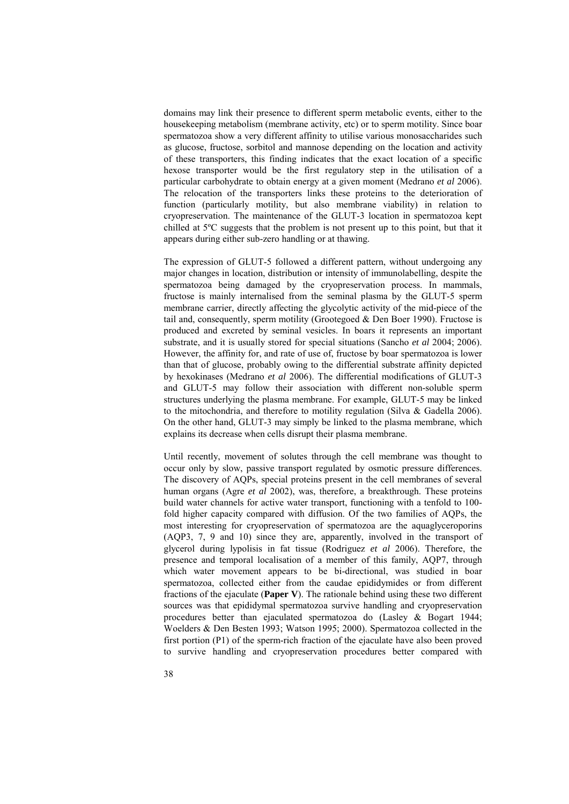domains may link their presence to different sperm metabolic events, either to the housekeeping metabolism (membrane activity, etc) or to sperm motility. Since boar spermatozoa show a very different affinity to utilise various monosaccharides such as glucose, fructose, sorbitol and mannose depending on the location and activity of these transporters, this finding indicates that the exact location of a specific hexose transporter would be the first regulatory step in the utilisation of a particular carbohydrate to obtain energy at a given moment (Medrano *et al* 2006). The relocation of the transporters links these proteins to the deterioration of function (particularly motility, but also membrane viability) in relation to cryopreservation. The maintenance of the GLUT-3 location in spermatozoa kept chilled at 5ºC suggests that the problem is not present up to this point, but that it appears during either sub-zero handling or at thawing.

The expression of GLUT-5 followed a different pattern, without undergoing any major changes in location, distribution or intensity of immunolabelling, despite the spermatozoa being damaged by the cryopreservation process. In mammals, fructose is mainly internalised from the seminal plasma by the GLUT-5 sperm membrane carrier, directly affecting the glycolytic activity of the mid-piece of the tail and, consequently, sperm motility (Grootegoed  $&$  Den Boer 1990). Fructose is produced and excreted by seminal vesicles. In boars it represents an important substrate, and it is usually stored for special situations (Sancho *et al* 2004; 2006). However, the affinity for, and rate of use of, fructose by boar spermatozoa is lower than that of glucose, probably owing to the differential substrate affinity depicted by hexokinases (Medrano *et al* 2006). The differential modifications of GLUT-3 and GLUT-5 may follow their association with different non-soluble sperm structures underlying the plasma membrane. For example, GLUT-5 may be linked to the mitochondria, and therefore to motility regulation (Silva & Gadella 2006). On the other hand, GLUT-3 may simply be linked to the plasma membrane, which explains its decrease when cells disrupt their plasma membrane.

Until recently, movement of solutes through the cell membrane was thought to occur only by slow, passive transport regulated by osmotic pressure differences. The discovery of AQPs, special proteins present in the cell membranes of several human organs (Agre *et al* 2002), was, therefore, a breakthrough. These proteins build water channels for active water transport, functioning with a tenfold to 100 fold higher capacity compared with diffusion. Of the two families of AQPs, the most interesting for cryopreservation of spermatozoa are the aquaglyceroporins (AQP3, 7, 9 and 10) since they are, apparently, involved in the transport of glycerol during lypolisis in fat tissue (Rodriguez *et al* 2006). Therefore, the presence and temporal localisation of a member of this family, AQP7, through which water movement appears to be bi-directional, was studied in boar spermatozoa, collected either from the caudae epididymides or from different fractions of the ejaculate (**Paper V**). The rationale behind using these two different sources was that epididymal spermatozoa survive handling and cryopreservation procedures better than ejaculated spermatozoa do (Lasley & Bogart 1944; Woelders & Den Besten 1993; Watson 1995; 2000). Spermatozoa collected in the first portion (P1) of the sperm-rich fraction of the ejaculate have also been proved to survive handling and cryopreservation procedures better compared with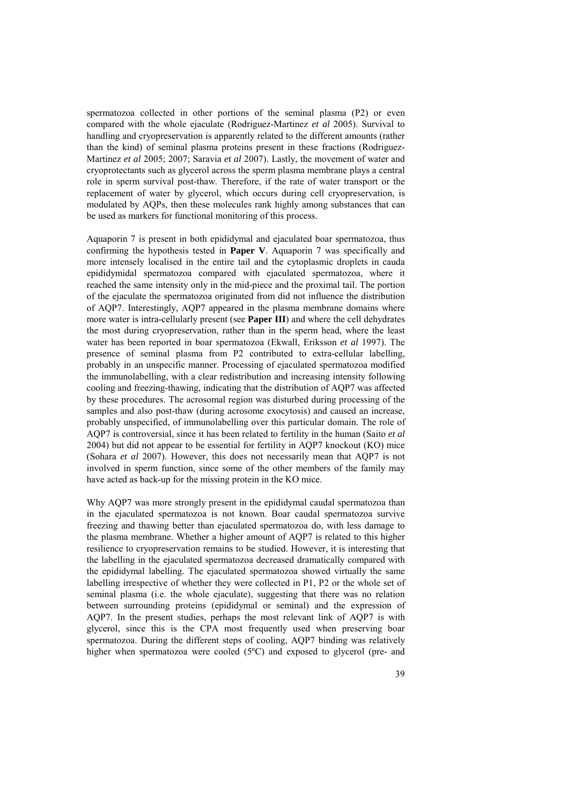spermatozoa collected in other portions of the seminal plasma (P2) or even compared with the whole ejaculate (Rodriguez-Martinez *et al* 2005). Survival to handling and cryopreservation is apparently related to the different amounts (rather than the kind) of seminal plasma proteins present in these fractions (Rodriguez-Martinez *et al* 2005; 2007; Saravia *et al* 2007). Lastly, the movement of water and cryoprotectants such as glycerol across the sperm plasma membrane plays a central role in sperm survival post-thaw. Therefore, if the rate of water transport or the replacement of water by glycerol, which occurs during cell cryopreservation, is modulated by AQPs, then these molecules rank highly among substances that can be used as markers for functional monitoring of this process.

Aquaporin 7 is present in both epididymal and ejaculated boar spermatozoa, thus confirming the hypothesis tested in **Paper V**. Aquaporin 7 was specifically and more intensely localised in the entire tail and the cytoplasmic droplets in cauda epididymidal spermatozoa compared with ejaculated spermatozoa, where it reached the same intensity only in the mid-piece and the proximal tail. The portion of the ejaculate the spermatozoa originated from did not influence the distribution of AQP7. Interestingly, AQP7 appeared in the plasma membrane domains where more water is intra-cellularly present (see **Paper III**) and where the cell dehydrates the most during cryopreservation, rather than in the sperm head, where the least water has been reported in boar spermatozoa (Ekwall, Eriksson *et al* 1997). The presence of seminal plasma from P2 contributed to extra-cellular labelling, probably in an unspecific manner. Processing of ejaculated spermatozoa modified the immunolabelling, with a clear redistribution and increasing intensity following cooling and freezing-thawing, indicating that the distribution of AQP7 was affected by these procedures. The acrosomal region was disturbed during processing of the samples and also post-thaw (during acrosome exocytosis) and caused an increase, probably unspecified, of immunolabelling over this particular domain. The role of AQP7 is controversial, since it has been related to fertility in the human (Saito *et al* 2004) but did not appear to be essential for fertility in AQP7 knockout (KO) mice (Sohara *et al* 2007). However, this does not necessarily mean that AQP7 is not involved in sperm function, since some of the other members of the family may have acted as back-up for the missing protein in the KO mice.

Why AQP7 was more strongly present in the epididymal caudal spermatozoa than in the ejaculated spermatozoa is not known. Boar caudal spermatozoa survive freezing and thawing better than ejaculated spermatozoa do, with less damage to the plasma membrane. Whether a higher amount of AQP7 is related to this higher resilience to cryopreservation remains to be studied. However, it is interesting that the labelling in the ejaculated spermatozoa decreased dramatically compared with the epididymal labelling. The ejaculated spermatozoa showed virtually the same labelling irrespective of whether they were collected in P1, P2 or the whole set of seminal plasma (i.e. the whole ejaculate), suggesting that there was no relation between surrounding proteins (epididymal or seminal) and the expression of AQP7. In the present studies, perhaps the most relevant link of AQP7 is with glycerol, since this is the CPA most frequently used when preserving boar spermatozoa. During the different steps of cooling, AQP7 binding was relatively higher when spermatozoa were cooled (5ºC) and exposed to glycerol (pre- and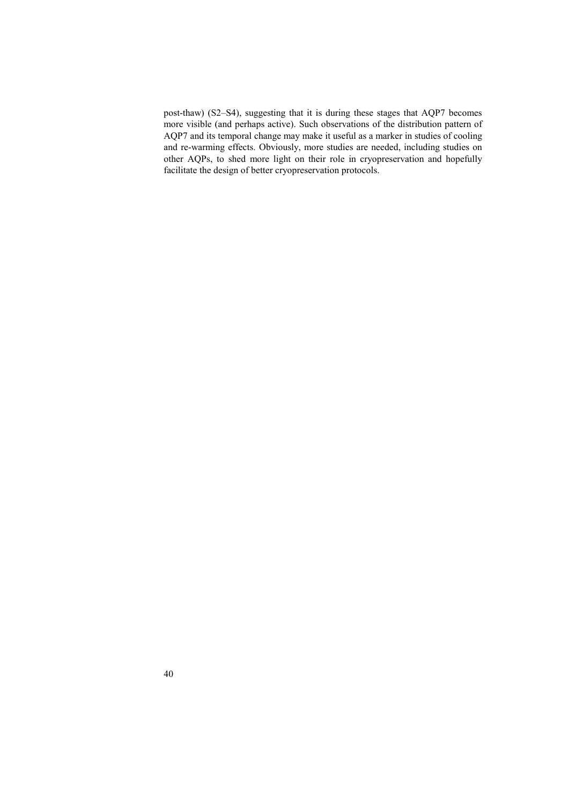post-thaw) (S2–S4), suggesting that it is during these stages that AQP7 becomes more visible (and perhaps active). Such observations of the distribution pattern of AQP7 and its temporal change may make it useful as a marker in studies of cooling and re-warming effects. Obviously, more studies are needed, including studies on other AQPs, to shed more light on their role in cryopreservation and hopefully facilitate the design of better cryopreservation protocols.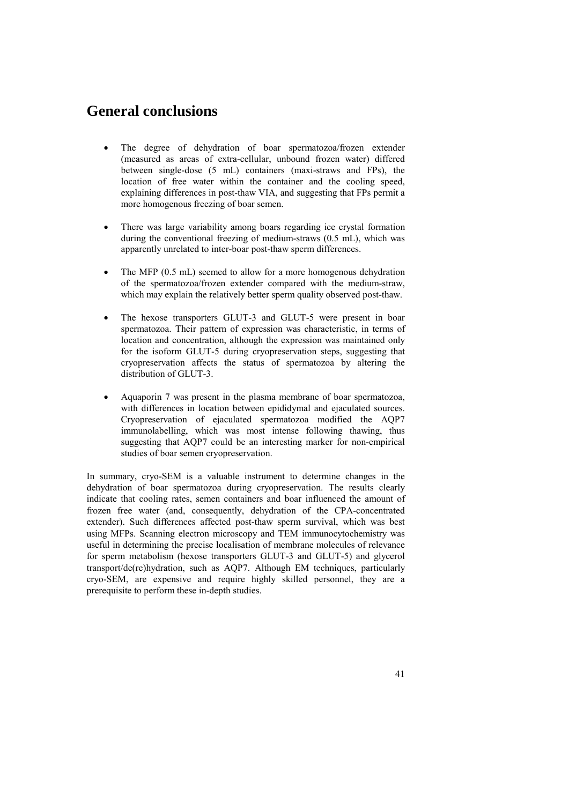## **General conclusions**

- The degree of dehydration of boar spermatozoa/frozen extender (measured as areas of extra-cellular, unbound frozen water) differed between single-dose (5 mL) containers (maxi-straws and FPs), the location of free water within the container and the cooling speed, explaining differences in post-thaw VIA, and suggesting that FPs permit a more homogenous freezing of boar semen.
- There was large variability among boars regarding ice crystal formation during the conventional freezing of medium-straws (0.5 mL), which was apparently unrelated to inter-boar post-thaw sperm differences.
- The MFP (0.5 mL) seemed to allow for a more homogenous dehydration of the spermatozoa/frozen extender compared with the medium-straw, which may explain the relatively better sperm quality observed post-thaw.
- The hexose transporters GLUT-3 and GLUT-5 were present in boar spermatozoa. Their pattern of expression was characteristic, in terms of location and concentration, although the expression was maintained only for the isoform GLUT-5 during cryopreservation steps, suggesting that cryopreservation affects the status of spermatozoa by altering the distribution of GLUT-3.
- Aquaporin 7 was present in the plasma membrane of boar spermatozoa, with differences in location between epididymal and ejaculated sources. Cryopreservation of ejaculated spermatozoa modified the AQP7 immunolabelling, which was most intense following thawing, thus suggesting that AQP7 could be an interesting marker for non-empirical studies of boar semen cryopreservation.

In summary, cryo-SEM is a valuable instrument to determine changes in the dehydration of boar spermatozoa during cryopreservation. The results clearly indicate that cooling rates, semen containers and boar influenced the amount of frozen free water (and, consequently, dehydration of the CPA-concentrated extender). Such differences affected post-thaw sperm survival, which was best using MFPs. Scanning electron microscopy and TEM immunocytochemistry was useful in determining the precise localisation of membrane molecules of relevance for sperm metabolism (hexose transporters GLUT-3 and GLUT-5) and glycerol transport/de(re)hydration, such as AQP7. Although EM techniques, particularly cryo-SEM, are expensive and require highly skilled personnel, they are a prerequisite to perform these in-depth studies.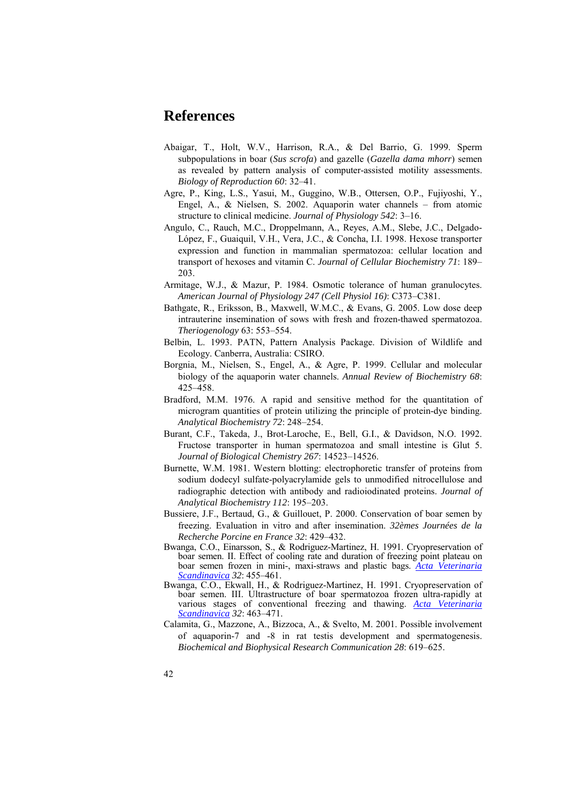### **References**

- Abaigar, T., Holt, W.V., Harrison, R.A., & Del Barrio, G. 1999. Sperm subpopulations in boar (*Sus scrofa*) and gazelle (*Gazella dama mhorr*) semen as revealed by pattern analysis of computer-assisted motility assessments. *Biology of Reproduction 60*: 32–41.
- Agre, P., King, L.S., Yasui, M., Guggino, W.B., Ottersen, O.P., Fujiyoshi, Y., Engel, A., & Nielsen, S. 2002. Aquaporin water channels – from atomic structure to clinical medicine. *Journal of Physiology 542*: 3–16.
- Angulo, C., Rauch, M.C., Droppelmann, A., Reyes, A.M., Slebe, J.C., Delgado-López, F., Guaiquil, V.H., Vera, J.C., & Concha, I.I. 1998. Hexose transporter expression and function in mammalian spermatozoa: cellular location and transport of hexoses and vitamin C. *Journal of Cellular Biochemistry 71*: 189– 203.
- Armitage, W.J., & Mazur, P. 1984. Osmotic tolerance of human granulocytes. *American Journal of Physiology 247 (Cell Physiol 16)*: C373–C381.
- Bathgate, R., Eriksson, B., Maxwell, W.M.C., & Evans, G. 2005. Low dose deep intrauterine insemination of sows with fresh and frozen-thawed spermatozoa. *Theriogenology* 63: 553–554.
- Belbin, L. 1993. PATN, Pattern Analysis Package. Division of Wildlife and Ecology. Canberra, Australia: CSIRO.
- Borgnia, M., Nielsen, S., Engel, A., & Agre, P. 1999. Cellular and molecular biology of the aquaporin water channels. *Annual Review of Biochemistry 68*: 425–458.
- Bradford, M.M. 1976. A rapid and sensitive method for the quantitation of microgram quantities of protein utilizing the principle of protein-dye binding. *Analytical Biochemistry 72*: 248–254.
- Burant, C.F., Takeda, J., Brot-Laroche, E., Bell, G.I., & Davidson, N.O. 1992. Fructose transporter in human spermatozoa and small intestine is Glut 5. *Journal of Biological Chemistry 267*: 14523–14526.
- Burnette, W.M. 1981. Western blotting: electrophoretic transfer of proteins from sodium dodecyl sulfate-polyacrylamide gels to unmodified nitrocellulose and radiographic detection with antibody and radioiodinated proteins. *Journal of Analytical Biochemistry 112*: 195–203.
- Bussiere, J.F., Bertaud, G., & Guillouet, P. 2000. Conservation of boar semen by freezing. Evaluation in vitro and after insemination. *32èmes Journées de la Recherche Porcine en France 32*: 429–432.
- Bwanga, C.O., Einarsson, S., & Rodriguez-Martinez, H. 1991. Cryopreservation of boar semen. II. Effect of cooling rate and duration of freezing point plateau on boar semen frozen in mini-, maxi-straws and plastic bags. *Acta Veterinaria Scandinavica 32*: 455–461.
- Bwanga, C.O., Ekwall, H., & Rodriguez-Martinez, H. 1991. Cryopreservation of boar semen. III. Ultrastructure of boar spermatozoa frozen ultra-rapidly at various stages of conventional freezing and thawing. *Acta Veterinaria Scandinavica 32*: 463–471.
- Calamita, G., Mazzone, A., Bizzoca, A., & Svelto, M. 2001. Possible involvement of aquaporin-7 and -8 in rat testis development and spermatogenesis. *Biochemical and Biophysical Research Communication 28*: 619–625.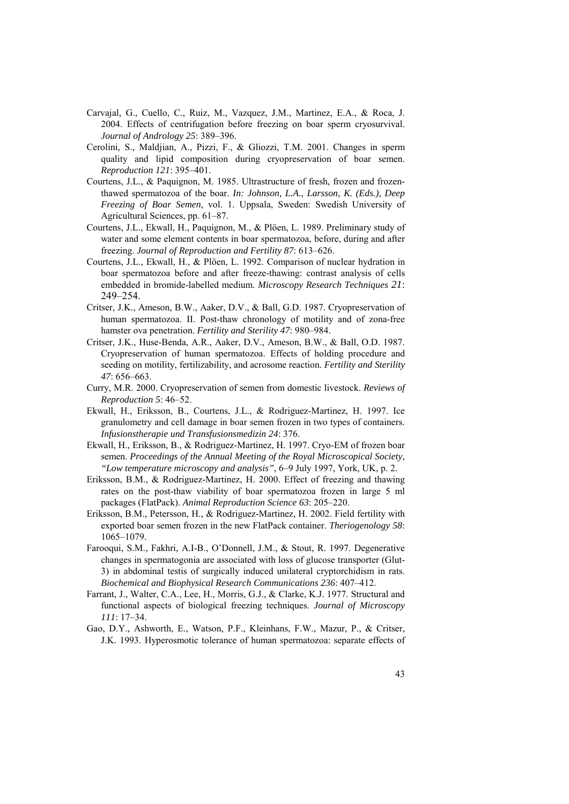- Carvajal, G., Cuello, C., Ruiz, M., Vazquez, J.M., Martinez, E.A., & Roca, J. 2004. Effects of centrifugation before freezing on boar sperm cryosurvival. *Journal of Andrology 25*: 389–396.
- Cerolini, S., Maldjian, A., Pizzi, F., & Gliozzi, T.M. 2001. Changes in sperm quality and lipid composition during cryopreservation of boar semen. *Reproduction 121*: 395–401.
- Courtens, J.L., & Paquignon, M. 1985. Ultrastructure of fresh, frozen and frozenthawed spermatozoa of the boar. *In: Johnson, L.A., Larsson, K. (Eds.), Deep Freezing of Boar Semen*, vol. 1. Uppsala, Sweden: Swedish University of Agricultural Sciences, pp. 61–87.
- Courtens, J.L., Ekwall, H., Paquignon, M., & Plöen, L. 1989. Preliminary study of water and some element contents in boar spermatozoa, before, during and after freezing. *Journal of Reproduction and Fertility 87*: 613–626.
- Courtens, J.L., Ekwall, H., & Plöen, L. 1992. Comparison of nuclear hydration in boar spermatozoa before and after freeze-thawing: contrast analysis of cells embedded in bromide-labelled medium. *Microscopy Research Techniques 21*: 249–254.
- Critser, J.K., Ameson, B.W., Aaker, D.V., & Ball, G.D. 1987. Cryopreservation of human spermatozoa. II. Post-thaw chronology of motility and of zona-free hamster ova penetration. *Fertility and Sterility 47*: 980–984.
- Critser, J.K., Huse-Benda, A.R., Aaker, D.V., Ameson, B.W., & Ball, O.D. 1987. Cryopreservation of human spermatozoa. Effects of holding procedure and seeding on motility, fertilizability, and acrosome reaction. *Fertility and Sterility 47*: 656–663.
- Curry, M.R. 2000. Cryopreservation of semen from domestic livestock. *Reviews of Reproduction 5*: 46–52.
- Ekwall, H., Eriksson, B., Courtens, J.L., & Rodriguez-Martinez, H. 1997. Ice granulometry and cell damage in boar semen frozen in two types of containers. *Infusionstherapie und Transfusionsmedizin 24*: 376.
- Ekwall, H., Eriksson, B., & Rodriguez-Martinez, H. 1997. Cryo-EM of frozen boar semen. *Proceedings of the Annual Meeting of the Royal Microscopical Society, "Low temperature microscopy and analysis"*, 6–9 July 1997, York, UK, p. 2.
- Eriksson, B.M., & Rodriguez-Martinez, H. 2000. Effect of freezing and thawing rates on the post-thaw viability of boar spermatozoa frozen in large 5 ml packages (FlatPack). *Animal Reproduction Science 63*: 205–220.
- Eriksson, B.M., Petersson, H., & Rodriguez-Martinez, H. 2002. Field fertility with exported boar semen frozen in the new FlatPack container. *Theriogenology 58*: 1065–1079.
- Farooqui, S.M., Fakhri, A.I-B., O'Donnell, J.M., & Stout, R. 1997. Degenerative changes in spermatogonia are associated with loss of glucose transporter (Glut-3) in abdominal testis of surgically induced unilateral cryptorchidism in rats. *Biochemical and Biophysical Research Communications 236*: 407–412.
- Farrant, J., Walter, C.A., Lee, H., Morris, G.J., & Clarke, K.J. 1977. Structural and functional aspects of biological freezing techniques. *Journal of Microscopy 111*: 17–34.
- Gao, D.Y., Ashworth, E., Watson, P.F., Kleinhans, F.W., Mazur, P., & Critser, J.K. 1993. Hyperosmotic tolerance of human spermatozoa: separate effects of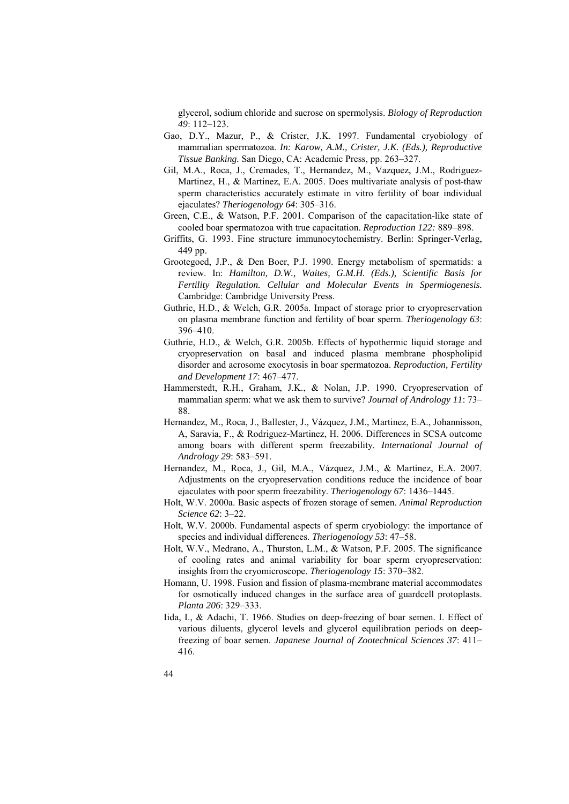glycerol, sodium chloride and sucrose on spermolysis. *Biology of Reproduction 49*: 112–123.

- Gao, D.Y., Mazur, P., & Crister, J.K. 1997. Fundamental cryobiology of mammalian spermatozoa. *In: Karow, A.M., Crister, J.K. (Eds.), Reproductive Tissue Banking.* San Diego, CA: Academic Press, pp. 263–327.
- Gil, M.A., Roca, J., Cremades, T., Hernandez, M., Vazquez, J.M., Rodriguez-Martinez, H., & Martinez, E.A. 2005. Does multivariate analysis of post-thaw sperm characteristics accurately estimate in vitro fertility of boar individual ejaculates? *Theriogenology 64*: 305–316.
- Green, C.E., & Watson, P.F. 2001. Comparison of the capacitation-like state of cooled boar spermatozoa with true capacitation. *Reproduction 122:* 889–898.
- Griffits, G. 1993. Fine structure immunocytochemistry. Berlin: Springer-Verlag, 449 pp.
- Grootegoed, J.P., & Den Boer, P.J. 1990. Energy metabolism of spermatids: a review. In: *Hamilton, D.W., Waites, G.M.H. (Eds.), Scientific Basis for Fertility Regulation. Cellular and Molecular Events in Spermiogenesis.*  Cambridge: Cambridge University Press.
- Guthrie, H.D., & Welch, G.R. 2005a. Impact of storage prior to cryopreservation on plasma membrane function and fertility of boar sperm. *Theriogenology 63*: 396–410.
- Guthrie, H.D., & Welch, G.R. 2005b. Effects of hypothermic liquid storage and cryopreservation on basal and induced plasma membrane phospholipid disorder and acrosome exocytosis in boar spermatozoa. *Reproduction, Fertility and Development 17*: 467–477.
- Hammerstedt, R.H., Graham, J.K., & Nolan, J.P. 1990. Cryopreservation of mammalian sperm: what we ask them to survive? *Journal of Andrology 11*: 73– 88.
- Hernandez, M., Roca, J., Ballester, J., Vázquez, J.M., Martinez, E.A., Johannisson, A, Saravia, F., & Rodriguez-Martinez, H. 2006. Differences in SCSA outcome among boars with different sperm freezability. *International Journal of Andrology 29*: 583–591.
- Hernandez, M., Roca, J., Gil, M.A., Vázquez, J.M., & Martínez, E.A. 2007. Adjustments on the cryopreservation conditions reduce the incidence of boar ejaculates with poor sperm freezability. *Theriogenology 67*: 1436–1445.
- Holt, W.V. 2000a. Basic aspects of frozen storage of semen. *Animal Reproduction Science 62*: 3–22.
- Holt, W.V. 2000b. Fundamental aspects of sperm cryobiology: the importance of species and individual differences. *Theriogenology 53*: 47–58.
- Holt, W.V., Medrano, A., Thurston, L.M., & Watson, P.F. 2005. The significance of cooling rates and animal variability for boar sperm cryopreservation: insights from the cryomicroscope. *Theriogenology 15*: 370–382.
- Homann, U. 1998. Fusion and fission of plasma-membrane material accommodates for osmotically induced changes in the surface area of guardcell protoplasts. *Planta 206*: 329–333.
- Iida, I., & Adachi, T. 1966. Studies on deep-freezing of boar semen. I. Effect of various diluents, glycerol levels and glycerol equilibration periods on deepfreezing of boar semen. *Japanese Journal of Zootechnical Sciences 37*: 411– 416.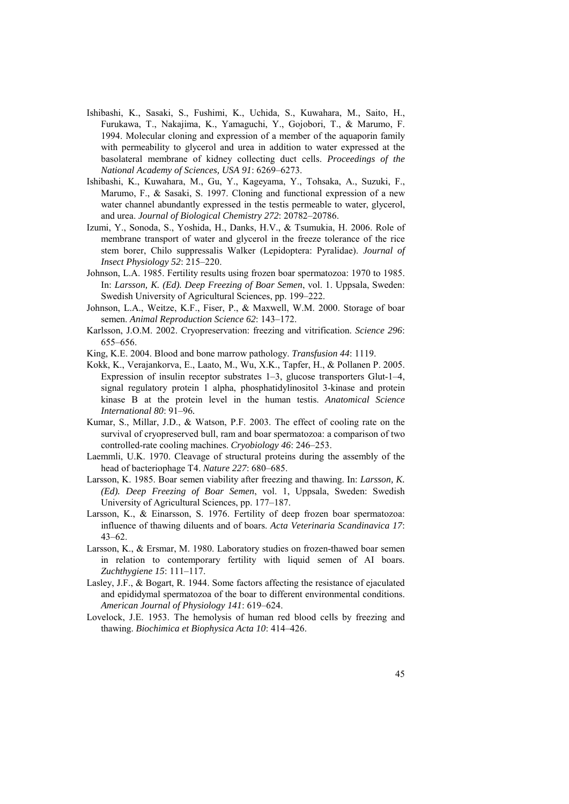- Ishibashi, K., Sasaki, S., Fushimi, K., Uchida, S., Kuwahara, M., Saito, H., Furukawa, T., Nakajima, K., Yamaguchi, Y., Gojobori, T., & Marumo, F. 1994. Molecular cloning and expression of a member of the aquaporin family with permeability to glycerol and urea in addition to water expressed at the basolateral membrane of kidney collecting duct cells. *Proceedings of the National Academy of Sciences, USA 91*: 6269–6273.
- Ishibashi, K., Kuwahara, M., Gu, Y., Kageyama, Y., Tohsaka, A., Suzuki, F., Marumo, F., & Sasaki, S. 1997. Cloning and functional expression of a new water channel abundantly expressed in the testis permeable to water, glycerol, and urea. *Journal of Biological Chemistry 272*: 20782–20786.
- Izumi, Y., Sonoda, S., Yoshida, H., Danks, H.V., & Tsumukia, H. 2006. Role of membrane transport of water and glycerol in the freeze tolerance of the rice stem borer, Chilo suppressalis Walker (Lepidoptera: Pyralidae). *Journal of Insect Physiology 52*: 215–220.
- Johnson, L.A. 1985. Fertility results using frozen boar spermatozoa: 1970 to 1985. In: *Larsson, K. (Ed). Deep Freezing of Boar Semen*, vol. 1. Uppsala, Sweden: Swedish University of Agricultural Sciences, pp. 199–222.
- Johnson, L.A., Weitze, K.F., Fiser, P., & Maxwell, W.M. 2000. Storage of boar semen. *Animal Reproduction Science 62*: 143–172.
- Karlsson, J.O.M. 2002. Cryopreservation: freezing and vitrification. *Science 296*: 655–656.
- King, K.E. 2004. Blood and bone marrow pathology. *Transfusion 44*: 1119.
- Kokk, K., Verajankorva, E., Laato, M., Wu, X.K., Tapfer, H., & Pollanen P. 2005. Expression of insulin receptor substrates 1–3, glucose transporters Glut-1–4, signal regulatory protein 1 alpha, phosphatidylinositol 3-kinase and protein kinase B at the protein level in the human testis. *Anatomical Science International 80*: 91–96*.*
- Kumar, S., Millar, J.D., & Watson, P.F. 2003. The effect of cooling rate on the survival of cryopreserved bull, ram and boar spermatozoa: a comparison of two controlled-rate cooling machines. *Cryobiology 46*: 246–253.
- Laemmli, U.K. 1970. Cleavage of structural proteins during the assembly of the head of bacteriophage T4. *Nature 227*: 680–685.
- Larsson, K. 1985. Boar semen viability after freezing and thawing. In: *Larsson, K. (Ed). Deep Freezing of Boar Semen*, vol. 1, Uppsala, Sweden: Swedish University of Agricultural Sciences, pp. 177–187.
- Larsson, K., & Einarsson, S. 1976. Fertility of deep frozen boar spermatozoa: influence of thawing diluents and of boars. *Acta Veterinaria Scandinavica 17*: 43–62.
- Larsson, K., & Ersmar, M. 1980. Laboratory studies on frozen-thawed boar semen in relation to contemporary fertility with liquid semen of AI boars. *Zuchthygiene 15*: 111–117.
- Lasley, J.F., & Bogart, R. 1944. Some factors affecting the resistance of ejaculated and epididymal spermatozoa of the boar to different environmental conditions. *American Journal of Physiology 141*: 619–624.
- Lovelock, J.E. 1953. The hemolysis of human red blood cells by freezing and thawing. *Biochimica et Biophysica Acta 10*: 414–426.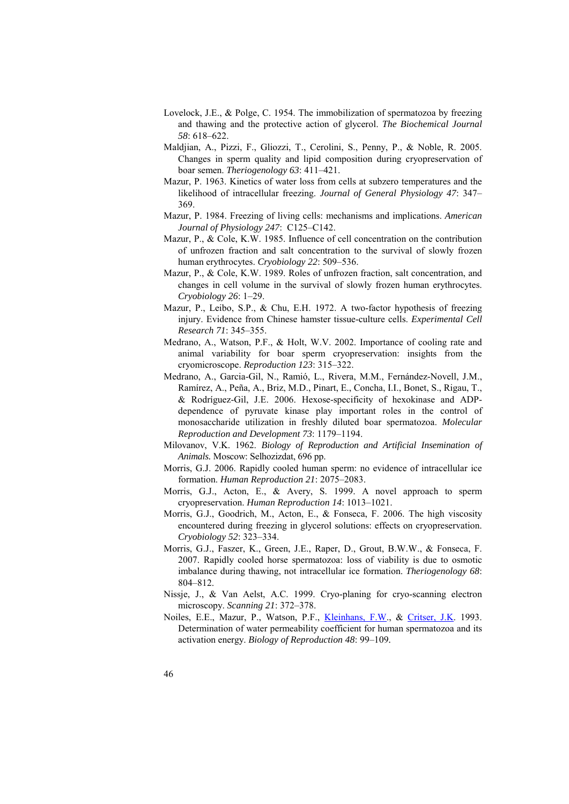- Lovelock, J.E., & Polge, C. 1954. The immobilization of spermatozoa by freezing and thawing and the protective action of glycerol. *The Biochemical Journal 58*: 618–622.
- Maldjian, A., Pizzi, F., Gliozzi, T., Cerolini, S., Penny, P., & Noble, R. 2005. Changes in sperm quality and lipid composition during cryopreservation of boar semen. *Theriogenology 63*: 411–421.
- Mazur, P. 1963. Kinetics of water loss from cells at subzero temperatures and the likelihood of intracellular freezing. *Journal of General Physiology 47*: 347– 369.
- Mazur, P. 1984. Freezing of living cells: mechanisms and implications. *American Journal of Physiology 247*: C125–C142.
- Mazur, P., & Cole, K.W. 1985. Influence of cell concentration on the contribution of unfrozen fraction and salt concentration to the survival of slowly frozen human erythrocytes. *Cryobiology 22*: 509–536.
- Mazur, P., & Cole, K.W. 1989. Roles of unfrozen fraction, salt concentration, and changes in cell volume in the survival of slowly frozen human erythrocytes. *Cryobiology 26*: 1–29.
- Mazur, P., Leibo, S.P., & Chu, E.H. 1972. A two-factor hypothesis of freezing injury. Evidence from Chinese hamster tissue-culture cells. *Experimental Cell Research 71*: 345–355.
- Medrano, A., Watson, P.F., & Holt, W.V. 2002. Importance of cooling rate and animal variability for boar sperm cryopreservation: insights from the cryomicroscope. *Reproduction 123*: 315–322.
- Medrano, A., Garcia-Gil, N., Ramió, L., Rivera, M.M., Fernández-Novell, J.M., Ramírez, A., Peña, A., Briz, M.D., Pinart, E., Concha, I.I., Bonet, S., Rigau, T., & Rodríguez-Gil, J.E. 2006. Hexose-specificity of hexokinase and ADPdependence of pyruvate kinase play important roles in the control of monosaccharide utilization in freshly diluted boar spermatozoa. *Molecular Reproduction and Development 73*: 1179–1194.
- Milovanov, V.K. 1962. *Biology of Reproduction and Artificial Insemination of Animals.* Moscow: Selhozizdat, 696 pp.
- Morris, G.J. 2006. Rapidly cooled human sperm: no evidence of intracellular ice formation. *Human Reproduction 21*: 2075–2083.
- Morris, G.J., Acton, E., & Avery, S. 1999. A novel approach to sperm cryopreservation. *Human Reproduction 14*: 1013–1021.
- Morris, G.J., Goodrich, M., Acton, E., & Fonseca, F. 2006. The high viscosity encountered during freezing in glycerol solutions: effects on cryopreservation. *Cryobiology 52*: 323–334.
- Morris, G.J., Faszer, K., Green, J.E., Raper, D., Grout, B.W.W., & Fonseca, F. 2007. Rapidly cooled horse spermatozoa: loss of viability is due to osmotic imbalance during thawing, not intracellular ice formation. *Theriogenology 68*: 804–812.
- Nissje, J., & Van Aelst, A.C. 1999. Cryo-planing for cryo-scanning electron microscopy. *Scanning 21*: 372–378.
- Noiles, E.E., Mazur, P., Watson, P.F., Kleinhans, F.W., & Critser, J.K. 1993. Determination of water permeability coefficient for human spermatozoa and its activation energy. *Biology of Reproduction 48*: 99–109*.*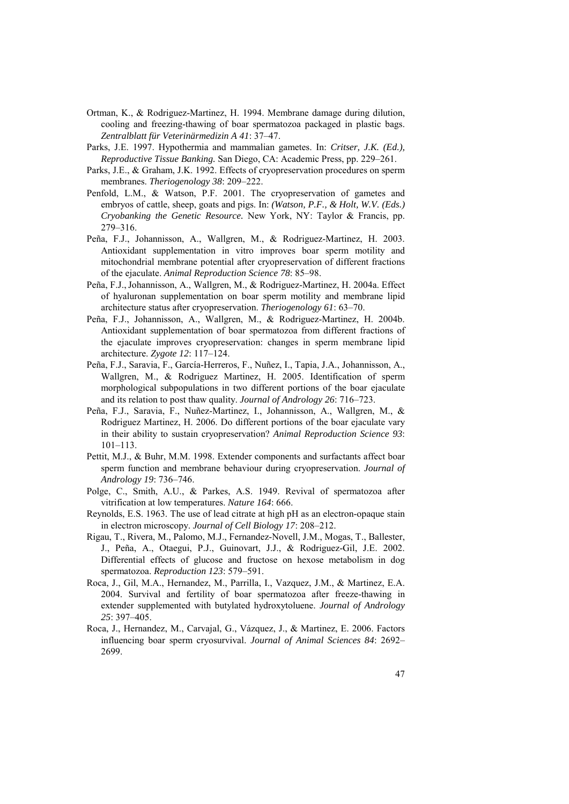- Ortman, K., & Rodriguez-Martinez, H. 1994. Membrane damage during dilution, cooling and freezing-thawing of boar spermatozoa packaged in plastic bags. *Zentralblatt für Veterinärmedizin A 41*: 37–47.
- Parks, J.E. 1997. Hypothermia and mammalian gametes. In: *Critser, J.K. (Ed.), Reproductive Tissue Banking.* San Diego, CA: Academic Press, pp. 229–261.
- Parks, J.E., & Graham, J.K. 1992. Effects of cryopreservation procedures on sperm membranes. *Theriogenology 38*: 209–222.
- Penfold, L.M., & Watson, P.F. 2001. The cryopreservation of gametes and embryos of cattle, sheep, goats and pigs. In: *(Watson, P.F., & Holt, W.V. (Eds.) Cryobanking the Genetic Resource.* New York, NY: Taylor & Francis, pp. 279–316.
- Peña, F.J., Johannisson, A., Wallgren, M., & Rodriguez-Martinez, H. 2003. Antioxidant supplementation in vitro improves boar sperm motility and mitochondrial membrane potential after cryopreservation of different fractions of the ejaculate. *Animal Reproduction Science 78*: 85–98.
- Peña, F.J.,Johannisson, A., Wallgren, M., & Rodriguez-Martinez, H. 2004a. Effect of hyaluronan supplementation on boar sperm motility and membrane lipid architecture status after cryopreservation. *Theriogenology 61*: 63–70.
- Peña, F.J., Johannisson, A., Wallgren, M., & Rodriguez-Martinez, H. 2004b. Antioxidant supplementation of boar spermatozoa from different fractions of the ejaculate improves cryopreservation: changes in sperm membrane lipid architecture. *Zygote 12*: 117–124.
- Peña, F.J., Saravia, F., García-Herreros, F., Nuñez, I., Tapia, J.A., Johannisson, A., Wallgren, M., & Rodriguez Martinez, H. 2005. Identification of sperm morphological subpopulations in two different portions of the boar ejaculate and its relation to post thaw quality. *Journal of Andrology 26*: 716–723.
- Peña, F.J., Saravia, F., Nuñez-Martinez, I., Johannisson, A., Wallgren, M., & Rodriguez Martinez, H. 2006. Do different portions of the boar ejaculate vary in their ability to sustain cryopreservation? *Animal Reproduction Science 93*: 101–113.
- Pettit, M.J., & Buhr, M.M. 1998. Extender components and surfactants affect boar sperm function and membrane behaviour during cryopreservation. *Journal of Andrology 19*: 736–746.
- Polge, C., Smith, A.U., & Parkes, A.S. 1949. Revival of spermatozoa after vitrification at low temperatures. *Nature 164*: 666.
- Reynolds, E.S. 1963. The use of lead citrate at high pH as an electron-opaque stain in electron microscopy. *Journal of Cell Biology 17*: 208–212.
- Rigau, T., Rivera, M., Palomo, M.J., Fernandez-Novell, J.M., Mogas, T., Ballester, J., Peña, A., Otaegui, P.J., Guinovart, J.J., & Rodriguez-Gil, J.E. 2002. Differential effects of glucose and fructose on hexose metabolism in dog spermatozoa. *Reproduction 123*: 579–591.
- Roca, J., Gil, M.A., Hernandez, M., Parrilla, I., Vazquez, J.M., & Martinez, E.A. 2004. Survival and fertility of boar spermatozoa after freeze-thawing in extender supplemented with butylated hydroxytoluene. *Journal of Andrology 25*: 397–405.
- Roca, J., Hernandez, M., Carvajal, G., Vázquez, J., & Martinez, E. 2006. Factors influencing boar sperm cryosurvival. *Journal of Animal Sciences 84*: 2692– 2699.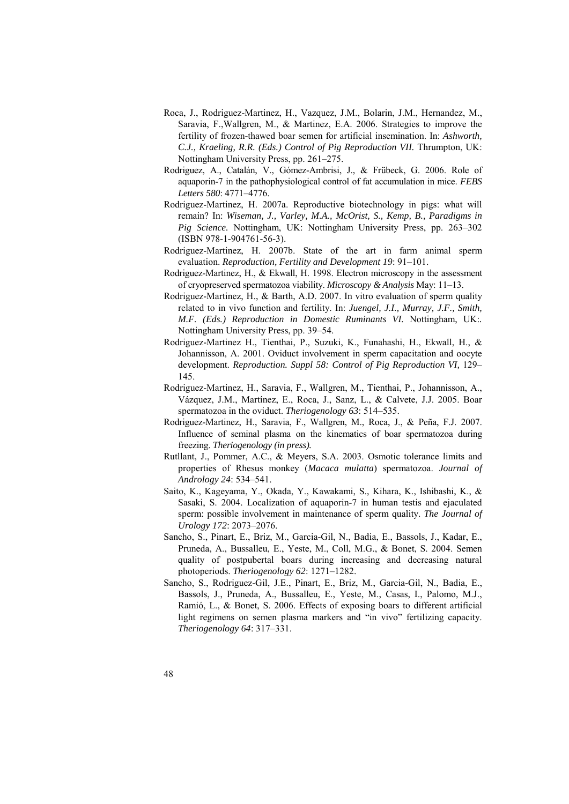- Roca, J., Rodriguez-Martinez, H., Vazquez, J.M., Bolarin, J.M., Hernandez, M., Saravia, F.,Wallgren, M., & Martinez, E.A. 2006. Strategies to improve the fertility of frozen-thawed boar semen for artificial insemination. In: *Ashworth, C.J., Kraeling, R.R. (Eds.) Control of Pig Reproduction VII.* Thrumpton, UK: Nottingham University Press, pp. 261–275.
- Rodriguez, A., Catalán, V., Gómez-Ambrisi, J., & Frübeck, G. 2006. Role of aquaporin-7 in the pathophysiological control of fat accumulation in mice. *FEBS Letters 580*: 4771–4776.
- Rodriguez-Martinez, H. 2007a. Reproductive biotechnology in pigs: what will remain? In: *Wiseman, J., Varley, M.A., McOrist, S., Kemp, B., Paradigms in Pig Science.* Nottingham, UK: Nottingham University Press, pp. 263–302 (ISBN 978-1-904761-56-3).
- Rodriguez-Martinez, H. 2007b. State of the art in farm animal sperm evaluation. *Reproduction, Fertility and Development 19*: 91–101.
- Rodriguez-Martinez, H., & Ekwall, H. 1998. Electron microscopy in the assessment of cryopreserved spermatozoa viability. *Microscopy & Analysis* May: 11–13.
- Rodriguez-Martinez, H., & Barth, A.D. 2007. In vitro evaluation of sperm quality related to in vivo function and fertility. In: *Juengel, J.I., Murray, J.F., Smith, M.F. (Eds.) Reproduction in Domestic Ruminants VI.* Nottingham, UK:*.* Nottingham University Press, pp. 39–54.
- Rodriguez-Martinez H., Tienthai, P., Suzuki, K., Funahashi, H., Ekwall, H., & Johannisson, A. 2001. Oviduct involvement in sperm capacitation and oocyte development. *Reproduction. Suppl 58: Control of Pig Reproduction VI,* 129– 145.
- Rodriguez-Martinez, H., Saravia, F., Wallgren, M., Tienthai, P., Johannisson, A., Vázquez, J.M., Martínez, E., Roca, J., Sanz, L., & Calvete, J.J. 2005. Boar spermatozoa in the oviduct. *Theriogenology 63*: 514–535.
- Rodriguez-Martinez, H., Saravia, F., Wallgren, M., Roca, J., & Peña, F.J. 2007. Influence of seminal plasma on the kinematics of boar spermatozoa during freezing. *Theriogenology (in press).*
- Rutllant, J., Pommer, A.C., & Meyers, S.A. 2003. Osmotic tolerance limits and properties of Rhesus monkey (*Macaca mulatta*) spermatozoa. *Journal of Andrology 24*: 534–541.
- Saito, K., Kageyama, Y., Okada, Y., Kawakami, S., Kihara, K., Ishibashi, K., & Sasaki, S. 2004. Localization of aquaporin-7 in human testis and ejaculated sperm: possible involvement in maintenance of sperm quality. *The Journal of Urology 172*: 2073–2076.
- Sancho, S., Pinart, E., Briz, M., Garcia-Gil, N., Badia, E., Bassols, J., Kadar, E., Pruneda, A., Bussalleu, E., Yeste, M., Coll, M.G., & Bonet, S. 2004. Semen quality of postpubertal boars during increasing and decreasing natural photoperiods. *Theriogenology 62*: 1271–1282.
- Sancho, S., Rodriguez-Gil, J.E., Pinart, E., Briz, M., Garcia-Gil, N., Badia, E., Bassols, J., Pruneda, A., Bussalleu, E., Yeste, M., Casas, I., Palomo, M.J., Ramió, L., & Bonet, S. 2006. Effects of exposing boars to different artificial light regimens on semen plasma markers and "in vivo" fertilizing capacity. *Theriogenology 64*: 317–331.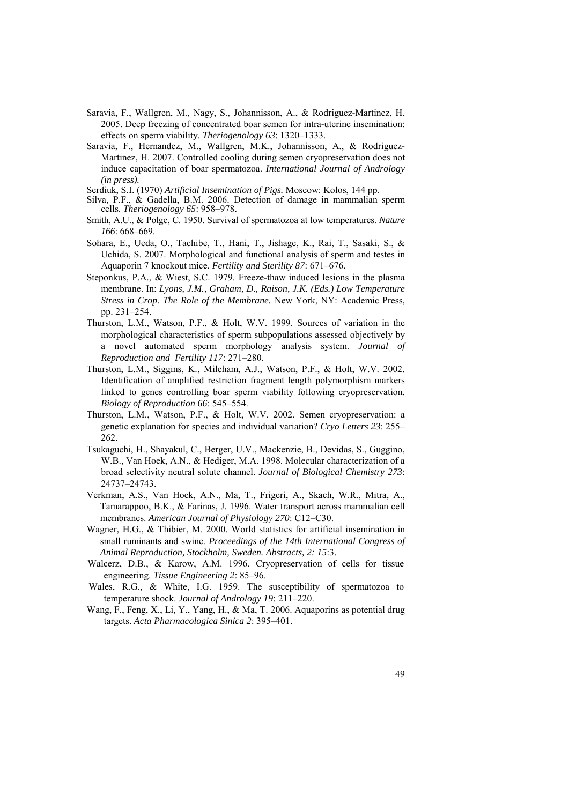- Saravia, F., Wallgren, M., Nagy, S., Johannisson, A., & Rodriguez-Martinez, H. 2005. Deep freezing of concentrated boar semen for intra-uterine insemination: effects on sperm viability. *Theriogenology 63*: 1320–1333.
- Saravia, F., Hernandez, M., Wallgren, M.K., Johannisson, A., & Rodriguez-Martinez, H. 2007. Controlled cooling during semen cryopreservation does not induce capacitation of boar spermatozoa. *International Journal of Andrology (in press).*

Serdiuk, S.I. (1970) *Artificial Insemination of Pigs.* Moscow: Kolos, 144 pp.

- Silva, P.F., & Gadella, B.M. 2006. Detection of damage in mammalian sperm cells. *Theriogenology 65*: 958–978.
- Smith, A.U., & Polge, C. 1950. Survival of spermatozoa at low temperatures. *Nature 166*: 668–669.
- Sohara, E., Ueda, O., Tachibe, T., Hani, T., Jishage, K., Rai, T., Sasaki, S., & Uchida, S. 2007. Morphological and functional analysis of sperm and testes in Aquaporin 7 knockout mice. *Fertility and Sterility 87*: 671–676.
- Steponkus, P.A., & Wiest, S.C. 1979. Freeze-thaw induced lesions in the plasma membrane. In: *Lyons, J.M., Graham, D., Raison, J.K. (Eds.) Low Temperature Stress in Crop. The Role of the Membrane.* New York, NY: Academic Press, pp. 231–254.
- Thurston, L.M., Watson, P.F., & Holt, W.V. 1999. Sources of variation in the morphological characteristics of sperm subpopulations assessed objectively by a novel automated sperm morphology analysis system. *Journal of Reproduction and Fertility 117*: 271–280.
- Thurston, L.M., Siggins, K., Mileham, A.J., Watson, P.F., & Holt, W.V. 2002. Identification of amplified restriction fragment length polymorphism markers linked to genes controlling boar sperm viability following cryopreservation. *Biology of Reproduction 66*: 545–554.
- Thurston, L.M., Watson, P.F., & Holt, W.V. 2002. Semen cryopreservation: a genetic explanation for species and individual variation? *Cryo Letters 23*: 255– 262.
- Tsukaguchi, H., Shayakul, C., Berger, U.V., Mackenzie, B., Devidas, S., Guggino, W.B., Van Hoek, A.N., & Hediger, M.A. 1998. Molecular characterization of a broad selectivity neutral solute channel. *Journal of Biological Chemistry 273*: 24737–24743.
- Verkman, A.S., Van Hoek, A.N., Ma, T., Frigeri, A., Skach, W.R., Mitra, A., Tamarappoo, B.K., & Farinas, J. 1996. Water transport across mammalian cell membranes. *American Journal of Physiology 270*: C12–C30.
- Wagner, H.G., & Thibier, M. 2000. World statistics for artificial insemination in small ruminants and swine. *Proceedings of the 14th International Congress of Animal Reproduction, Stockholm, Sweden. Abstracts, 2: 15*:3.
- Walcerz, D.B., & Karow, A.M. 1996. Cryopreservation of cells for tissue engineering. *Tissue Engineering 2*: 85–96.
- Wales, R.G., & White, I.G. 1959. The susceptibility of spermatozoa to temperature shock. *Journal of Andrology 19*: 211–220.
- Wang, F., Feng, X., Li, Y., Yang, H., & Ma, T. 2006. Aquaporins as potential drug targets. *Acta Pharmacologica Sinica 2*: 395–401.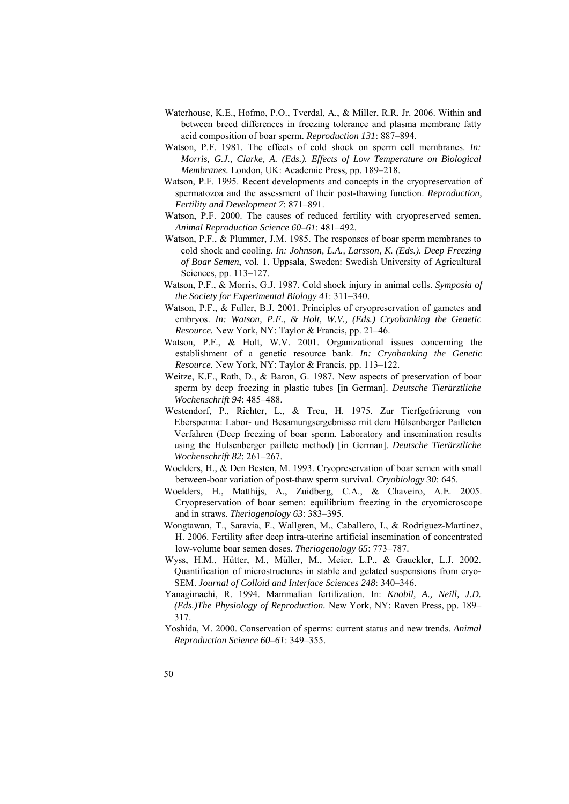- Waterhouse, K.E., Hofmo, P.O., Tverdal, A., & Miller, R.R. Jr. 2006. Within and between breed differences in freezing tolerance and plasma membrane fatty acid composition of boar sperm. *Reproduction 131*: 887–894.
- Watson, P.F. 1981. The effects of cold shock on sperm cell membranes. *In: Morris, G.J., Clarke, A. (Eds.). Effects of Low Temperature on Biological Membranes.* London, UK: Academic Press, pp. 189–218.
- Watson, P.F. 1995. Recent developments and concepts in the cryopreservation of spermatozoa and the assessment of their post-thawing function. *Reproduction, Fertility and Development 7*: 871–891.
- Watson, P.F. 2000. The causes of reduced fertility with cryopreserved semen. *Animal Reproduction Science 60–61*: 481–492.
- Watson, P.F., & Plummer, J.M. 1985. The responses of boar sperm membranes to cold shock and cooling. *In: Johnson, L.A., Larsson, K. (Eds.). Deep Freezing of Boar Semen*, vol. 1. Uppsala, Sweden: Swedish University of Agricultural Sciences, pp. 113–127.
- Watson, P.F., & Morris, G.J. 1987. Cold shock injury in animal cells. *Symposia of the Society for Experimental Biology 41*: 311–340.
- Watson, P.F., & Fuller, B.J. 2001. Principles of cryopreservation of gametes and embryos. *In: Watson, P.F., & Holt, W.V., (Eds.) Cryobanking the Genetic Resource.* New York, NY: Taylor & Francis, pp. 21–46.
- Watson, P.F., & Holt, W.V. 2001. Organizational issues concerning the establishment of a genetic resource bank. *In: Cryobanking the Genetic Resource.* New York, NY: Taylor & Francis, pp. 113–122.
- Weitze, K.F., Rath, D., & Baron, G. 1987. New aspects of preservation of boar sperm by deep freezing in plastic tubes [in German]. *Deutsche Tierärztliche Wochenschrift 94*: 485–488.
- Westendorf, P., Richter, L., & Treu, H. 1975. Zur Tierfgefrierung von Ebersperma: Labor- und Besamungsergebnisse mit dem Hülsenberger Pailleten Verfahren (Deep freezing of boar sperm. Laboratory and insemination results using the Hulsenberger paillete method) [in German]. *Deutsche Tierärztliche Wochenschrift 82*: 261–267.
- Woelders, H., & Den Besten, M. 1993. Cryopreservation of boar semen with small between-boar variation of post-thaw sperm survival. *Cryobiology 30*: 645.
- Woelders, H., Matthijs, A., Zuidberg, C.A., & Chaveiro, A.E. 2005. Cryopreservation of boar semen: equilibrium freezing in the cryomicroscope and in straws. *Theriogenology 63*: 383–395.
- Wongtawan, T., Saravia, F., Wallgren, M., Caballero, I., & Rodriguez-Martinez, H. 2006. Fertility after deep intra-uterine artificial insemination of concentrated low-volume boar semen doses. *Theriogenology 65*: 773–787.
- Wyss, H.M., Hütter, M., Müller, M., Meier, L.P., & Gauckler, L.J. 2002. Quantification of microstructures in stable and gelated suspensions from cryo-SEM. *Journal of Colloid and Interface Sciences 248*: 340–346.
- Yanagimachi, R. 1994. Mammalian fertilization. In: *Knobil, A., Neill, J.D. (Eds.)The Physiology of Reproduction.* New York, NY: Raven Press, pp. 189– 317.
- Yoshida, M. 2000. Conservation of sperms: current status and new trends. *Animal Reproduction Science 60–61*: 349–355.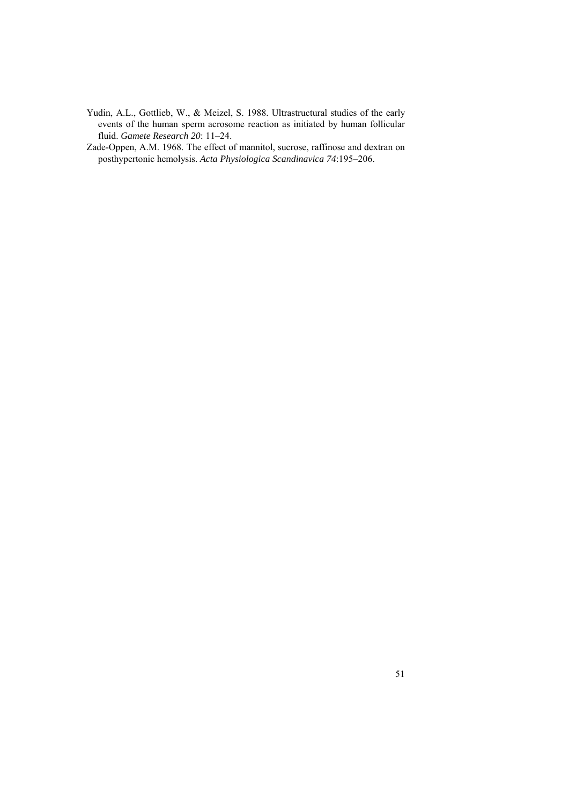Yudin, A.L., Gottlieb, W., & Meizel, S. 1988. Ultrastructural studies of the early events of the human sperm acrosome reaction as initiated by human follicular fluid. *Gamete Research 20*: 11–24.

Zade-Oppen, A.M. 1968. The effect of mannitol, sucrose, raffinose and dextran on posthypertonic hemolysis. *Acta Physiologica Scandinavica 74*:195–206.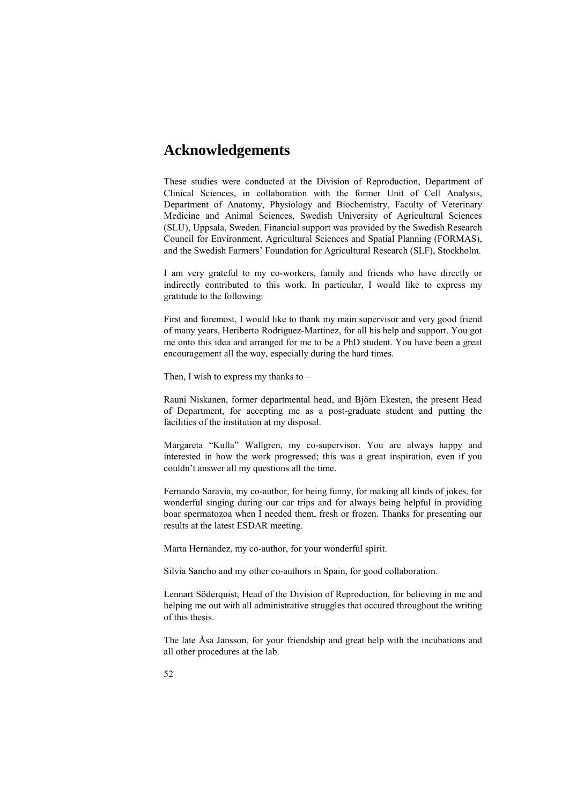## **Acknowledgements**

These studies were conducted at the Division of Reproduction, Department of Clinical Sciences, in collaboration with the former Unit of Cell Analysis, Department of Anatomy, Physiology and Biochemistry, Faculty of Veterinary Medicine and Animal Sciences, Swedish University of Agricultural Sciences (SLU), Uppsala, Sweden. Financial support was provided by the Swedish Research Council for Environment, Agricultural Sciences and Spatial Planning (FORMAS), and the Swedish Farmers' Foundation for Agricultural Research (SLF), Stockholm.

I am very grateful to my co-workers, family and friends who have directly or indirectly contributed to this work. In particular, I would like to express my gratitude to the following:

First and foremost, I would like to thank my main supervisor and very good friend of many years, Heriberto Rodriguez-Martinez, for all his help and support. You got me onto this idea and arranged for me to be a PhD student. You have been a great encouragement all the way, especially during the hard times.

Then, I wish to express my thanks to –

Rauni Niskanen, former departmental head, and Björn Ekesten, the present Head of Department, for accepting me as a post-graduate student and putting the facilities of the institution at my disposal.

Margareta "Kulla" Wallgren, my co-supervisor. You are always happy and interested in how the work progressed; this was a great inspiration, even if you couldn't answer all my questions all the time.

Fernando Saravia, my co-author, for being funny, for making all kinds of jokes, for wonderful singing during our car trips and for always being helpful in providing boar spermatozoa when I needed them, fresh or frozen. Thanks for presenting our results at the latest ESDAR meeting.

Marta Hernandez, my co-author, for your wonderful spirit.

Silvia Sancho and my other co-authors in Spain, for good collaboration.

Lennart Söderquist, Head of the Division of Reproduction, for believing in me and helping me out with all administrative struggles that occured throughout the writing of this thesis.

The late Åsa Jansson, for your friendship and great help with the incubations and all other procedures at the lab.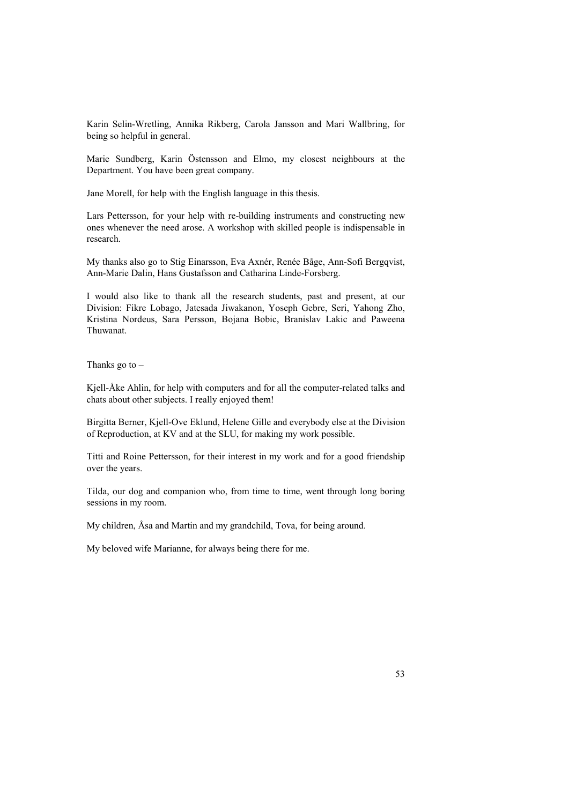Karin Selin-Wretling, Annika Rikberg, Carola Jansson and Mari Wallbring, for being so helpful in general.

Marie Sundberg, Karin Östensson and Elmo, my closest neighbours at the Department. You have been great company.

Jane Morell, for help with the English language in this thesis.

Lars Pettersson, for your help with re-building instruments and constructing new ones whenever the need arose. A workshop with skilled people is indispensable in research.

My thanks also go to Stig Einarsson, Eva Axnér, Renée Båge, Ann-Sofi Bergqvist, Ann-Marie Dalin, Hans Gustafsson and Catharina Linde-Forsberg.

I would also like to thank all the research students, past and present, at our Division: Fikre Lobago, Jatesada Jiwakanon, Yoseph Gebre, Seri, Yahong Zho, Kristina Nordeus, Sara Persson, Bojana Bobic, Branislav Lakic and Paweena Thuwanat.

Thanks go to  $-$ 

Kjell-Åke Ahlin, for help with computers and for all the computer-related talks and chats about other subjects. I really enjoyed them!

Birgitta Berner, Kjell-Ove Eklund, Helene Gille and everybody else at the Division of Reproduction, at KV and at the SLU, for making my work possible.

Titti and Roine Pettersson, for their interest in my work and for a good friendship over the years.

Tilda, our dog and companion who, from time to time, went through long boring sessions in my room.

My children, Åsa and Martin and my grandchild, Tova, for being around.

My beloved wife Marianne, for always being there for me.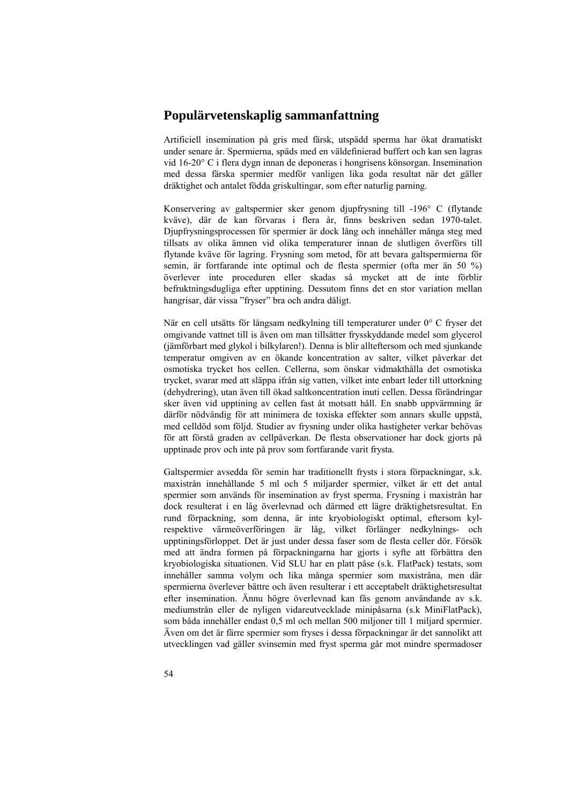#### **Populärvetenskaplig sammanfattning**

Artificiell insemination på gris med färsk, utspädd sperma har ökat dramatiskt under senare år. Spermierna, späds med en väldefinierad buffert och kan sen lagras vid 16-20° C i flera dygn innan de deponeras i hongrisens könsorgan. Insemination med dessa färska spermier medför vanligen lika goda resultat när det gäller dräktighet och antalet födda griskultingar, som efter naturlig parning.

Konservering av galtspermier sker genom djupfrysning till -196° C (flytande kväve), där de kan förvaras i flera år, finns beskriven sedan 1970-talet. Djupfrysningsprocessen för spermier är dock lång och innehåller många steg med tillsats av olika ämnen vid olika temperaturer innan de slutligen överförs till flytande kväve för lagring. Frysning som metod, för att bevara galtspermierna för semin, är fortfarande inte optimal och de flesta spermier (ofta mer än 50 %) överlever inte proceduren eller skadas så mycket att de inte förblir befruktningsdugliga efter upptining. Dessutom finns det en stor variation mellan hangrisar, där vissa "fryser" bra och andra dåligt.

När en cell utsätts för långsam nedkylning till temperaturer under 0° C fryser det omgivande vattnet till is även om man tillsätter frysskyddande medel som glycerol (jämförbart med glykol i bilkylaren!). Denna is blir allteftersom och med sjunkande temperatur omgiven av en ökande koncentration av salter, vilket påverkar det osmotiska trycket hos cellen. Cellerna, som önskar vidmakthålla det osmotiska trycket, svarar med att släppa ifrån sig vatten, vilket inte enbart leder till uttorkning (dehydrering), utan även till ökad saltkoncentration inuti cellen. Dessa förändringar sker även vid upptining av cellen fast åt motsatt håll. En snabb uppvärmning är därför nödvändig för att minimera de toxiska effekter som annars skulle uppstå, med celldöd som följd. Studier av frysning under olika hastigheter verkar behövas för att förstå graden av cellpåverkan. De flesta observationer har dock gjorts på upptinade prov och inte på prov som fortfarande varit frysta.

Galtspermier avsedda för semin har traditionellt frysts i stora förpackningar, s.k. maxistrån innehållande 5 ml och 5 miljarder spermier, vilket är ett det antal spermier som används för insemination av fryst sperma. Frysning i maxistrån har dock resulterat i en låg överlevnad och därmed ett lägre dräktighetsresultat. En rund förpackning, som denna, är inte kryobiologiskt optimal, eftersom kylrespektive värmeöverföringen är låg, vilket förlänger nedkylnings- och upptiningsförloppet. Det är just under dessa faser som de flesta celler dör. Försök med att ändra formen på förpackningarna har gjorts i syfte att förbättra den kryobiologiska situationen. Vid SLU har en platt påse (s.k. FlatPack) testats, som innehåller samma volym och lika många spermier som maxistråna, men där spermierna överlever bättre och även resulterar i ett acceptabelt dräktighetsresultat efter insemination. Ännu högre överlevnad kan fås genom användande av s.k. mediumstrån eller de nyligen vidareutvecklade minipåsarna (s.k MiniFlatPack), som båda innehåller endast 0,5 ml och mellan 500 miljoner till 1 miljard spermier. Även om det är färre spermier som fryses i dessa förpackningar är det sannolikt att utvecklingen vad gäller svinsemin med fryst sperma går mot mindre spermadoser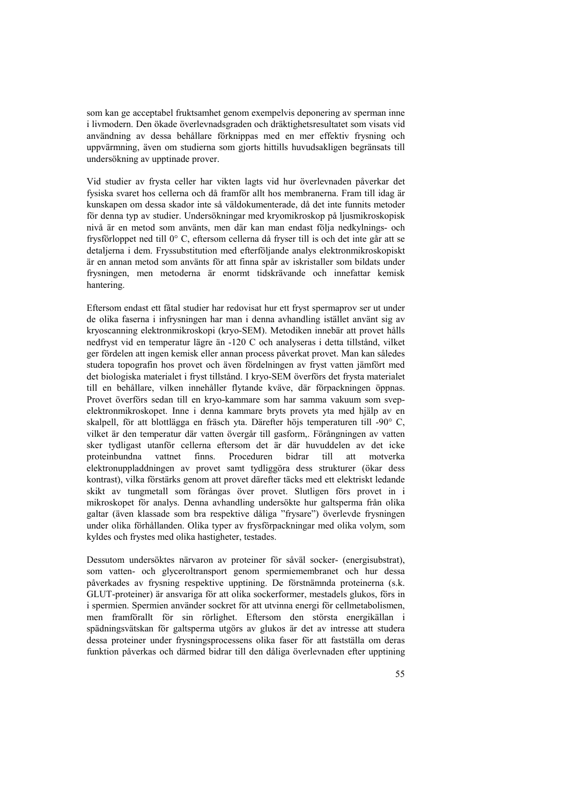som kan ge acceptabel fruktsamhet genom exempelvis deponering av sperman inne i livmodern. Den ökade överlevnadsgraden och dräktighetsresultatet som visats vid användning av dessa behållare förknippas med en mer effektiv frysning och uppvärmning, även om studierna som gjorts hittills huvudsakligen begränsats till undersökning av upptinade prover.

Vid studier av frysta celler har vikten lagts vid hur överlevnaden påverkar det fysiska svaret hos cellerna och då framför allt hos membranerna. Fram till idag är kunskapen om dessa skador inte så väldokumenterade, då det inte funnits metoder för denna typ av studier. Undersökningar med kryomikroskop på ljusmikroskopisk nivå är en metod som använts, men där kan man endast följa nedkylnings- och frysförloppet ned till 0° C, eftersom cellerna då fryser till is och det inte går att se detaljerna i dem. Fryssubstitution med efterföljande analys elektronmikroskopiskt är en annan metod som använts för att finna spår av iskristaller som bildats under frysningen, men metoderna är enormt tidskrävande och innefattar kemisk hantering.

Eftersom endast ett fåtal studier har redovisat hur ett fryst spermaprov ser ut under de olika faserna i infrysningen har man i denna avhandling istället använt sig av kryoscanning elektronmikroskopi (kryo-SEM). Metodiken innebär att provet hålls nedfryst vid en temperatur lägre än -120 C och analyseras i detta tillstånd, vilket ger fördelen att ingen kemisk eller annan process påverkat provet. Man kan således studera topografin hos provet och även fördelningen av fryst vatten jämfört med det biologiska materialet i fryst tillstånd. I kryo-SEM överförs det frysta materialet till en behållare, vilken innehåller flytande kväve, där förpackningen öppnas. Provet överförs sedan till en kryo-kammare som har samma vakuum som svepelektronmikroskopet. Inne i denna kammare bryts provets yta med hjälp av en skalpell, för att blottlägga en fräsch yta. Därefter höjs temperaturen till -90° C, vilket är den temperatur där vatten övergår till gasform,. Förångningen av vatten sker tydligast utanför cellerna eftersom det är där huvuddelen av det icke proteinbundna vattnet finns. Proceduren bidrar till att motverka elektronuppladdningen av provet samt tydliggöra dess strukturer (ökar dess kontrast), vilka förstärks genom att provet därefter täcks med ett elektriskt ledande skikt av tungmetall som förångas över provet. Slutligen förs provet in i mikroskopet för analys. Denna avhandling undersökte hur galtsperma från olika galtar (även klassade som bra respektive dåliga "frysare") överlevde frysningen under olika förhållanden. Olika typer av frysförpackningar med olika volym, som kyldes och frystes med olika hastigheter, testades.

Dessutom undersöktes närvaron av proteiner för såväl socker- (energisubstrat), som vatten- och glyceroltransport genom spermiemembranet och hur dessa påverkades av frysning respektive upptining. De förstnämnda proteinerna (s.k. GLUT-proteiner) är ansvariga för att olika sockerformer, mestadels glukos, förs in i spermien. Spermien använder sockret för att utvinna energi för cellmetabolismen, men framförallt för sin rörlighet. Eftersom den största energikällan i spädningsvätskan för galtsperma utgörs av glukos är det av intresse att studera dessa proteiner under frysningsprocessens olika faser för att fastställa om deras funktion påverkas och därmed bidrar till den dåliga överlevnaden efter upptining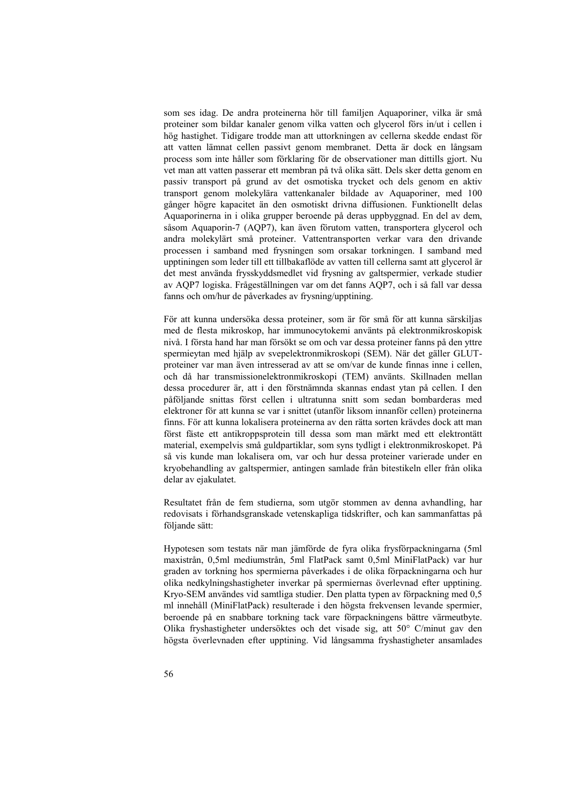som ses idag. De andra proteinerna hör till familjen Aquaporiner, vilka är små proteiner som bildar kanaler genom vilka vatten och glycerol förs in/ut i cellen i hög hastighet. Tidigare trodde man att uttorkningen av cellerna skedde endast för att vatten lämnat cellen passivt genom membranet. Detta är dock en långsam process som inte håller som förklaring för de observationer man dittills gjort. Nu vet man att vatten passerar ett membran på två olika sätt. Dels sker detta genom en passiv transport på grund av det osmotiska trycket och dels genom en aktiv transport genom molekylära vattenkanaler bildade av Aquaporiner, med 100 gånger högre kapacitet än den osmotiskt drivna diffusionen. Funktionellt delas Aquaporinerna in i olika grupper beroende på deras uppbyggnad. En del av dem, såsom Aquaporin-7 (AQP7), kan även förutom vatten, transportera glycerol och andra molekylärt små proteiner. Vattentransporten verkar vara den drivande processen i samband med frysningen som orsakar torkningen. I samband med upptiningen som leder till ett tillbakaflöde av vatten till cellerna samt att glycerol är det mest använda frysskyddsmedlet vid frysning av galtspermier, verkade studier av AQP7 logiska. Frågeställningen var om det fanns AQP7, och i så fall var dessa fanns och om/hur de påverkades av frysning/upptining.

För att kunna undersöka dessa proteiner, som är för små för att kunna särskiljas med de flesta mikroskop, har immunocytokemi använts på elektronmikroskopisk nivå. I första hand har man försökt se om och var dessa proteiner fanns på den yttre spermieytan med hjälp av svepelektronmikroskopi (SEM). När det gäller GLUTproteiner var man även intresserad av att se om/var de kunde finnas inne i cellen, och då har transmissionelektronmikroskopi (TEM) använts. Skillnaden mellan dessa procedurer är, att i den förstnämnda skannas endast ytan på cellen. I den påföljande snittas först cellen i ultratunna snitt som sedan bombarderas med elektroner för att kunna se var i snittet (utanför liksom innanför cellen) proteinerna finns. För att kunna lokalisera proteinerna av den rätta sorten krävdes dock att man först fäste ett antikroppsprotein till dessa som man märkt med ett elektrontätt material, exempelvis små guldpartiklar, som syns tydligt i elektronmikroskopet. På så vis kunde man lokalisera om, var och hur dessa proteiner varierade under en kryobehandling av galtspermier, antingen samlade från bitestikeln eller från olika delar av ejakulatet.

Resultatet från de fem studierna, som utgör stommen av denna avhandling, har redovisats i förhandsgranskade vetenskapliga tidskrifter, och kan sammanfattas på följande sätt:

Hypotesen som testats när man jämförde de fyra olika frysförpackningarna (5ml maxistrån, 0,5ml mediumstrån, 5ml FlatPack samt 0,5ml MiniFlatPack) var hur graden av torkning hos spermierna påverkades i de olika förpackningarna och hur olika nedkylningshastigheter inverkar på spermiernas överlevnad efter upptining. Kryo-SEM användes vid samtliga studier. Den platta typen av förpackning med 0,5 ml innehåll (MiniFlatPack) resulterade i den högsta frekvensen levande spermier, beroende på en snabbare torkning tack vare förpackningens bättre värmeutbyte. Olika fryshastigheter undersöktes och det visade sig, att 50° C/minut gav den högsta överlevnaden efter upptining. Vid långsamma fryshastigheter ansamlades